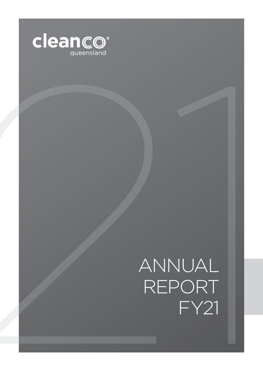

# ANNUAL REPORT  $\overline{\text{FY21}}$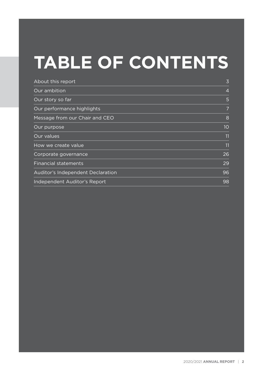# **TABLE OF CONTENTS**

| About this report                 | $\overline{3}$ |
|-----------------------------------|----------------|
| Our ambition                      | $\overline{4}$ |
| Our story so far                  | 5              |
| Our performance highlights        | 7              |
| Message from our Chair and CEO    | 8              |
| Our purpose                       | 10             |
| Our values                        | 11             |
| How we create value               | 11             |
| Corporate governance              | 26             |
| <b>Financial statements</b>       | 29             |
| Auditor's Independent Declaration | 96             |
| Independent Auditor's Report      | 98             |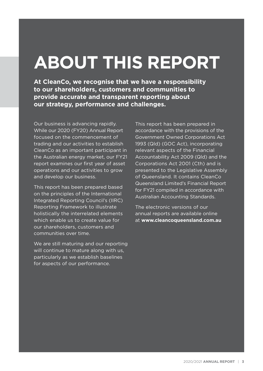# **ABOUT THIS REPORT**

**At CleanCo, we recognise that we have a responsibility to our shareholders, customers and communities to provide accurate and transparent reporting about our strategy, performance and challenges.**

Our business is advancing rapidly. While our 2020 (FY20) Annual Report focused on the commencement of trading and our activities to establish CleanCo as an important participant in the Australian energy market, our FY21 report examines our first year of asset operations and our activities to grow and develop our business.

This report has been prepared based on the principles of the International Integrated Reporting Council's (IIRC) Reporting Framework to illustrate holistically the interrelated elements which enable us to create value for our shareholders, customers and communities over time.

We are still maturing and our reporting will continue to mature along with us, particularly as we establish baselines for aspects of our performance.

This report has been prepared in accordance with the provisions of the Government Owned Corporations Act 1993 (Qld) (GOC Act), incorporating relevant aspects of the Financial Accountability Act 2009 (Qld) and the Corporations Act 2001 (Cth) and is presented to the Legislative Assembly of Queensland. It contains CleanCo Queensland Limited's Financial Report for FY21 compiled in accordance with Australian Accounting Standards.

The electronic versions of our annual reports are available online at **www.cleancoqueensland.com.au**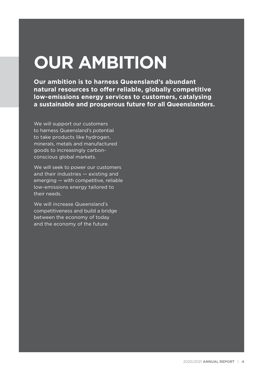# **OUR AMBITION**

**Our ambition is to harness Queensland's abundant natural resources to offer reliable, globally competitive low-emissions energy services to customers, catalysing a sustainable and prosperous future for all Queenslanders.** 

We will support our customers to harness Queensland's potential to take products like hydrogen, minerals, metals and manufactured goods to increasingly carbonconscious global markets.

We will seek to power our customers and their industries — existing and emerging — with competitive, reliable low-emissions energy tailored to their needs.

We will increase Queensland's competitiveness and build a bridge between the economy of today and the economy of the future.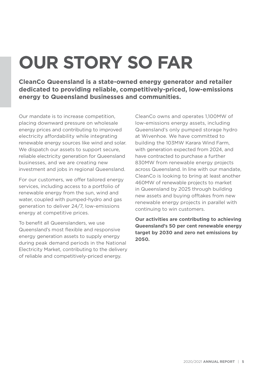# **OUR STORY SO FAR**

**CleanCo Queensland is a state-owned energy generator and retailer dedicated to providing reliable, competitively-priced, low-emissions energy to Queensland businesses and communities.** 

Our mandate is to increase competition, placing downward pressure on wholesale energy prices and contributing to improved electricity affordability while integrating renewable energy sources like wind and solar. We dispatch our assets to support secure, reliable electricity generation for Queensland businesses, and we are creating new investment and jobs in regional Queensland.

For our customers, we offer tailored energy services, including access to a portfolio of renewable energy from the sun, wind and water, coupled with pumped-hydro and gas generation to deliver 24/7, low-emissions energy at competitive prices.

To benefit all Queenslanders, we use Queensland's most flexible and responsive energy generation assets to supply energy during peak demand periods in the National Electricity Market, contributing to the delivery of reliable and competitively-priced energy.

CleanCo owns and operates 1,100MW of low-emissions energy assets, including Queensland's only pumped storage hydro at Wivenhoe. We have committed to building the 103MW Karara Wind Farm, with generation expected from 2024, and have contracted to purchase a further 830MW from renewable energy projects across Queensland. In line with our mandate, CleanCo is looking to bring at least another 460MW of renewable projects to market in Queensland by 2025 through building new assets and buying offtakes from new renewable energy projects in parallel with continuing to win customers.

**Our activities are contributing to achieving Queensland's 50 per cent renewable energy target by 2030 and zero net emissions by 2050.**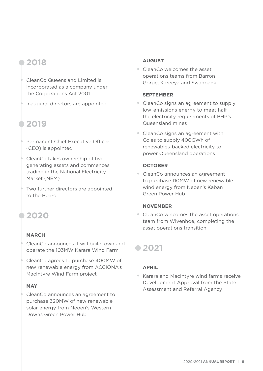# **2018**

• CleanCo Queensland Limited is incorporated as a company under the Corporations Act 2001

• Inaugural directors are appointed

# **2019**

Permanent Chief Executive Officer (CEO) is appointed

CleanCo takes ownership of five generating assets and commences trading in the National Electricity Market (NEM)

Two further directors are appointed to the Board

## **2020**

#### **MARCH**

• CleanCo announces it will build, own and operate the 103MW Karara Wind Farm

• CleanCo agrees to purchase 400MW of new renewable energy from ACCIONA's MacIntyre Wind Farm project

#### **MAY**

• CleanCo announces an agreement to purchase 320MW of new renewable solar energy from Neoen's Western Downs Green Power Hub

#### **AUGUST**

• CleanCo welcomes the asset operations teams from Barron Gorge, Kareeya and Swanbank

#### **SEPTEMBER**

• CleanCo signs an agreement to supply low-emissions energy to meet half the electricity requirements of BHP's Queensland mines

CleanCo signs an agreement with Coles to supply 400GWh of renewables-backed electricity to power Queensland operations

#### **OCTOBER**

CleanCo announces an agreement to purchase 110MW of new renewable wind energy from Neoen's Kaban Green Power Hub

#### **NOVEMBER**

• CleanCo welcomes the asset operations team from Wivenhoe, completing the asset operations transition

# **2021**

#### **APRIL**

• Karara and MacIntyre wind farms receive Development Approval from the State Assessment and Referral Agency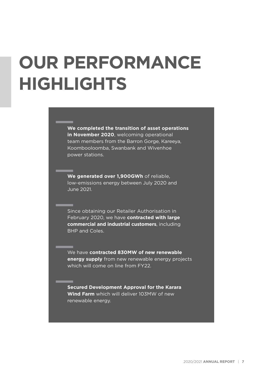# **OUR PERFORMANCE HIGHLIGHTS**

**We completed the transition of asset operations in November 2020**, welcoming operational team members from the Barron Gorge, Kareeya, Koombooloomba, Swanbank and Wivenhoe power stations.

**We generated over 1,900GWh** of reliable, low-emissions energy between July 2020 and June 2021.

Since obtaining our Retailer Authorisation in February 2020, we have **contracted with large commercial and industrial customers**, including BHP and Coles.

We have **contracted 830MW of new renewable energy supply** from new renewable energy projects which will come on line from FY22.

**Secured Development Approval for the Karara Wind Farm** which will deliver 103MW of new renewable energy.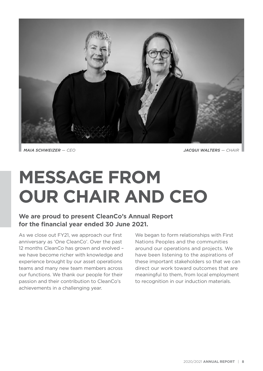

 *MAIA SCHWEIZER — CEO JACQUI WALTERS — CHAIR* 

# **MESSAGE FROM OUR CHAIR AND CEO**

### **We are proud to present CleanCo's Annual Report for the financial year ended 30 June 2021.**

As we close out FY21, we approach our first anniversary as 'One CleanCo'. Over the past 12 months CleanCo has grown and evolved – we have become richer with knowledge and experience brought by our asset operations teams and many new team members across our functions. We thank our people for their passion and their contribution to CleanCo's achievements in a challenging year.

We began to form relationships with First Nations Peoples and the communities around our operations and projects. We have been listening to the aspirations of these important stakeholders so that we can direct our work toward outcomes that are meaningful to them, from local employment to recognition in our induction materials.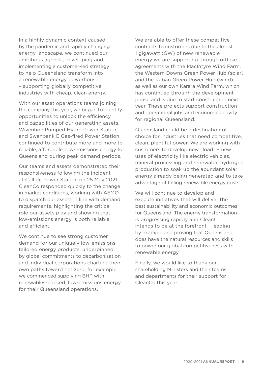In a highly dynamic context caused by the pandemic and rapidly changing energy landscape, we continued our ambitious agenda, developing and implementing a customer-led strategy to help Queensland transform into a renewable energy powerhouse – supporting globally competitive industries with cheap, clean energy.

With our asset operations teams joining the company this year, we began to identify opportunities to unlock the efficiency and capabilities of our generating assets. Wivenhoe Pumped Hydro Power Station and Swanbank E Gas-fired Power Station continued to contribute more and more to reliable, affordable, low-emissions energy for Queensland during peak demand periods.

Our teams and assets demonstrated their responsiveness following the incident at Callide Power Station on 25 May 2021. CleanCo responded quickly to the change in market conditions, working with AEMO to dispatch our assets in line with demand requirements, highlighting the critical role our assets play and showing that low-emissions energy is both reliable and efficient.

We continue to see strong customer demand for our uniquely low-emissions, tailored energy products, underpinned by global commitments to decarbonisation and individual corporations charting their own paths toward net zero; for example, we commenced supplying BHP with renewables-backed, low-emissions energy for their Queensland operations.

We are able to offer these competitive contracts to customers due to the almost 1 gigawatt (GW) of new renewable energy we are supporting through offtake agreements with the MacIntyre Wind Farm, the Western Downs Green Power Hub (solar) and the Kaban Green Power Hub (wind), as well as our own Karara Wind Farm, which has continued through the development phase and is due to start construction next year. These projects support construction and operational jobs and economic activity for regional Queensland.

Queensland could be a destination of choice for industries that need competitive, clean, plentiful power. We are working with customers to develop new "load" – new uses of electricity like electric vehicles, mineral processing and renewable hydrogen production to soak up the abundant solar energy already being generated and to take advantage of falling renewable energy costs.

We will continue to develop and execute initiatives that will deliver the best sustainability and economic outcomes for Queensland. The energy transformation is progressing rapidly and CleanCo intends to be at the forefront – leading by example and proving that Queensland does have the natural resources and skills to power our global competitiveness with renewable energy.

Finally, we would like to thank our shareholding Ministers and their teams and departments for their support for CleanCo this year.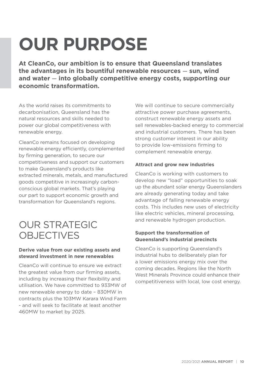# **OUR PURPOSE**

**At CleanCo, our ambition is to ensure that Queensland translates the advantages in its bountiful renewable resources** — **sun, wind and water** — **into globally competitive energy costs, supporting our economic transformation.** 

As the world raises its commitments to decarbonisation, Queensland has the natural resources and skills needed to power our global competitiveness with renewable energy.

CleanCo remains focused on developing renewable energy efficiently, complemented by firming generation, to secure our competitiveness and support our customers to make Queensland's products like extracted minerals, metals, and manufactured goods competitive in increasingly carbonconscious global markets. That's playing our part to support economic growth and transformation for Queensland's regions.

# OUR STRATEGIC **OBJECTIVES**

#### **Derive value from our existing assets and steward investment in new renewables**

CleanCo will continue to ensure we extract the greatest value from our firming assets, including by increasing their flexibility and utilisation. We have committed to 933MW of new renewable energy to date – 830MW in contracts plus the 103MW Karara Wind Farm - and will seek to facilitate at least another 460MW to market by 2025.

We will continue to secure commercially attractive power purchase agreements, construct renewable energy assets and sell renewables-backed energy to commercial and industrial customers. There has been strong customer interest in our ability to provide low-emissions firming to complement renewable energy.

#### **Attract and grow new industries**

CleanCo is working with customers to develop new "load" opportunities to soak up the abundant solar energy Queenslanders are already generating today and take advantage of falling renewable energy costs. This includes new uses of electricity like electric vehicles, mineral processing, and renewable hydrogen production.

#### **Support the transformation of Queensland's industrial precincts**

CleanCo is supporting Queensland's industrial hubs to deliberately plan for a lower emissions energy mix over the coming decades. Regions like the North West Minerals Province could enhance their competitiveness with local, low cost energy.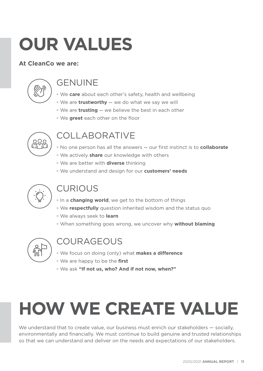# **OUR VALUES**

#### **At CleanCo we are:**



# GENUINE

- We **care** about each other's safety, health and wellbeing
- We are **trustworthy** we do what we say we will
- We are **trusting** we believe the best in each other
- We **greet** each other on the floor



# COLLABORATIVE

- No one person has all the answers our first instinct is to **collaborate**
- We actively **share** our knowledge with others
- We are better with **diverse** thinking
- We understand and design for our **customers' needs**



## CURIOUS

- In a **changing world**, we get to the bottom of things
- We **respectfully** question inherited wisdom and the status quo
- We always seek to **learn**
- When something goes wrong, we uncover why **without blaming**



# COURAGEOUS

- We focus on doing (only) what **makes a difference**
- We are happy to be the **first**
- We ask **"If not us, who? And if not now, when?"**

# **HOW WE CREATE VALUE**

We understand that to create value, our business must enrich our stakeholders - socially, environmentally and financially. We must continue to build genuine and trusted relationships so that we can understand and deliver on the needs and expectations of our stakeholders.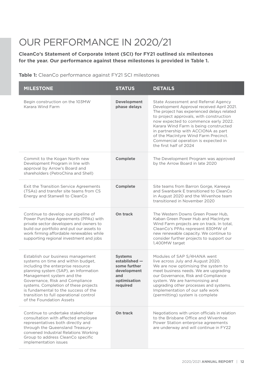# OUR PERFORMANCE IN 2020/21

#### **CleanCo's Statement of Corporate Intent (SCI) for FY21 outlined six milestones for the year. Our performance against these milestones is provided in Table 1.**

#### **Table 1:** CleanCo performance against FY21 SCI milestones

| <b>MILESTONE</b>                                                                                                                                                                                                                                                                                                                                                             | <b>STATUS</b>                                                                                        | <b>DETAILS</b>                                                                                                                                                                                                                                                                                                                                                                                              |
|------------------------------------------------------------------------------------------------------------------------------------------------------------------------------------------------------------------------------------------------------------------------------------------------------------------------------------------------------------------------------|------------------------------------------------------------------------------------------------------|-------------------------------------------------------------------------------------------------------------------------------------------------------------------------------------------------------------------------------------------------------------------------------------------------------------------------------------------------------------------------------------------------------------|
| Begin construction on the 103MW<br>Karara Wind Farm                                                                                                                                                                                                                                                                                                                          | <b>Development</b><br>phase delays                                                                   | State Assessment and Referral Agency<br>Development Approval received April 2021.<br>The project has experienced delays related<br>to project approvals, with construction<br>now expected to commence early 2022.<br>Karara Wind Farm is being constructed<br>in partnership with ACCIONA as part<br>of the MacIntyre Wind Farm Precinct.<br>Commercial operation is expected in<br>the first half of 2024 |
| Commit to the Kogan North new<br>Development Program in line with<br>approval by Arrow's Board and<br>shareholders (PetroChina and Shell)                                                                                                                                                                                                                                    | <b>Complete</b>                                                                                      | The Development Program was approved<br>by the Arrow Board in late 2020                                                                                                                                                                                                                                                                                                                                     |
| Exit the Transition Service Agreements<br>(TSAs) and transfer site teams from CS<br>Energy and Stanwell to CleanCo                                                                                                                                                                                                                                                           | <b>Complete</b>                                                                                      | Site teams from Barron Gorge, Kareeya<br>and Swanbank E transitioned to CleanCo<br>in August 2020 and the Wivenhoe team<br>transitioned in November 2020                                                                                                                                                                                                                                                    |
| Continue to develop our pipeline of<br>Power Purchase Agreements (PPAs) with<br>private sector developers and owners to<br>build our portfolio and put our assets to<br>work firming affordable renewables while<br>supporting regional investment and jobs                                                                                                                  | On track                                                                                             | The Western Downs Green Power Hub.<br>Kaban Green Power Hub and MacIntyre<br>Wind Farm projects are on track. In total,<br>CleanCo's PPAs represent 830MW of<br>new renewable capacity. We continue to<br>consider further projects to support our<br>1,400MW target                                                                                                                                        |
| Establish our business management<br>systems on time and within budget,<br>including the enterprise resource<br>planning system (SAP), an Information<br>Management system and the<br>Governance, Risk and Compliance<br>systems. Completion of these projects<br>is fundamental to the success of the<br>transition to full operational control<br>of the Foundation Assets | <b>Systems</b><br>$estabilished -$<br>some further<br>development<br>and<br>optimisation<br>reauired | Modules of SAP S/4HANA went<br>live across July and August 2020.<br>We are now optimising the system to<br>meet business needs. We are upgrading<br>our Governance, Risk and Compliance<br>system. We are harmonising and<br>upgrading other processes and systems.<br>Implementation of our safe work<br>(permitting) system is complete                                                                   |
| Continue to undertake stakeholder<br>consultation with affected employee<br>representatives both directly and<br>through the Queensland Treasury-<br>convened Industrial Relations Working<br>Group to address CleanCo specific<br>implementation issues                                                                                                                     | On track                                                                                             | Negotiations with union officials in relation<br>to the Brisbane Office and Wivenhoe<br>Power Station enterprise agreements<br>are underway and will continue in FY22                                                                                                                                                                                                                                       |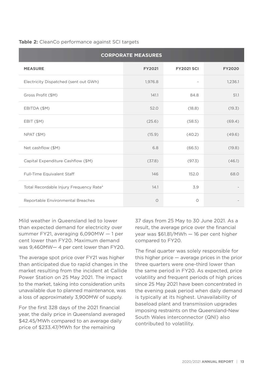|  | Table 2: CleanCo performance against SCI targets |  |  |
|--|--------------------------------------------------|--|--|
|  |                                                  |  |  |

| <b>CORPORATE MEASURES</b>               |               |                          |               |  |  |  |
|-----------------------------------------|---------------|--------------------------|---------------|--|--|--|
| <b>MEASURE</b>                          | <b>FY2021</b> | <b>FY2021 SCI</b>        | <b>FY2020</b> |  |  |  |
| Electricity Dispatched (sent out GWh)   | 1,976.8       | $\overline{\phantom{a}}$ | 1,236.1       |  |  |  |
| Gross Profit (\$M)                      | 141.1         | 84.8                     | 51.1          |  |  |  |
| EBITDA (\$M)                            | 52.0          | (18.8)                   | (19.3)        |  |  |  |
| EBIT (\$M)                              | (25.6)        | (58.5)                   | (69.4)        |  |  |  |
| NPAT (\$M)                              | (15.9)        | (40.2)                   | (49.6)        |  |  |  |
| Net cashflow (\$M)                      | 6.8           | (66.5)                   | (19.8)        |  |  |  |
| Capital Expenditure Cashflow (\$M)      | (37.8)        | (97.3)                   | (46.1)        |  |  |  |
| Full-Time Equivalent Staff              | 146           | 152.0                    | 68.0          |  |  |  |
| Total Recordable Injury Frequency Rate* | 14.1          | 3.9                      |               |  |  |  |
| Reportable Environmental Breaches       | $\circ$       | $\circ$                  |               |  |  |  |

Mild weather in Queensland led to lower than expected demand for electricity over summer FY21, averaging 6,090MW — 1 per cent lower than FY20. Maximum demand was 9,460MW— 4 per cent lower than FY20.

The average spot price over FY21 was higher than anticipated due to rapid changes in the market resulting from the incident at Callide Power Station on 25 May 2021. The impact to the market, taking into consideration units unavailable due to planned maintenance, was a loss of approximately 3,900MW of supply.

For the first 328 days of the 2021 financial year, the daily price in Queensland averaged \$42.45/MWh compared to an average daily price of \$233.47/MWh for the remaining

37 days from 25 May to 30 June 2021. As a result, the average price over the financial year was \$61.81/MWh — 16 per cent higher compared to FY20.

The final quarter was solely responsible for this higher price — average prices in the prior three quarters were one-third lower than the same period in FY20. As expected, price volatility and frequent periods of high prices since 25 May 2021 have been concentrated in the evening peak period when daily demand is typically at its highest. Unavailability of baseload plant and transmission upgrades imposing restraints on the Queensland-New South Wales interconnector (QNI) also contributed to volatility.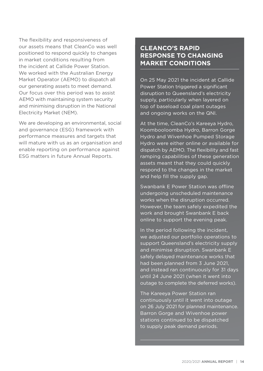The flexibility and responsiveness of our assets means that CleanCo was well positioned to respond quickly to changes in market conditions resulting from the incident at Callide Power Station. We worked with the Australian Energy Market Operator (AEMO) to dispatch all our generating assets to meet demand. Our focus over this period was to assist AEMO with maintaining system security and minimising disruption in the National Electricity Market (NEM).

We are developing an environmental, social and governance (ESG) framework with performance measures and targets that will mature with us as an organisation and enable reporting on performance against ESG matters in future Annual Reports.

### **CLEANCO'S RAPID RESPONSE TO CHANGING MARKET CONDITIONS**

On 25 May 2021 the incident at Callide Power Station triggered a significant disruption to Queensland's electricity supply, particularly when layered on top of baseload coal plant outages and ongoing works on the QNI.

At the time, CleanCo's Kareeya Hydro, Koombooloomba Hydro, Barron Gorge Hydro and Wivenhoe Pumped Storage Hydro were either online or available for dispatch by AEMO. The flexibility and fast ramping capabilities of these generation assets meant that they could quickly respond to the changes in the market and help fill the supply gap.

Swanbank E Power Station was offline undergoing unscheduled maintenance works when the disruption occurred. However, the team safely expedited the work and brought Swanbank E back online to support the evening peak.

In the period following the incident, we adjusted our portfolio operations to support Queensland's electricity supply and minimise disruption. Swanbank E safely delayed maintenance works that had been planned from 3 June 2021, and instead ran continuously for 31 days until 24 June 2021 (when it went into outage to complete the deferred works).

The Kareeya Power Station ran continuously until it went into outage on 26 July 2021 for planned maintenance. Barron Gorge and Wivenhoe power stations continued to be dispatched to supply peak demand periods.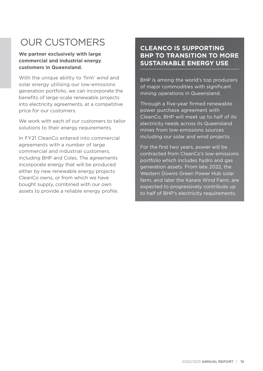# OUR CUSTOMERS

#### **We partner exclusively with large commercial and industrial energy customers in Queensland.**

With the unique ability to 'firm' wind and solar energy utilising our low-emissions generation portfolio, we can incorporate the benefits of large-scale renewable projects into electricity agreements, at a competitive price for our customers.

We work with each of our customers to tailor solutions to their energy requirements.

In FY21 CleanCo entered into commercial agreements with a number of large commercial and industrial customers, including BHP and Coles. The agreements incorporate energy that will be produced either by new renewable energy projects CleanCo owns, or from which we have bought supply, combined with our own assets to provide a reliable energy profile.

### **CLEANCO IS SUPPORTING BHP TO TRANSITION TO MORE SUSTAINABLE ENERGY USE**

BHP is among the world's top producers of major commodities with significant mining operations in Queensland.

Through a five-year firmed renewable power purchase agreement with CleanCo, BHP will meet up to half of its electricity needs across its Queensland mines from low-emissions sources including our solar and wind projects.

For the first two years, power will be contracted from CleanCo's low-emissions portfolio which includes hydro and gas generation assets. From late 2022, the Western Downs Green Power Hub solar farm, and later the Karara Wind Farm, are expected to progressively contribute up to half of BHP's electricity requirements.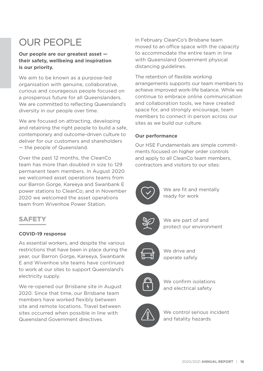# OUR PEOPLE

#### **Our people are our greatest asset their safety, wellbeing and inspiration is our priority.**

We aim to be known as a purpose-led organisation with genuine, collaborative, curious and courageous people focused on a prosperous future for all Queenslanders. We are committed to reflecting Queensland's diversity in our people over time.

We are focused on attracting, developing and retaining the right people to build a safe, contemporary and outcome-driven culture to deliver for our customers and shareholders — the people of Queensland.

Over the past 12 months, the CleanCo team has more than doubled in size to 129 permanent team members. In August 2020 we welcomed asset operations teams from our Barron Gorge, Kareeya and Swanbank E power stations to CleanCo; and in November 2020 we welcomed the asset operations team from Wivenhoe Power Station.

## SAFETY

#### **COVID-19 response**

As essential workers, and despite the various restrictions that have been in place during the year, our Barron Gorge, Kareeya, Swanbank E and Wivenhoe site teams have continued to work at our sites to support Queensland's electricity supply.

We re-opened our Brisbane site in August 2020. Since that time, our Brisbane team members have worked flexibly between site and remote locations. Travel between sites occurred when possible in line with Queensland Government directives.

In February CleanCo's Brisbane team moved to an office space with the capacity to accommodate the entire team in line with Queensland Government physical distancing guidelines.

The retention of flexible working arrangements supports our team members to achieve improved work-life balance. While we continue to embrace online communication and collaboration tools, we have created space for, and strongly encourage, team members to connect in person across our sites as we build our culture.

#### **Our performance**

Our HSE Fundamentals are simple commitments focused on higher order controls and apply to all CleanCo team members, contractors and visitors to our sites:



We are fit and mentally ready for work



We are part of and protect our environment



We drive and operate safely



We confirm isolations and electrical safety



We control serious incident and fatality hazards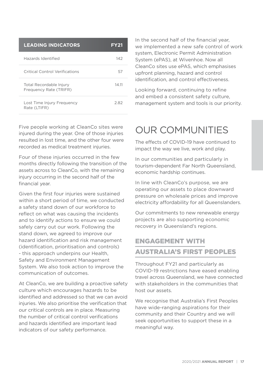| <b>LEADING INDICATORS</b>                         | <b>FY21</b> |
|---------------------------------------------------|-------------|
| Hazards Identified                                | 142         |
| Critical Control Verifications                    | 57          |
| Total Recordable Injury<br>Frequency Rate (TRIFR) | 14.11       |
| Lost Time Injury Frequency<br>Rate (LTIFR)        | 282         |

Five people working at CleanCo sites were injured during the year. One of those injuries resulted in lost time, and the other four were recorded as medical treatment injuries.

Four of these injuries occurred in the few months directly following the transition of the assets across to CleanCo, with the remaining injury occurring in the second half of the financial year.

Given the first four injuries were sustained within a short period of time, we conducted a safety stand down of our workforce to reflect on what was causing the incidents and to identify actions to ensure we could safely carry out our work. Following the stand down, we agreed to improve our hazard identification and risk management (identification, prioritisation and controls) - this approach underpins our Health, Safety and Environment Management System. We also took action to improve the communication of outcomes.

At CleanCo, we are building a proactive safety culture which encourages hazards to be identified and addressed so that we can avoid injuries. We also prioritise the verification that our critical controls are in place. Measuring the number of critical control verifications and hazards identified are important lead indicators of our safety performance.

In the second half of the financial year, we implemented a new safe control of work system, Electronic Permit Administration System (ePAS), at Wivenhoe. Now all CleanCo sites use ePAS, which emphasises upfront planning, hazard and control identification, and control effectiveness.

Looking forward, continuing to refine and embed a consistent safety culture, management system and tools is our priority.

# OUR COMMUNITIES

The effects of COVID-19 have continued to impact the way we live, work and play.

In our communities and particularly in tourism-dependent Far North Queensland, economic hardship continues.

In line with CleanCo's purpose, we are operating our assets to place downward pressure on wholesale prices and improve electricity affordability for all Queenslanders.

Our commitments to new renewable energy projects are also supporting economic recovery in Queensland's regions.

## ENGAGEMENT WITH AUSTRALIA'S FIRST PEOPLES

Throughout FY21 and particularly as COVID-19 restrictions have eased enabling travel across Queensland, we have connected with stakeholders in the communities that host our assets.

We recognise that Australia's First Peoples have wide-ranging aspirations for their community and their Country and we will seek opportunities to support these in a meaningful way.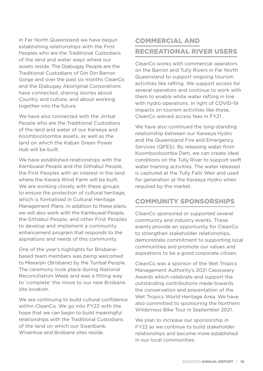In Far North Queensland we have begun establishing relationships with the First Peoples who are the Traditional Custodians of the land and water ways where our assets reside. The Djabugay People are the Traditional Custodians of Din Din Barron Gorge and over the past six months CleanCo and the Djabugay Aboriginal Corporations have connected, sharing stories about Country and culture, and about working together into the future.

We have also connected with the Jirrbal People who are the Traditional Custodians of the land and water of our Kareeya and Koombooloomba assets, as well as the land on which the Kaban Green Power Hub will be built.

We have established relationships with the Kambuwal People and the Githabul People, the First Peoples with an interest in the land where the Karara Wind Farm will be built. We are working closely with these groups to ensure the protection of cultural heritage, which is formalised in Cultural Heritage Management Plans. In addition to these plans, we will also work with the Kambuwal People, the Githabul People, and other First Peoples to develop and implement a community enhancement program that responds to the aspirations and needs of this community.

One of the year's highlights for Brisbanebased team members was being welcomed to Meeanjin (Brisbane) by the Turrbal People. The ceremony took place during National Reconciliation Week and was a fitting way to 'complete' the move to our new Brisbane site location.

We are continuing to build cultural confidence within CleanCo. We go into FY22 with the hope that we can begin to build meaningful relationships with the Traditional Custodians of the land on which our Swanbank, Wivenhoe and Brisbane sites reside.

## COMMERCIAL AND RECREATIONAL RIVER USERS

CleanCo works with commercial operators on the Barron and Tully Rivers in Far North Queensland to support ongoing tourism activities like rafting. We support access for several operators and continue to work with them to enable white water rafting in line with hydro operations. In light of COVID-19 impacts on tourism activities like these, CleanCo waived access fees in FY21 .

We have also continued the long-standing relationship between our Kareeya Hydro and the Queensland Fire and Emergency Services (QFES). By releasing water from Koombooloomba Dam, we can create ideal conditions on the Tully River to support swift water training activities. The water released is captured at the Tully Falls Weir and used for generation at the Kareeya Hydro when required by the market.

### COMMUNITY SPONSORSHIPS

CleanCo sponsored or supported several community and industry events. These events provide an opportunity for CleanCo to strengthen stakeholder relationships, demonstrate commitment to supporting local communities and promote our values and aspirations to be a good corporate citizen.

CleanCo was a sponsor of the Wet Tropics Management Authority's 2021 Cassowary Awards which celebrate and support the outstanding contributions made towards the conservation and presentation of the Wet Tropics World Heritage Area. We have also committed to sponsoring the Northern Wilderness Bike Tour in September 2021.

We plan to increase our sponsorship in FY22 as we continue to build stakeholder relationships and become more established in our local communities.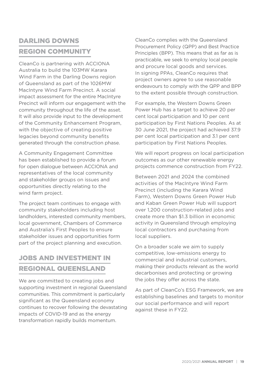## DARLING DOWNS REGION COMMUNITY

CleanCo is partnering with ACCIONA Australia to build the 103MW Karara Wind Farm in the Darling Downs region of Queensland as part of the 1026MW MacIntyre Wind Farm Precinct. A social impact assessment for the entire MacIntyre Precinct will inform our engagement with the community throughout the life of the asset. It will also provide input to the development of the Community Enhancement Program, with the objective of creating positive legacies beyond community benefits generated through the construction phase.

A Community Engagement Committee has been established to provide a forum for open dialogue between ACCIONA and representatives of the local community and stakeholder groups on issues and opportunities directly relating to the wind farm project.

The project team continues to engage with community stakeholders including host landholders, interested community members, local government, Chambers of Commerce and Australia's First Peoples to ensure stakeholder issues and opportunities form part of the project planning and execution.

## JOBS AND INVESTMENT IN REGIONAL QUEENSLAND

We are committed to creating jobs and supporting investment in regional Queensland communities. This commitment is particularly significant as the Queensland economy continues to recover following the devastating impacts of COVID-19 and as the energy transformation rapidly builds momentum.

CleanCo complies with the Queensland Procurement Policy (QPP) and Best Practice Principles (BPP). This means that as far as is practicable, we seek to employ local people and procure local goods and services. In signing PPAs, CleanCo requires that project owners agree to use reasonable endeavours to comply with the QPP and BPP to the extent possible through construction.

For example, the Western Downs Green Power Hub has a target to achieve 20 per cent local participation and 10 per cent participation by First Nations Peoples. As at 30 June 2021, the project had achieved 37.9 per cent local participation and 3.1 per cent participation by First Nations Peoples.

We will report progress on local participation outcomes as our other renewable energy projects commence construction from FY22.

Between 2021 and 2024 the combined activities of the MacIntyre Wind Farm Precinct (including the Karara Wind Farm), Western Downs Green Power Hub and Kaban Green Power Hub will support over 1,200 construction-related jobs and create more than \$1.3 billion in economic activity in Queensland through employing local contractors and purchasing from local suppliers.

On a broader scale we aim to supply competitive, low-emissions energy to commercial and industrial customers, making their products relevant as the world decarbonises and protecting or growing the jobs they offer across the state.

As part of CleanCo's ESG Framework, we are establishing baselines and targets to monitor our social performance and will report against these in FY22.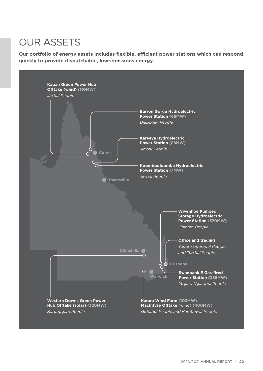# OUR ASSETS

**Our portfolio of energy assets includes flexible, efficient power stations which can respond quickly to provide dispatchable, low-emissions energy.**

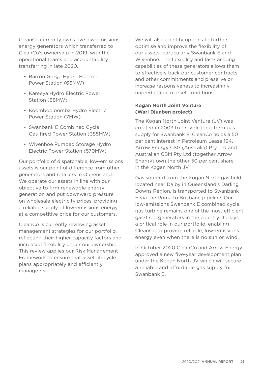CleanCo currently owns five low-emissions energy generators which transferred to CleanCo's ownership in 2019, with the operational teams and accountability transferring in late 2020.

- Barron Gorge Hydro Electric Power Station (66MW)
- Kareeya Hydro Electric Power Station (88MW)
- Koombooloomba Hydro Electric Power Station (7MW)
- Swanbank E Combined Cycle Gas-fired Power Station (385MW)
- Wivenhoe Pumped Storage Hydro Electric Power Station (570MW)

Our portfolio of dispatchable, low-emissions assets is our point of difference from other generators and retailers in Queensland. We operate our assets in line with our objective to firm renewable energy generation and put downward pressure on wholesale electricity prices, providing a reliable supply of low-emissions energy at a competitive price for our customers.

CleanCo is currently reviewing asset management strategies for our portfolio, reflecting their higher capacity factors and increased flexibility under our ownership. This review applies our Risk Management Framework to ensure that asset lifecycle plans appropriately and efficiently manage risk.

We will also identify options to further optimise and improve the flexibility of our assets, particularly Swanbank E and Wivenhoe. The flexibility and fast-ramping capabilities of these generators allows them to effectively back our customer contracts and other commitments and preserve or increase responsiveness to increasingly unpredictable market conditions.

#### **Kogan North Joint Venture (Wari Djunben project)**

The Kogan North Joint Venture (JV) was created in 2003 to provide long-term gas supply for Swanbank E. CleanCo holds a 50 per cent interest in Petroleum Lease 194. Arrow Energy CSG (Australia) Pty Ltd and Australian CBM Pty Ltd (together Arrow Energy) own the other 50 per cent share in the Kogan North JV.

Gas sourced from the Kogan North gas field, located near Dalby in Queensland's Darling Downs Region, is transported to Swanbank E via the Roma to Brisbane pipeline. Our low-emissions Swanbank E combined cycle gas turbine remains one of the most efficient gas-fired generators in the country. It plays a critical role in our portfolio, enabling CleanCo to provide reliable, low-emissions energy even when there is no sun or wind.

In October 2020 CleanCo and Arrow Energy approved a new five-year development plan under the Kogan North JV which will secure a reliable and affordable gas supply for Swanbank E.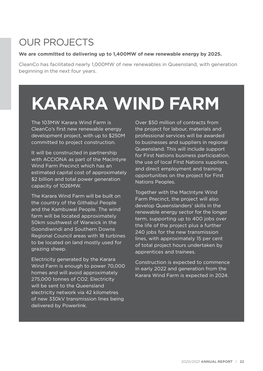# OUR PROJECTS

#### **We are committed to delivering up to 1,400MW of new renewable energy by 2025.**

CleanCo has facilitated nearly 1,000MW of new renewables in Queensland, with generation beginning in the next four years.

# **KARARA WIND FARM**

The 103MW Karara Wind Farm is CleanCo's first new renewable energy development project, with up to \$250M committed to project construction.

It will be constructed in partnership with ACCIONA as part of the MacIntyre Wind Farm Precinct which has an estimated capital cost of approximately \$2 billion and total power generation capacity of 1026MW.

The Karara Wind Farm will be built on the country of the Githabul People and the Kambuwal People. The wind farm will be located approximately 50km southwest of Warwick in the Goondiwindi and Southern Downs Regional Council areas with 18 turbines to be located on land mostly used for grazing sheep.

Electricity generated by the Karara Wind Farm is enough to power 70,000 homes and will avoid approximately 275,000 tonnes of CO2. Electricity will be sent to the Queensland electricity network via 42 kilometres of new 330kV transmission lines being delivered by Powerlink.

Over \$50 million of contracts from the project for labour, materials and professional services will be awarded to businesses and suppliers in regional Queensland. This will include support for First Nations business participation, the use of local First Nations suppliers, and direct employment and training opportunities on the project for First Nations Peoples.

Together with the MacIntyre Wind Farm Precinct, the project will also develop Queenslanders' skills in the renewable energy sector for the longer term, supporting up to 400 jobs over the life of the project plus a further 240 jobs for the new transmission lines, with approximately 15 per cent of total project hours undertaken by apprentices and trainees.

Construction is expected to commence in early 2022 and generation from the Karara Wind Farm is expected in 2024.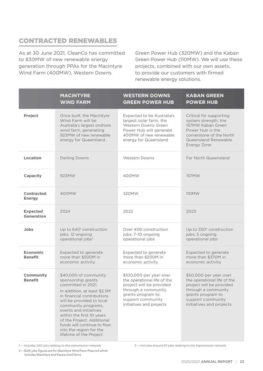## CONTRACTED RENEWABLES

As at 30 June 2021, CleanCo has committed to 830MW of new renewable energy generation through PPAs for the MacIntyre Wind Farm (400MW), Western Downs

Green Power Hub (320MW) and the Kaban Green Power Hub (110MW). We will use these projects, combined with our own assets, to provide our customers with firmed renewable energy solutions.

|                                      | <b>MACINTYRE</b><br><b>WIND FARM</b>                                                                                                                                                                                                                                                                                                                          | <b>WESTERN DOWNS</b><br><b>GREEN POWER HUB</b>                                                                                                                                  | <b>KABAN GREEN</b><br><b>POWER HUB</b>                                                                                                                                         |
|--------------------------------------|---------------------------------------------------------------------------------------------------------------------------------------------------------------------------------------------------------------------------------------------------------------------------------------------------------------------------------------------------------------|---------------------------------------------------------------------------------------------------------------------------------------------------------------------------------|--------------------------------------------------------------------------------------------------------------------------------------------------------------------------------|
| Project                              | Once built, the MacIntyre<br>Wind Farm will be<br>Australia's largest onshore<br>wind farm, generating<br>923MW of new renewable<br>energy for Queensland                                                                                                                                                                                                     | Expected to be Australia's<br>largest solar farm, the<br>Western Downs Green<br>Power Hub will generate<br>400MW of new renewable<br>energy for Queensland                      | Critical for supporting<br>system strength, the<br>157MW Kaban Green<br>Power Hub is the<br>cornerstone of the North<br>Queensland Renewable<br>Energy Zone                    |
| <b>Location</b>                      | <b>Darling Downs</b>                                                                                                                                                                                                                                                                                                                                          | <b>Western Downs</b>                                                                                                                                                            | Far North Queensland                                                                                                                                                           |
| <b>Capacity</b>                      | 923MW                                                                                                                                                                                                                                                                                                                                                         | 400MW                                                                                                                                                                           | 157MW                                                                                                                                                                          |
| <b>Contracted</b><br><b>Energy</b>   | 400MW                                                                                                                                                                                                                                                                                                                                                         | 320MW                                                                                                                                                                           | <b>110MW</b>                                                                                                                                                                   |
| <b>Expected</b><br><b>Generation</b> | 2024                                                                                                                                                                                                                                                                                                                                                          | 2022                                                                                                                                                                            | 2023                                                                                                                                                                           |
| Jobs                                 | Up to 640 <sup>1</sup> construction<br>jobs; 12 ongoing<br>operational jobs <sup>2</sup>                                                                                                                                                                                                                                                                      | Over 400 construction<br>jobs; 7-10 ongoing<br>operational jobs                                                                                                                 | Up to 350 <sup>3</sup> construction<br>jobs; 5 ongoing<br>operational jobs                                                                                                     |
| <b>Economic</b><br><b>Benefit</b>    | Expected to generate<br>more than \$500M in<br>economic activity                                                                                                                                                                                                                                                                                              | Expected to generate<br>more than \$200M in<br>economic activity                                                                                                                | Expected to generate<br>more than \$370M in<br>economic activity                                                                                                               |
| <b>Community</b><br><b>Benefit</b>   | \$40,000 of community<br>sponsorship grants<br>committed in 2021.<br>In addition, at least \$2.5M<br>in financial contributions<br>will be provided to local<br>community programs,<br>events and initiatives<br>within the first 10 years<br>of the Project. Additional<br>funds will continue to flow<br>into the region for the<br>lifetime of the Project | \$100,000 per year over<br>the operational life of the<br>project will be provided<br>through a community<br>grants program to<br>support community<br>initiatives and projects | \$50,000 per year over<br>the operational life of the<br>project will be provided<br>through a community<br>grants program to<br>support community<br>initiatives and projects |

1 — Includes 240 jobs relating to the transmission network

2 — Both jobs figures are for MacIntyre Wind Farm Precinct which includes MacIntyre and Karara wind farms

3 — Includes around 97 jobs relating to the transmission network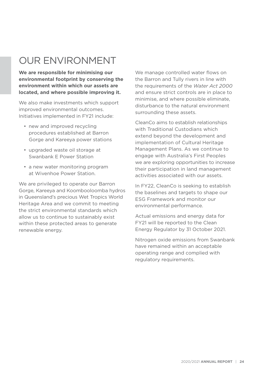# OUR ENVIRONMENT

**We are responsible for minimising our environmental footprint by conserving the environment within which our assets are located, and where possible improving it.**

We also make investments which support improved environmental outcomes. Initiatives implemented in FY21 include:

- new and improved recycling procedures established at Barron Gorge and Kareeya power stations
- upgraded waste oil storage at Swanbank E Power Station
- a new water monitoring program at Wivenhoe Power Station.

We are privileged to operate our Barron Gorge, Kareeya and Koombooloomba hydros in Queensland's precious Wet Tropics World Heritage Area and we commit to meeting the strict environmental standards which allow us to continue to sustainably exist within these protected areas to generate renewable energy.

We manage controlled water flows on the Barron and Tully rivers in line with the requirements of the *Water Act 2000* and ensure strict controls are in place to minimise, and where possible eliminate, disturbance to the natural environment surrounding these assets.

CleanCo aims to establish relationships with Traditional Custodians which extend beyond the development and implementation of Cultural Heritage Management Plans. As we continue to engage with Australia's First Peoples we are exploring opportunities to increase their participation in land management activities associated with our assets.

In FY22, CleanCo is seeking to establish the baselines and targets to shape our ESG Framework and monitor our environmental performance.

Actual emissions and energy data for FY21 will be reported to the Clean Energy Regulator by 31 October 2021.

Nitrogen oxide emissions from Swanbank have remained within an acceptable operating range and complied with regulatory requirements.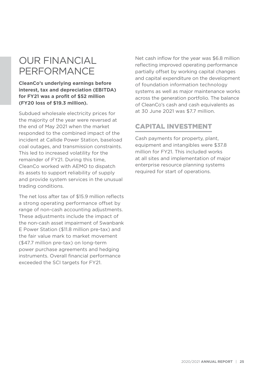# OUR FINANCIAL PERFORMANCE

**CleanCo's underlying earnings before interest, tax and depreciation (EBITDA) for FY21 was a profit of \$52 million (FY20 loss of \$19.3 million).** 

Subdued wholesale electricity prices for the majority of the year were reversed at the end of May 2021 when the market responded to the combined impact of the incident at Callide Power Station, baseload coal outages, and transmission constraints. This led to increased volatility for the remainder of FY21. During this time, CleanCo worked with AEMO to dispatch its assets to support reliability of supply and provide system services in the unusual trading conditions.

The net loss after tax of \$15.9 million reflects a strong operating performance offset by range of non-cash accounting adjustments. These adjustments include the impact of the non-cash asset impairment of Swanbank E Power Station (\$11.8 million pre-tax) and the fair value mark to market movement (\$47.7 million pre-tax) on long-term power purchase agreements and hedging instruments. Overall financial performance exceeded the SCI targets for FY21.

Net cash inflow for the year was \$6.8 million reflecting improved operating performance partially offset by working capital changes and capital expenditure on the development of foundation information technology systems as well as major maintenance works across the generation portfolio. The balance of CleanCo's cash and cash equivalents as at 30 June 2021 was \$7.7 million.

## CAPITAL INVESTMENT

Cash payments for property, plant, equipment and intangibles were \$37.8 million for FY21. This included works at all sites and implementation of major enterprise resource planning systems required for start of operations.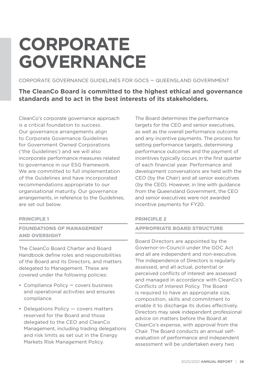# **CORPORATE GOVERNANCE**

#### CORPORATE GOVERNANCE GUIDELINES FOR GOCS — QUEENSLAND GOVERNMENT

### **The CleanCo Board is committed to the highest ethical and governance standards and to act in the best interests of its stakeholders.**

CleanCo's corporate governance approach is a critical foundation to success. Our governance arrangements align to Corporate Governance Guidelines for Government Owned Corporations ('the Guidelines') and we will also incorporate performance measures related to governance in our ESG framework. We are committed to full implementation of the Guidelines and have incorporated recommendations appropriate to our organisational maturity. Our governance arrangements, in reference to the Guidelines, are set out below.

#### PRINCIPLE 1

#### FOUNDATIONS OF MANAGEMENT AND OVERSIGHT

The CleanCo Board Charter and Board Handbook define roles and responsibilities of the Board and its Directors, and matters delegated to Management. These are covered under the following policies:

- Compliance Policy covers business and operational activities and ensures compliance.
- Delegations Policy covers matters reserved for the Board and those delegated to the CEO and CleanCo Management, including trading delegations and risk limits as set out in the Energy Markets Risk Management Policy.

The Board determines the performance targets for the CEO and senior executives, as well as the overall performance outcome and any incentive payments. The process for setting performance targets, determining performance outcomes and the payment of incentives typically occurs in the first quarter of each financial year. Performance and development conversations are held with the CEO (by the Chair) and all senior executives (by the CEO). However, in line with guidance from the Queensland Government, the CEO and senior executives were not awarded incentive payments for FY20.

#### PRINCIPLE 2

#### APPROPRIATE BOARD STRUCTURE

Board Directors are appointed by the Governor-in-Council under the GOC Act and all are independent and non-executive. The independence of Directors is regularly assessed, and all actual, potential or perceived conflicts of interest are assessed and managed in accordance with CleanCo's Conflicts of Interest Policy. The Board is required to have an appropriate size, composition, skills and commitment to enable it to discharge its duties effectively. Directors may seek independent professional advice on matters before the Board at CleanCo's expense, with approval from the Chair. The Board conducts an annual selfevaluation of performance and independent assessment will be undertaken every two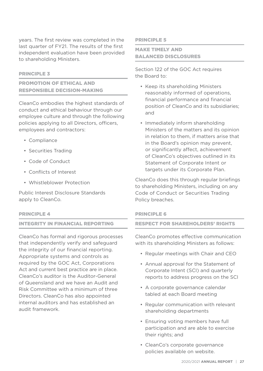years. The first review was completed in the last quarter of FY21. The results of the first independent evaluation have been provided to shareholding Ministers.

#### PRINCIPLE 3

#### PROMOTION OF ETHICAL AND RESPONSIBLE DECISION-MAKING

CleanCo embodies the highest standards of conduct and ethical behaviour through our employee culture and through the following policies applying to all Directors, officers, employees and contractors:

- Compliance
- Securities Trading
- Code of Conduct
- Conflicts of Interest
- Whistleblower Protection

Public Interest Disclosure Standards apply to CleanCo.

#### PRINCIPLE 4

#### INTEGRITY IN FINANCIAL REPORTING

CleanCo has formal and rigorous processes that independently verify and safeguard the integrity of our financial reporting. Appropriate systems and controls as required by the GOC Act, Corporations Act and current best practice are in place. CleanCo's auditor is the Auditor-General of Queensland and we have an Audit and Risk Committee with a minimum of three Directors. CleanCo has also appointed internal auditors and has established an audit framework.

PRINCIPLE 5

#### MAKE TIMELY AND BALANCED DISCLOSURES

Section 122 of the GOC Act requires the Board to:

- Keep its shareholding Ministers reasonably informed of operations, financial performance and financial position of CleanCo and its subsidiaries; and
- Immediately inform shareholding Ministers of the matters and its opinion in relation to them, if matters arise that in the Board's opinion may prevent, or significantly affect, achievement of CleanCo's objectives outlined in its Statement of Corporate Intent or targets under its Corporate Plan.

CleanCo does this through regular briefings to shareholding Ministers, including on any Code of Conduct or Securities Trading Policy breaches.

#### PRINCIPLE 6

RESPECT FOR SHAREHOLDERS' RIGHTS

CleanCo promotes effective communication with its shareholding Ministers as follows:

- Regular meetings with Chair and CEO
- Annual approval for the Statement of Corporate Intent (SCI) and quarterly reports to address progress on the SCI
- A corporate governance calendar tabled at each Board meeting
- Regular communication with relevant shareholding departments
- Ensuring voting members have full participation and are able to exercise their rights; and
- CleanCo's corporate governance policies available on website.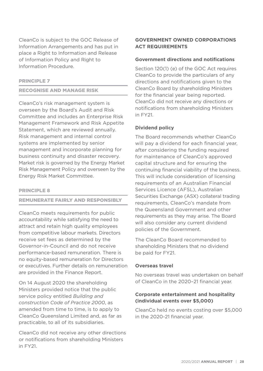CleanCo is subject to the GOC Release of Information Arrangements and has put in place a Right to Information and Release of Information Policy and Right to Information Procedure.

#### PRINCIPLE 7

#### RECOGNISE AND MANAGE RISK

CleanCo's risk management system is overseen by the Board's Audit and Risk Committee and includes an Enterprise Risk Management Framework and Risk Appetite Statement, which are reviewed annually. Risk management and internal control systems are implemented by senior management and incorporate planning for business continuity and disaster recovery. Market risk is governed by the Energy Market Risk Management Policy and overseen by the Energy Risk Market Committee.

#### PRINCIPLE 8

#### REMUNERATE FAIRLY AND RESPONSIBLY

CleanCo meets requirements for public accountability while satisfying the need to attract and retain high quality employees from competitive labour markets. Directors receive set fees as determined by the Governor-in-Council and do not receive performance-based remuneration. There is no equity-based remuneration for Directors or executives. Further details on remuneration are provided in the Finance Report.

On 14 August 2020 the shareholding Ministers provided notice that the public service policy entitled *Building and construction Code of Practice 2000*, as amended from time to time, is to apply to CleanCo Queensland Limited and, as far as practicable, to all of its subsidiaries.

CleanCo did not receive any other directions or notifications from shareholding Ministers in FY21.

#### **GOVERNMENT OWNED CORPORATIONS ACT REQUIREMENTS**

#### **Government directions and notifications**

Section 120(1) (e) of the GOC Act requires CleanCo to provide the particulars of any directions and notifications given to the CleanCo Board by shareholding Ministers for the financial year being reported. CleanCo did not receive any directions or notifications from shareholding Ministers in FY21.

#### **Dividend policy**

The Board recommends whether CleanCo will pay a dividend for each financial year. after considering the funding required for maintenance of CleanCo's approved capital structure and for ensuring the continuing financial viability of the business. This will include consideration of licensing requirements of an Australian Financial Services Licence (AFSL), Australian Securities Exchange (ASX) collateral trading requirements, CleanCo's mandate from the Queensland Government and other requirements as they may arise. The Board will also consider any current dividend policies of the Government.

The CleanCo Board recommended to shareholding Ministers that no dividend be paid for FY21.

#### **Overseas travel**

No overseas travel was undertaken on behalf of CleanCo in the 2020–21 financial year.

#### **Corporate entertainment and hospitality (individual events over \$5,000)**

CleanCo held no events costing over \$5,000 in the 2020-21 financial year.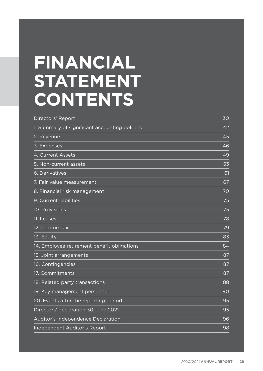# **FINANCIAL STATEMENT CONTENTS**

| Directors' Report                             | 30 |
|-----------------------------------------------|----|
| 1. Summary of significant accounting policies | 42 |
| 2. Revenue                                    | 45 |
| 3. Expenses                                   | 46 |
| 4. Current Assets                             | 49 |
| 5. Non-current assets                         | 53 |
| 6. Derivatives                                | 61 |
| 7. Fair value measurement                     | 67 |
| 8. Financial risk management                  | 70 |
| 9. Current liabilities                        | 75 |
| 10. Provisions                                | 75 |
| 11. Leases                                    | 78 |
| 12. Income Tax                                | 79 |
| 13. Equity                                    | 83 |
| 14. Employee retirement benefit obligations   | 84 |
| 15. Joint arrangements                        | 87 |
| 16. Contingencies                             | 87 |
| 17. Commitments                               | 87 |
| 18. Related party transactions                | 88 |
| 19. Key management personnel                  | 90 |
| 20. Events after the reporting period         | 95 |
| Directors' declaration 30 June 2021           | 95 |
| Auditor's Independence Declaration            | 96 |
| Independent Auditor's Report                  | 98 |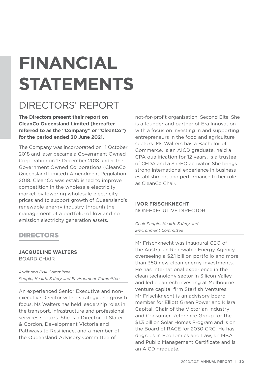# **FINANCIAL STATEMENTS**

# DIRECTORS' REPORT

**The Directors present their report on CleanCo Queensland Limited (hereafter referred to as the "Company" or "CleanCo") for the period ended 30 June 2021.** 

The Company was incorporated on 11 October 2018 and later became a Government Owned Corporation on 17 December 2018 under the Government Owned Corporations (CleanCo Queensland Limited) Amendment Regulation 2018. CleanCo was established to improve competition in the wholesale electricity market by lowering wholesale electricity prices and to support growth of Queensland's renewable energy industry through the management of a portfolio of low and no emission electricity generation assets.

### DIRECTORS

#### **JACQUELINE WALTERS** BOARD CHAIR

*Audit and Risk Committee People, Health, Safety and Environment Committee* 

An experienced Senior Executive and nonexecutive Director with a strategy and growth focus, Ms Walters has held leadership roles in the transport, infrastructure and professional services sectors. She is a Director of Slater & Gordon, Development Victoria and Pathways to Resilience, and a member of the Queensland Advisory Committee of

not-for-profit organisation, Second Bite. She is a founder and partner of Era Innovation with a focus on investing in and supporting entrepreneurs in the food and agriculture sectors. Ms Walters has a Bachelor of Commerce, is an AICD graduate, held a CPA qualification for 12 years, is a trustee of CEDA and a SheEO activator. She brings strong international experience in business establishment and performance to her role as CleanCo Chair.

#### **IVOR FRISCHKNECHT** NON-EXECUTIVE DIRECTOR

*Chair People, Health, Safety and Environment Committee*

Mr Frischknecht was inaugural CEO of the Australian Renewable Energy Agency overseeing a \$2.1 billion portfolio and more than 350 new clean energy investments. He has international experience in the clean technology sector in Silicon Valley and led cleantech investing at Melbourne venture capital firm Starfish Ventures. Mr Frischknecht is an advisory board member for Elliott Green Power and Kilara Capital, Chair of the Victorian Industry and Consumer Reference Group for the \$1.3 billion Solar Homes Program and is on the Board of RACE for 2030 CRC. He has degrees in Economics and Law, an MBA and Public Management Certificate and is an AICD graduate.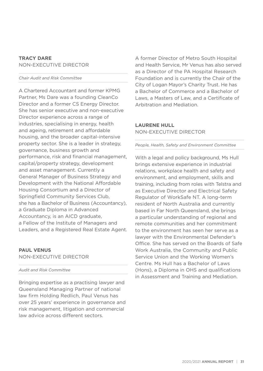#### **TRACY DARE** NON-EXECUTIVE DIRECTOR

#### *Chair Audit and Risk Committee*

A Chartered Accountant and former KPMG Partner, Ms Dare was a founding CleanCo Director and a former CS Energy Director. She has senior executive and non-executive Director experience across a range of industries, specialising in energy, health and ageing, retirement and affordable housing, and the broader capital-intensive property sector. She is a leader in strategy, governance, business growth and performance, risk and financial management, capital/property strategy, development and asset management. Currently a General Manager of Business Strategy and Development with the National Affordable Housing Consortium and a Director of Springfield Community Services Club, she has a Bachelor of Business (Accountancy), a Graduate Diploma in Advanced Accountancy, is an AICD graduate, a Fellow of the Institute of Managers and Leaders, and a Registered Real Estate Agent.

#### **PAUL VENUS**

NON-EXECUTIVE DIRECTOR

*Audit and Risk Committee*

Bringing expertise as a practising lawyer and Queensland Managing Partner of national law firm Holding Redlich, Paul Venus has over 25 years' experience in governance and risk management, litigation and commercial law advice across different sectors.

A former Director of Metro South Hospital and Health Service, Mr Venus has also served as a Director of the PA Hospital Research Foundation and is currently the Chair of the City of Logan Mayor's Charity Trust. He has a Bachelor of Commerce and a Bachelor of Laws, a Masters of Law, and a Certificate of Arbitration and Mediation.

#### **LAURENE HULL** NON-EXECUTIVE DIRECTOR

#### *People, Health, Safety and Environment Committee*

With a legal and policy background, Ms Hull brings extensive experience in industrial relations, workplace health and safety and environment, and employment, skills and training, including from roles with Telstra and as Executive Director and Electrical Safety Regulator of WorkSafe NT. A long-term resident of North Australia and currently based in Far North Queensland, she brings a particular understanding of regional and remote communities and her commitment to the environment has seen her serve as a lawyer with the Environmental Defender's Office. She has served on the Boards of Safe Work Australia, the Community and Public Service Union and the Working Women's Centre. Ms Hull has a Bachelor of Laws (Hons), a Diploma in OHS and qualifications in Assessment and Training and Mediation.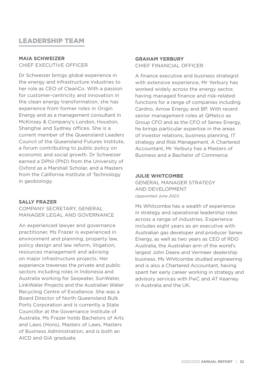### LEADERSHIP TEAM

#### **MAIA SCHWEIZER** CHIEF EXECUTIVE OFFICER

Dr Schweizer brings global experience in the energy and infrastructure industries to her role as CEO of CleanCo. With a passion for customer-centricity and innovation in the clean energy transformation, she has experience from former roles in Origin Energy and as a management consultant in McKinsey & Company's London, Houston, Shanghai and Sydney offices. She is a current member of the Queensland Leaders Council of the Queensland Futures Institute, a forum contributing to public policy on economic and social growth. Dr Schweizer earned a DPhil (PhD) from the University of Oxford as a Marshall Scholar, and a Masters from the California Institute of Technology in geobiology.

#### **SALLY FRAZER**

COMPANY SECRETARY, GENERAL MANAGER LEGAL AND GOVERNANCE

An experienced lawyer and governance practitioner, Ms Frazer is experienced in environment and planning, property law, policy design and law reform, litigation, resources management and advising on major infrastructure projects. Her experience traverses the private and public sectors including roles in Indonesia and Australia working for Seqwater, SunWater, LinkWater Projects and the Australian Water Recycling Centre of Excellence. She was a Board Director of North Queensland Bulk Ports Corporation and is currently a State Councillor at the Governance Institute of Australia. Ms Frazer holds Bachelors of Arts and Laws (Hons), Masters of Laws, Masters of Business Administration, and is both an AICD and GIA graduate.

#### **GRAHAM YERBURY** CHIEF FINANCIAL OFFICER

A finance executive and business strategist with extensive experience, Mr Yerbury has worked widely across the energy sector, having managed finance and risk-related functions for a range of companies including Cardno, Arrow Energy and BP. With recent senior management roles at QMetco as Group CFO and as the CFO of Senex Energy, he brings particular expertise in the areas of investor relations, business planning, IT strategy and Risk Management. A Chartered Accountant, Mr Yerbury has a Masters of Business and a Bachelor of Commerce.

#### **JULIE WHITCOMBE**

GENERAL MANAGER STRATEGY AND DEVELOPMENT *(appointed June 2021)*

Ms Whitcombe has a wealth of experience in strategy and operational leadership roles across a range of industries. Experience includes eight years as an executive with Australian gas developer and producer Senex Energy, as well as two years as CEO of RDO Australia, the Australian arm of the world's largest John Deere and Vermeer dealership business. Ms Whitcombe studied engineering and is also a Chartered Accountant, having spent her early career working in strategy and advisory services with PwC and AT Kearney in Australia and the UK.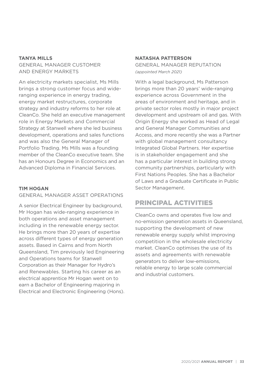#### **TANYA MILLS**

GENERAL MANAGER CUSTOMER AND ENERGY MARKETS

An electricity markets specialist, Ms Mills brings a strong customer focus and wideranging experience in energy trading, energy market restructures, corporate strategy and industry reforms to her role at CleanCo. She held an executive management role in Energy Markets and Commercial Strategy at Stanwell where she led business development, operations and sales functions and was also the General Manager of Portfolio Trading. Ms Mills was a founding member of the CleanCo executive team. She has an Honours Degree in Economics and an Advanced Diploma in Financial Services.

#### **TIM HOGAN**

#### GENERAL MANAGER ASSET OPERATIONS

A senior Electrical Engineer by background, Mr Hogan has wide-ranging experience in both operations and asset management including in the renewable energy sector. He brings more than 20 years of expertise across different types of energy generation assets. Based in Cairns and from North Queensland, Tim previously led Engineering and Operations teams for Stanwell Corporation as their Manager for Hydro's and Renewables. Starting his career as an electrical apprentice Mr Hogan went on to earn a Bachelor of Engineering majoring in Electrical and Electronic Engineering (Hons).

#### **NATASHA PATTERSON**

GENERAL MANAGER REPUTATION *(appointed March 2021)*

With a legal background, Ms Patterson brings more than 20 years' wide-ranging experience across Government in the areas of environment and heritage, and in private sector roles mostly in major project development and upstream oil and gas. With Origin Energy she worked as Head of Legal and General Manager Communities and Access, and more recently she was a Partner with global management consultancy Integrated Global Partners. Her expertise is in stakeholder engagement and she has a particular interest in building strong community partnerships, particularly with First Nations Peoples. She has a Bachelor of Laws and a Graduate Certificate in Public Sector Management.

## PRINCIPAL ACTIVITIES

CleanCo owns and operates five low and no-emission generation assets in Queensland, supporting the development of new renewable energy supply whilst improving competition in the wholesale electricity market. CleanCo optimises the use of its assets and agreements with renewable generators to deliver low-emissions, reliable energy to large scale commercial and industrial customers.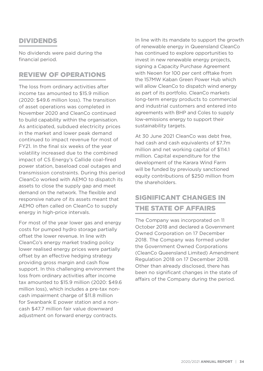### DIVIDENDS

No dividends were paid during the financial period.

### REVIEW OF OPERATIONS

The loss from ordinary activities after income tax amounted to \$15.9 million (2020: \$49.6 million loss). The transition of asset operations was completed in November 2020 and CleanCo continued to build capability within the organisation. As anticipated, subdued electricity prices in the market and lower peak demand continued to impact revenue for most of FY21. In the final six weeks of the year volatility increased due to the combined impact of CS Energy's Callide coal-fired power station, baseload coal outages and transmission constraints. During this period CleanCo worked with AEMO to dispatch its assets to close the supply gap and meet demand on the network. The flexible and responsive nature of its assets meant that AEMO often called on CleanCo to supply energy in high-price intervals.

For most of the year lower gas and energy costs for pumped hydro storage partially offset the lower revenue. In line with CleanCo's energy market trading policy lower realised energy prices were partially offset by an effective hedging strategy providing gross margin and cash flow support. In this challenging environment the loss from ordinary activities after income tax amounted to \$15.9 million (2020: \$49.6 million loss), which includes a pre-tax noncash impairment charge of \$11.8 million for Swanbank E power station and a noncash \$47.7 million fair value downward adjustment on forward energy contracts.

In line with its mandate to support the growth of renewable energy in Queensland CleanCo has continued to explore opportunities to invest in new renewable energy projects, signing a Capacity Purchase Agreement with Neoen for 100 per cent offtake from the 157MW Kaban Green Power Hub which will allow CleanCo to dispatch wind energy as part of its portfolio. CleanCo markets long-term energy products to commercial and industrial customers and entered into agreements with BHP and Coles to supply low-emissions energy to support their sustainability targets.

At 30 June 2021 CleanCo was debt free, had cash and cash equivalents of \$7.7m million and net working capital of \$114.1 million. Capital expenditure for the development of the Karara Wind Farm will be funded by previously sanctioned equity contributions of \$250 million from the shareholders.

## SIGNIFICANT CHANGES IN THE STATE OF AFFAIRS

The Company was incorporated on 11 October 2018 and declared a Government Owned Corporation on 17 December 2018. The Company was formed under the Government Owned Corporations (CleanCo Queensland Limited) Amendment Regulation 2018 on 17 December 2018. Other than already disclosed, there has been no significant changes in the state of affairs of the Company during the period.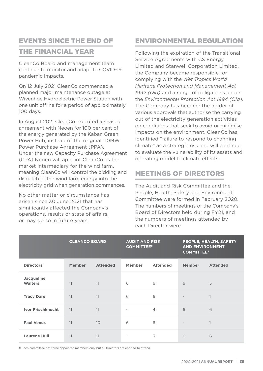## EVENTS SINCE THE END OF

### THE FINANCIAL YEAR

CleanCo Board and management team continue to monitor and adapt to COVID-19 pandemic impacts.

On 12 July 2021 CleanCo commenced a planned major maintenance outage at Wivenhoe Hydroelectric Power Station with one unit offline for a period of approximately 100 days.

In August 2021 CleanCo executed a revised agreement with Neoen for 100 per cent of the energy generated by the Kaban Green Power Hub, instead of the original 110MW Power Purchase Agreement (PPA). Under the new Capacity Purchase Agreement (CPA) Neoen will appoint CleanCo as the market intermediary for the wind farm, meaning CleanCo will control the bidding and dispatch of the wind farm energy into the electricity grid when generation commences.

No other matter or circumstance has arisen since 30 June 2021 that has significantly affected the Company's operations, results or state of affairs, or may do so in future years.

## ENVIRONMENTAL REGULATION

Following the expiration of the Transitional Service Agreements with CS Energy Limited and Stanwell Corporation Limited, the Company became responsible for complying with the *Wet Tropics World Heritage Protection and Management Act 1992 (Qld)* and a range of obligations under the *Environmental Protection Act 1994 (Qld)*. The Company has become the holder of various approvals that authorise the carrying out of the electricity generation activities on conditions that seek to avoid or minimise impacts on the environment. CleanCo has identified "failure to respond to changing climate" as a strategic risk and will continue to evaluate the vulnerability of its assets and operating model to climate effects.

## MEETINGS OF DIRECTORS

The Audit and Risk Committee and the People, Health, Safety and Environment Committee were formed in February 2020. The numbers of meetings of the Company's Board of Directors held during FY21, and the numbers of meetings attended by each Director were:

|                                     | <b>CLEANCO BOARD</b> |                 | <b>AUDIT AND RISK</b><br><b>COMMITTEE</b> # |                 | PEOPLE, HEALTH, SAFETY<br><b>AND ENVIRONMENT</b><br><b>COMMITTEE#</b> |                 |
|-------------------------------------|----------------------|-----------------|---------------------------------------------|-----------------|-----------------------------------------------------------------------|-----------------|
| <b>Directors</b>                    | <b>Member</b>        | <b>Attended</b> | <b>Member</b>                               | <b>Attended</b> | <b>Member</b>                                                         | <b>Attended</b> |
| <b>Jacqueline</b><br><b>Walters</b> | 11                   | 11              | 6                                           | 6               | 6                                                                     | 5               |
| <b>Tracy Dare</b>                   | 11                   | 11              | 6                                           | 6               | $\overline{\phantom{a}}$                                              |                 |
| <b>Ivor Frischknecht</b>            | 11                   | 11              | $\qquad \qquad -$                           | $\overline{4}$  | 6                                                                     | 6               |
| <b>Paul Venus</b>                   | 11                   | 10 <sup>°</sup> | 6                                           | 6               | $\overline{\phantom{a}}$                                              | $\overline{1}$  |
| <b>Laurene Hull</b>                 | 11                   | 11              |                                             | 3               | 6                                                                     | 6               |

# Each committee has three appointed members only but all Directors are entitled to attend.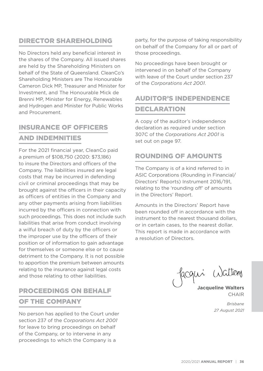## DIRECTOR SHAREHOLDING

No Directors held any beneficial interest in the shares of the Company. All issued shares are held by the Shareholding Ministers on behalf of the State of Queensland. CleanCo's Shareholding Ministers are The Honourable Cameron Dick MP, Treasurer and Minister for Investment, and The Honourable Mick de Brenni MP, Minister for Energy, Renewables and Hydrogen and Minister for Public Works and Procurement.

## INSURANCE OF OFFICERS

### AND INDEMNITIES

For the 2021 financial year, CleanCo paid a premium of \$108,750 (2020: \$73,186) to insure the Directors and officers of the Company. The liabilities insured are legal costs that may be incurred in defending civil or criminal proceedings that may be brought against the officers in their capacity as officers of entities in the Company and any other payments arising from liabilities incurred by the officers in connection with such proceedings. This does not include such liabilities that arise from conduct involving a wilful breach of duty by the officers or the improper use by the officers of their position or of information to gain advantage for themselves or someone else or to cause detriment to the Company. It is not possible to apportion the premium between amounts relating to the insurance against legal costs and those relating to other liabilities.

## PROCEEDINGS ON BEHALF OF THE COMPANY

No person has applied to the Court under section 237 of the *Corporations Act 2001*  for leave to bring proceedings on behalf of the Company, or to intervene in any proceedings to which the Company is a

party, for the purpose of taking responsibility on behalf of the Company for all or part of those proceedings.

No proceedings have been brought or intervened in on behalf of the Company with leave of the Court under section 237 of the *Corporations Act 2001*.

## AUDITOR'S INDEPENDENCE DECLARATION

A copy of the auditor's independence declaration as required under section 307C of the *Corporations Act 2001* is set out on page 97.

## ROUNDING OF AMOUNTS

The Company is of a kind referred to in ASIC Corporations (Rounding in Financial/ Directors' Reports) Instrument 2016/191, relating to the 'rounding off' of amounts in the Directors' Report.

Amounts in the Directors' Report have been rounded off in accordance with the instrument to the nearest thousand dollars, or in certain cases, to the nearest dollar. This report is made in accordance with a resolution of Directors.

facqui Wattery

**Jacqueline Walters CHAIR** 

> *Brisbane 27 August 2021*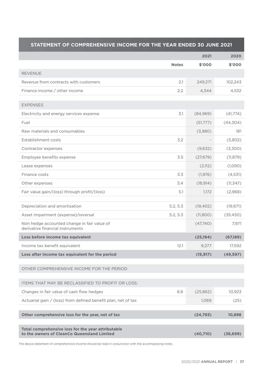#### **STATEMENT OF COMPREHENSIVE INCOME FOR THE YEAR ENDED 30 JUNE 2021**

|                                                                                                   |              | 2021      | 2020      |
|---------------------------------------------------------------------------------------------------|--------------|-----------|-----------|
|                                                                                                   | <b>Notes</b> | \$'000    | \$'000    |
| <b>REVENUE</b>                                                                                    |              |           |           |
| Revenue from contracts with customers                                                             | 2.1          | 249,271   | 102,243   |
| Finance income / other income                                                                     | 2.2          | 4,344     | 4,532     |
|                                                                                                   |              |           |           |
| <b>EXPENSES</b>                                                                                   |              |           |           |
| Electricity and energy services expense                                                           | 3.1          | (84,969)  | (41,774)  |
| Fuel                                                                                              |              | (51, 777) | (44,304)  |
| Raw materials and consumables                                                                     |              | (3,980)   | 181       |
| Establishment costs                                                                               | 3.2          |           | (5,802)   |
| Contractor expenses                                                                               |              | (9,632)   | (3,300)   |
| Employee benefits expense                                                                         | 3.5          | (27, 679) | (11, 879) |
| Lease expenses                                                                                    |              | (2,112)   | (1,090)   |
| Finance costs                                                                                     | 3.3          | (1, 976)  | (4,531)   |
| Other expenses                                                                                    | 3.4          | (18, 914) | (11, 347) |
| Fair value gain/(loss) through profit/(loss)                                                      | 5.1          | 1,172     | (2,968)   |
|                                                                                                   |              |           |           |
| Depreciation and amortisation<br>5.2, 5.3                                                         |              | (19, 402) | (19, 671) |
| Asset impairment (expense)/reversal<br>5.2, 5.3                                                   |              | (11,800)  | (35, 450) |
| Non hedge accounted change in fair value of<br>derivative financial instruments                   |              | (47,740)  | 7,971     |
| Loss before income tax equivalent                                                                 |              | (25, 194) | (67,189)  |
| Income tax benefit equivalent                                                                     | 12.1         | 9,277     | 17,592    |
| Loss after income tax equivalent for the period                                                   |              | (15, 917) | (49, 597) |
| OTHER COMPREHENSIVE INCOME FOR THE PERIOD                                                         |              |           |           |
|                                                                                                   |              |           |           |
| ITEMS THAT MAY BE RECLASSIFIED TO PROFIT OR LOSS:                                                 |              |           |           |
| Changes in fair value of cash flow hedges                                                         | 6.6          | (25, 862) | 10,923    |
| Actuarial gain / (loss) from defined benefit plan, net of tax                                     |              | 1,069     | (25)      |
| Other comprehensive loss for the year, net of tax                                                 |              | (24, 793) | 10,898    |
|                                                                                                   |              |           |           |
| Total comprehensive loss for the year attributable<br>to the owners of CleanCo Queensland Limited |              | (40, 710) | (38, 699) |

The above statement of comprehensive income should be read in conjunction with the accompanying notes.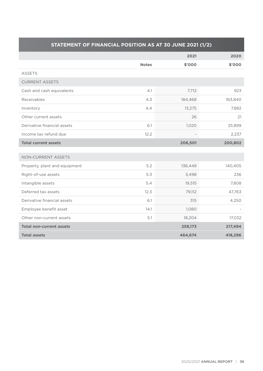# **STATEMENT OF FINANCIAL POSITION AS AT 30 JUNE 2021 (1/2)**

|                                 |              | 2021           | 2020    |
|---------------------------------|--------------|----------------|---------|
|                                 | <b>Notes</b> | \$'000         | \$'000  |
| <b>ASSETS</b>                   |              |                |         |
| <b>CURRENT ASSETS</b>           |              |                |         |
| Cash and cash equivalents       | 4.1          | 7,712          | 923     |
| Receivables                     | 4.3          | 184,468        | 163,840 |
| Inventory                       | 4.4          | 13,275         | 7,882   |
| Other current assets            |              | 26             | 21      |
| Derivative financial assets     | 6.1          | 1,020          | 25,899  |
| Income tax refund due           | 12.2         | $\overline{a}$ | 2,237   |
| <b>Total current assets</b>     |              | 206,501        | 200,802 |
|                                 |              |                |         |
| NON-CURRENT ASSETS              |              |                |         |
| Property, plant and equipment   | 5.2          | 136,449        | 140,405 |
| Right-of-use assets             | 5.3          | 3,498          | 236     |
| Intangible assets               | 5.4          | 19,515         | 7,808   |
| Deferred tax assets             | 12.3         | 79,112         | 47,763  |
| Derivative financial assets     | 6.1          | 315            | 4,250   |
| Employee benefit asset          | 14.1         | 1,080          |         |
| Other non-current assets        | 5.1          | 18,204         | 17,032  |
| <b>Total non-current assets</b> |              | 258,173        | 217,494 |
| <b>Total assets</b>             |              | 464,674        | 418,296 |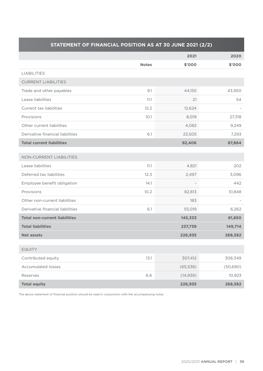# **STATEMENT OF FINANCIAL POSITION AS AT 30 JUNE 2021 (2/2)**

|                                      |              | 2021                     | 2020      |
|--------------------------------------|--------------|--------------------------|-----------|
|                                      | <b>Notes</b> | \$'000                   | \$'000    |
| <b>LIABILITIES</b>                   |              |                          |           |
| <b>CURRENT LIABILITIES</b>           |              |                          |           |
| Trade and other payables             | 9.1          | 44,155                   | 43,950    |
| Lease liabilities                    | 11.1         | 21                       | 54        |
| Current tax liabilities              | 12.2         | 12,624                   |           |
| Provisions                           | 10.1         | 8,019                    | 27,318    |
| Other current liabilities            |              | 4,082                    | 9,249     |
| Derivative financial liabilities     | 6.1          | 23,505                   | 7,293     |
| <b>Total current liabilities</b>     |              | 92,406                   | 87,864    |
|                                      |              |                          |           |
| NON-CURRENT LIABILITIES              |              |                          |           |
| Lease liabilities                    | 11.1         | 4,821                    | 202       |
| Deferred tax liabilities             | 12.3         | 2,497                    | 3,096     |
| Employee benefit obligation          | 14.1         | $\overline{\phantom{a}}$ | 442       |
| Provisions                           | 10.2         | 82,813                   | 51,848    |
| Other non-current liabilities        |              | 183                      |           |
| Derivative financial liabilities     | 6.1          | 55,019                   | 6,262     |
| <b>Total non-current liabilities</b> |              | 145,333                  | 61,850    |
| <b>Total liabilities</b>             |              | 237,739                  | 149,714   |
| <b>Net assets</b>                    |              | 226,935                  | 268,582   |
|                                      |              |                          |           |
| <b>EQUITY</b>                        |              |                          |           |
| Contributed equity                   | 13.1         | 307,412                  | 308,349   |
| <b>Accumulated losses</b>            |              | (65, 538)                | (50, 690) |
| Reserves                             | 6.6          | (14, 939)                | 10,923    |
| <b>Total equity</b>                  |              | 226,935                  | 268,582   |

The above statement of financial position should be read in conjunction with the accompanying notes.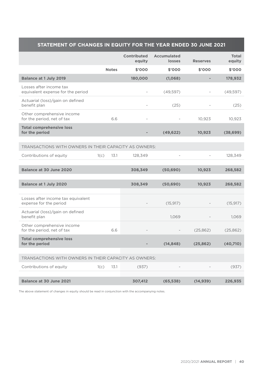#### **STATEMENT OF CHANGES IN EQUITY FOR THE YEAR ENDED 30 JUNE 2021**

|                                                              |              | <b>Contributed</b><br>equity | <b>Accumulated</b><br><b>losses</b> | <b>Reserves</b>          | <b>Total</b><br>equity |
|--------------------------------------------------------------|--------------|------------------------------|-------------------------------------|--------------------------|------------------------|
|                                                              | <b>Notes</b> | \$'000                       | \$'000                              | \$'000                   | \$'000                 |
| <b>Balance at 1 July 2019</b>                                |              | 180,000                      | (1,068)                             | $\qquad \qquad =$        | 178,932                |
| Losses after income tax<br>equivalent expense for the period |              | $\overline{\phantom{a}}$     | (49, 597)                           | $\overline{\phantom{0}}$ | (49, 597)              |
| Actuarial (loss)/gain on defined<br>benefit plan             |              | ÷,                           | (25)                                | $\overline{\phantom{0}}$ | (25)                   |
| Other comprehensive income<br>for the period, net of tax     | 6.6          |                              |                                     | 10,923                   | 10,923                 |
| <b>Total comprehensive loss</b><br>for the period            |              |                              | (49, 622)                           | 10,923                   | (38, 699)              |
|                                                              |              |                              |                                     |                          |                        |
| TRANSACTIONS WITH OWNERS IN THEIR CAPACITY AS OWNERS:        |              |                              |                                     |                          |                        |
| Contributions of equity                                      | 1(c)<br>13.1 | 128,349                      | $\overline{\phantom{0}}$            |                          | 128,349                |
| <b>Balance at 30 June 2020</b>                               |              |                              |                                     |                          |                        |
|                                                              |              | 308,349                      | (50, 690)                           | 10,923                   | 268,582                |
| <b>Balance at 1 July 2020</b>                                |              | 308,349                      | (50, 690)                           | 10,923                   | 268,582                |
|                                                              |              |                              |                                     |                          |                        |
| Losses after income tax equivalent<br>expense for the period |              |                              | (15, 917)                           |                          | (15, 917)              |
| Actuarial (loss)/gain on defined<br>benefit plan             |              |                              | 1,069                               |                          | 1,069                  |
| Other comprehensive income<br>for the period, net of tax     | 6.6          |                              |                                     | (25, 862)                | (25, 862)              |
| <b>Total comprehensive loss</b><br>for the period            |              |                              | (14, 848)                           | (25, 862)                | (40, 710)              |
|                                                              |              |                              |                                     |                          |                        |
| TRANSACTIONS WITH OWNERS IN THEIR CAPACITY AS OWNERS:        |              |                              |                                     |                          |                        |
| Contributions of equity                                      | 1(c)<br>13.1 | (937)                        | $\overline{\phantom{0}}$            | $\qquad \qquad -$        | (937)                  |
| <b>Balance at 30 June 2021</b>                               |              | 307,412                      | (65, 538)                           | (14, 939)                | 226,935                |

The above statement of changes in equity should be read in conjunction with the accompanying notes.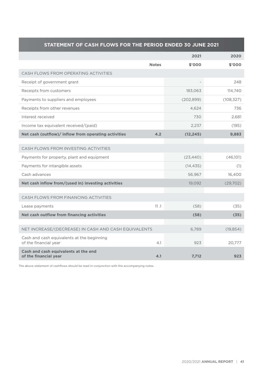### **STATEMENT OF CASH FLOWS FOR THE PERIOD ENDED 30 JUNE 2021**

|                                                                     |              | 2021           | 2020       |
|---------------------------------------------------------------------|--------------|----------------|------------|
|                                                                     | <b>Notes</b> | \$'000         | \$'000     |
| CASH FLOWS FROM OPERATING ACTIVITIES                                |              |                |            |
| Receipt of government grant                                         |              | $\overline{a}$ | 248        |
| Receipts from customers                                             |              | 183,063        | 114,740    |
| Payments to suppliers and employees                                 |              | (202, 899)     | (108, 327) |
| Receipts from other revenues                                        |              | 4,624          | 736        |
| Interest received                                                   |              | 730            | 2,681      |
| Income tax equivalent received/(paid)                               |              | 2,237          | (195)      |
| Net cash (outflow)/ inflow from operating activities                | 4.2          | (12, 245)      | 9,883      |
|                                                                     |              |                |            |
| CASH FLOWS FROM INVESTING ACTIVITIES                                |              |                |            |
| Payments for property, plant and equipment                          |              | (23, 440)      | (46,101)   |
| Payments for intangible assets                                      |              | (14, 435)      | (1)        |
| Cash advances                                                       |              | 56,967         | 16,400     |
| Net cash inflow from/(used in) investing activities                 |              | 19,092         | (29,702)   |
|                                                                     |              |                |            |
| CASH FLOWS FROM FINANCING ACTIVITIES                                |              |                |            |
| Lease payments                                                      | 11.1         | (58)           | (35)       |
| Net cash outflow from financing activities                          |              | (58)           | (35)       |
|                                                                     |              |                |            |
| NET INCREASE/(DECREASE) IN CASH AND CASH EQUIVALENTS                |              | 6,789          | (19, 854)  |
| Cash and cash equivalents at the beginning<br>of the financial year | 4.1          | 923            | 20,777     |
| Cash and cash equivalents at the end<br>of the financial year       | 4.1          | 7,712          | 923        |

The above statement of cashflows should be read in conjunction with the accompanying notes.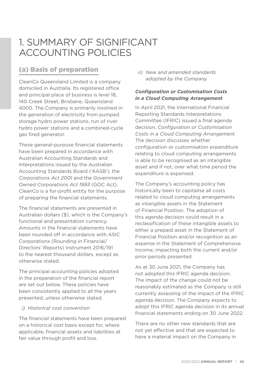# 1. SUMMARY OF SIGNIFICANT ACCOUNTING POLICIES

# (a) Basis of preparation

CleanCo Queensland Limited is a company domiciled in Australia. Its registered office and principal place of business is level 18, 140 Creek Street, Brisbane, Queensland 4000. The Company is primarily involved in the generation of electricity from pumped storage hydro power stations, run of river hydro power stations and a combined-cycle gas fired generator.

These general-purpose financial statements have been prepared in accordance with Australian Accounting Standards and Interpretations issued by the Australian Accounting Standards Board ('AASB'), the *Corporations Act 2001* and the *Government Owned Corporations Act 1993* (GOC Act). CleanCo is a for-profit entity for the purpose of preparing the financial statements.

The financial statements are presented in Australian dollars (\$), which is the Company's functional and presentation currency. Amounts in the financial statements have been rounded off in accordance with ASIC Corporations (Rounding in Financial/ Directors' Reports) Instrument 2016/191 to the nearest thousand dollars, except as otherwise stated.

The principal accounting policies adopted in the preparation of the financial report are set out below. These policies have been consistently applied to all the years presented, unless otherwise stated.

### *i) Historical cost convention*

The financial statements have been prepared on a historical cost basis except for, where applicable, financial assets and liabilities at fair value through profit and loss.

 *ii) New and amended standards adopted by the Company*

### *Configuration or Customisation Costs in a Cloud Computing Arrangement*

In April 2021, the International Financial Reporting Standards Interpretations Committee (IFRIC) issued a final agenda decision, *Configuration or Customisation Costs in a Cloud Computing Arrangement*. The decision discusses whether configuration or customisation expenditure relating to cloud computing arrangements is able to be recognised as an intangible asset and if not, over what time period the expenditure is expensed.

The Company's accounting policy has historically been to capitalise all costs related to cloud computing arrangements as intangible assets in the Statement of Financial Position. The adoption of this agenda decision could result in a reclassification of these intangible assets to either a prepaid asset in the Statement of Financial Position and/or recognition as an expense in the Statement of Comprehensive Income, impacting both the current and/or prior periods presented.

As at 30 June 2021, the Company has not adopted this IFRIC agenda decision. The impact of the change could not be reasonably estimated as the Company is still currently assessing of the impact of the IFRIC agenda decision. The Company expects to adopt this IFRIC agenda decision in its annual financial statements ending on 30 June 2022.

There are no other new standards that are not yet effective and that are expected to have a material impact on the Company in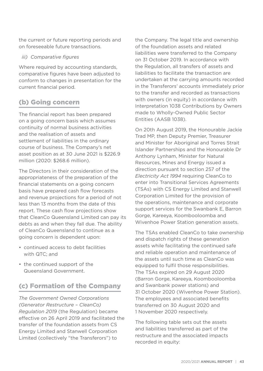the current or future reporting periods and on foreseeable future transactions.

### *iii) Comparative figures*

Where required by accounting standards, comparative figures have been adjusted to conform to changes in presentation for the current financial period.

# (b) Going concern

The financial report has been prepared on a going concern basis which assumes continuity of normal business activities and the realisation of assets and settlement of liabilities in the ordinary course of business. The Company's net asset position as at 30 June 2021 is \$226.9 million (2020: \$268.6 million).

The Directors in their consideration of the appropriateness of the preparation of the financial statements on a going concern basis have prepared cash flow forecasts and revenue projections for a period of not less than 13 months from the date of this report. These cash flow projections show that CleanCo Queensland Limited can pay its debts as and when they fall due. The ability of CleanCo Queensland to continue as a going concern is dependent upon:

- continued access to debt facilities with QTC; and
- the continued support of the Queensland Government.

# (c) Formation of the Company

*The Government Owned Corporations (Generator Restructure – CleanCo) Regulation 2019* (the Regulation) became effective on 26 April 2019 and facilitated the transfer of the foundation assets from CS Energy Limited and Stanwell Corporation Limited (collectively "the Transferors") to

the Company. The legal title and ownership of the foundation assets and related liabilities were transferred to the Company on 31 October 2019. In accordance with the Regulation, all transfers of assets and liabilities to facilitate the transaction are undertaken at the carrying amounts recorded in the Transferors' accounts immediately prior to the transfer and recorded as transactions with owners (in equity) in accordance with Interpretation 1038 Contributions by Owners made to Wholly-Owned Public Sector Entities (AASB 1038).

On 20th August 2019, the Honourable Jackie Trad MP, then Deputy Premier, Treasurer and Minister for Aboriginal and Torres Strait Islander Partnerships and the Honourable Dr Anthony Lynham, Minister for Natural Resources, Mines and Energy issued a direction pursuant to section 257 of the *Electricity Act 1994* requiring CleanCo to enter into Transitional Services Agreements (TSAs) with CS Energy Limited and Stanwell Corporation Limited for the provision of the operations, maintenance and corporate support services for the Swanbank E, Barron Gorge, Kareeya, Koombooloomba and Wivenhoe Power Station generation assets.

The TSAs enabled CleanCo to take ownership and dispatch rights of these generation assets while facilitating the continued safe and reliable operation and maintenance of the assets until such time as CleanCo was equipped to fulfil those responsibilities. The TSAs expired on 29 August 2020 (Barron Gorge, Kareeya, Koombooloomba and Swanbank power stations) and 31 October 2020 (Wivenhoe Power Station). The employees and associated benefits transferred on 30 August 2020 and 1 November 2020 respectively.

The following table sets out the assets and liabilities transferred as part of the restructure and the associated impacts recorded in equity: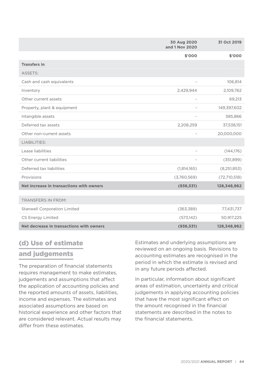|                                          | 30 Aug 2020<br>and 1 Nov 2020 | 31 Oct 2019    |
|------------------------------------------|-------------------------------|----------------|
|                                          | \$'000                        | \$'000         |
| <b>Transfers in</b>                      |                               |                |
| ASSETS:                                  |                               |                |
| Cash and cash equivalents                | $\bar{\phantom{a}}$           | 106,814        |
| Inventory                                | 2,429,944                     | 2,109,762      |
| Other current assets                     |                               | 69,213         |
| Property, plant & equipment              |                               | 149,397,602    |
| Intangible assets                        | $\overline{\phantom{a}}$      | 585,866        |
| Deferred tax assets                      | 2,208,259                     | 37,538,151     |
| Other non-current assets                 |                               | 20,000,000     |
| LIABILITIES:                             |                               |                |
| Lease liabilities                        |                               | (144, 176)     |
| Other current liabilities                |                               | (351, 899)     |
| Deferred tax liabilities                 | (1,814,165)                   | (8,251,853)    |
| Provisions                               | (3,760,569)                   | (72, 710, 518) |
| Net increase in transactions with owners | (936, 531)                    | 128,348,962    |
|                                          |                               |                |
| <b>TRANSFERS IN FROM:</b>                |                               |                |
| <b>Stanwell Corporation Limited</b>      | (363, 389)                    | 77,431,737     |
| CS Energy Limited                        | (573,142)                     | 50,917,225     |
| Net decrease in transactions with owners | (936, 531)                    | 128,348,962    |

# (d) Use of estimate

## and judgements

The preparation of financial statements requires management to make estimates, judgements and assumptions that affect the application of accounting policies and the reported amounts of assets, liabilities, income and expenses. The estimates and associated assumptions are based on historical experience and other factors that are considered relevant. Actual results may differ from these estimates.

Estimates and underlying assumptions are reviewed on an ongoing basis. Revisions to accounting estimates are recognised in the period in which the estimate is revised and in any future periods affected.

In particular, information about significant areas of estimation, uncertainty and critical judgements in applying accounting policies that have the most significant effect on the amount recognised in the financial statements are described in the notes to the financial statements.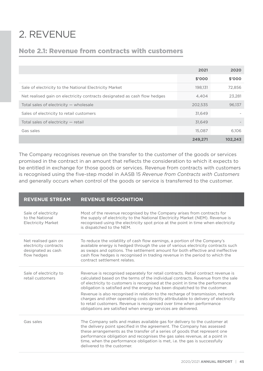# 2. REVENUE

# Note 2.1: Revenue from contracts with customers

|                                                                           | 2021    | 2020    |
|---------------------------------------------------------------------------|---------|---------|
|                                                                           | \$'000  | \$'000  |
| Sale of electricity to the National Electricity Market                    | 198,131 | 72,856  |
| Net realised gain on electricity contracts designated as cash flow hedges | 4,404   | 23,281  |
| Total sales of electricity $-$ wholesale                                  | 202,535 | 96.137  |
| Sales of electricity to retail customers                                  | 31,649  |         |
| Total sales of electricity $-$ retail                                     | 31,649  |         |
| Gas sales                                                                 | 15,087  | 6,106   |
|                                                                           | 249,271 | 102,243 |

The Company recognises revenue on the transfer to the customer of the goods or services promised in the contract in an amount that reflects the consideration to which it expects to be entitled in exchange for those goods or services. Revenue from contracts with customers is recognised using the five-step model in AASB 15 *Revenue from Contracts with Customers* and generally occurs when control of the goods or service is transferred to the customer.

| <b>REVENUE STREAM</b>                                                              | <b>REVENUE RECOGNITION</b>                                                                                                                                                                                                                                                                                                                                                                                                                                                                                                                                                                                                                                |
|------------------------------------------------------------------------------------|-----------------------------------------------------------------------------------------------------------------------------------------------------------------------------------------------------------------------------------------------------------------------------------------------------------------------------------------------------------------------------------------------------------------------------------------------------------------------------------------------------------------------------------------------------------------------------------------------------------------------------------------------------------|
| Sale of electricity<br>to the National<br><b>Electricity Market</b>                | Most of the revenue recognised by the Company arises from contracts for<br>the supply of electricity to the National Electricity Market (NEM). Revenue is<br>recognised using the electricity spot price at the point in time when electricity<br>is dispatched to the NEM.                                                                                                                                                                                                                                                                                                                                                                               |
| Net realised gain on<br>electricity contracts<br>designated as cash<br>flow hedges | To reduce the volatility of cash flow earnings, a portion of the Company's<br>available energy is hedged through the use of various electricity contracts such<br>as swaps and options. The settlement amount for both effective and ineffective<br>cash flow hedges is recognised in trading revenue in the period to which the<br>contract settlement relates.                                                                                                                                                                                                                                                                                          |
| Sale of electricity to<br>retail customers                                         | Revenue is recognised separately for retail contracts. Retail contract revenue is<br>calculated based on the terms of the individual contracts. Revenue from the sale<br>of electricity to customers is recognised at the point in time the performance<br>obligation is satisfied and the energy has been dispatched to the customer.<br>Revenue is also recognised in relation to the recharge of transmission, network<br>charges and other operating costs directly attributable to delivery of electricity<br>to retail customers. Revenue is recognised over time when performance<br>obligations are satisfied when energy services are delivered. |
| Gas sales                                                                          | The Company sells and makes available gas for delivery to the customer at<br>the delivery point specified in the agreement. The Company has assessed<br>these arrangements as the transfer of a series of goods that represent one<br>performance obligation and recognises the gas sales revenue, at a point in<br>time, when the performance obligation is met, i.e. the gas is successfully<br>delivered to the customer.                                                                                                                                                                                                                              |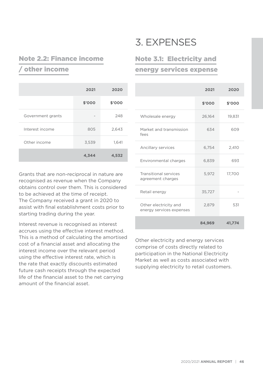# Note 2.2: Finance income

# / other income

|                   | 2021   | 2020   |
|-------------------|--------|--------|
|                   | \$'000 | \$'000 |
| Government grants |        | 248    |
| Interest income   | 805    | 2,643  |
| Other income      | 3,539  | 1,641  |
|                   | 4,344  | 4,532  |

Grants that are non-reciprocal in nature are recognised as revenue when the Company obtains control over them. This is considered to be achieved at the time of receipt. The Company received a grant in 2020 to assist with final establishment costs prior to starting trading during the year.

Interest revenue is recognised as interest accrues using the effective interest method. This is a method of calculating the amortised cost of a financial asset and allocating the interest income over the relevant period using the effective interest rate, which is the rate that exactly discounts estimated future cash receipts through the expected life of the financial asset to the net carrying amount of the financial asset.

# 3. EXPENSES

# Note 3.1: Electricity and

energy services expense

|                                                   | 2021   | 2020   |
|---------------------------------------------------|--------|--------|
|                                                   | \$'000 | \$'000 |
| Wholesale energy                                  | 26,164 | 19,831 |
| Market and transmission<br>fees                   | 634    | 609    |
| Ancillary services                                | 6.754  | 2,410  |
| Environmental charges                             | 6,839  | 693    |
| <b>Transitional services</b><br>agreement charges | 5,972  | 17,700 |
| Retail energy                                     | 35,727 |        |
| Other electricity and<br>energy services expenses | 2,879  | 531    |
|                                                   | 84,969 | 41,774 |

Other electricity and energy services comprise of costs directly related to participation in the National Electricity Market as well as costs associated with supplying electricity to retail customers.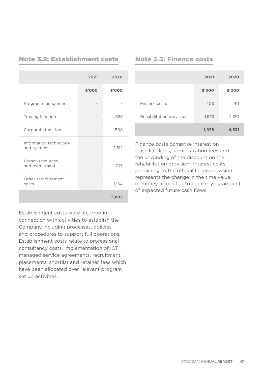# Note 3.2: Establishment costs

|                                       | 2021   | 2020   |
|---------------------------------------|--------|--------|
|                                       | \$'000 | \$'000 |
| Program management                    |        |        |
| Trading function                      |        | 825    |
| Corporate function                    |        | 508    |
| Information technology<br>and systems |        | 2,512  |
| Human resources<br>and recruitment    |        | 793    |
| Other establishment<br>costs          |        | 1,164  |
|                                       |        | 5,802  |

Establishment costs were incurred in connection with activities to establish the Company including processes, policies and procedures to support full operations. Establishment costs relate to professional consultancy costs, implementation of ICT managed service agreements, recruitment placements, shortlist and retainer fees which have been allocated over relevant program set up activities.

## Note 3.3: Finance costs

|                          | 2021   | 2020   |
|--------------------------|--------|--------|
|                          | \$'000 | \$'000 |
| Finance costs            | 403    | 411    |
| Rehabilitation provision | 1,573  | 4,120  |
|                          | 1,976  | 4,531  |

Finance costs comprise interest on lease liabilities, administration fees and the unwinding of the discount on the rehabilitation provision. Interest costs pertaining to the rehabilitation provision represents the change in the time value of money attributed to the carrying amount of expected future cash flows.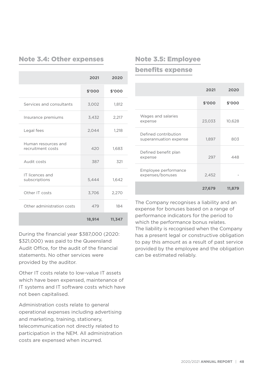# Note 3.4: Other expenses

|                                          | 2021   | 2020   |
|------------------------------------------|--------|--------|
|                                          | \$'000 | \$'000 |
| Services and consultants                 | 3,002  | 1,812  |
| Insurance premiums                       | 3,432  | 2,217  |
| Legal fees                               | 2,044  | 1,218  |
| Human resources and<br>recruitment costs | 420    | 1,683  |
| Audit costs                              | 387    | 321    |
| <b>IT licences and</b><br>subscriptions  | 5,444  | 1,642  |
| Other IT costs                           | 3,706  | 2,270  |
| Other administration costs               | 479    | 184    |
|                                          | 18,914 | 11,347 |

During the financial year \$387,000 (2020: \$321,000) was paid to the Queensland Audit Office, for the audit of the financial statements. No other services were provided by the auditor.

Other IT costs relate to low-value IT assets which have been expensed, maintenance of IT systems and IT software costs which have not been capitalised.

Administration costs relate to general operational expenses including advertising and marketing, training, stationery, telecommunication not directly related to participation in the NEM. All administration costs are expensed when incurred.

## Note 3.5: Employee

### benefits expense

|                                                | 2021   | 2020   |
|------------------------------------------------|--------|--------|
|                                                | \$'000 | \$'000 |
| Wages and salaries<br>expense                  | 23,033 | 10,628 |
| Defined contribution<br>superannuation expense | 1,897  | 803    |
| Defined benefit plan<br>expense                | 297    | 448    |
| Employee performance<br>expenses/bonuses       | 2,452  |        |
|                                                | 27,679 | 11,879 |

The Company recognises a liability and an expense for bonuses based on a range of performance indicators for the period to which the performance bonus relates. The liability is recognised when the Company has a present legal or constructive obligation to pay this amount as a result of past service provided by the employee and the obligation can be estimated reliably.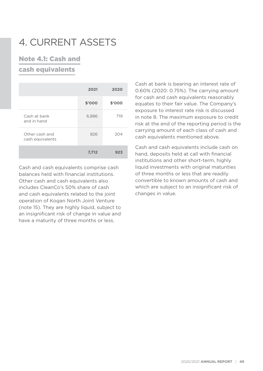# 4. CURRENT ASSETS

# Note 4.1: Cash and

# cash equivalents

|                                    | 2021   | 2020   |
|------------------------------------|--------|--------|
|                                    | \$'000 | \$'000 |
| Cash at bank<br>and in hand        | 6,886  | 719    |
| Other cash and<br>cash equivalents | 826    | 204    |
|                                    | 7,712  | 923    |

Cash and cash equivalents comprise cash balances held with financial institutions. Other cash and cash equivalents also includes CleanCo's 50% share of cash and cash equivalents related to the joint operation of Kogan North Joint Venture (note 15). They are highly liquid, subject to an insignificant risk of change in value and have a maturity of three months or less.

Cash at bank is bearing an interest rate of 0.60% (2020: 0.75%). The carrying amount for cash and cash equivalents reasonably equates to their fair value. The Company's exposure to interest rate risk is discussed in note 8. The maximum exposure to credit risk at the end of the reporting period is the carrying amount of each class of cash and cash equivalents mentioned above.

Cash and cash equivalents include cash on hand, deposits held at call with financial institutions and other short-term, highly liquid investments with original maturities of three months or less that are readily convertible to known amounts of cash and which are subject to an insignificant risk of changes in value.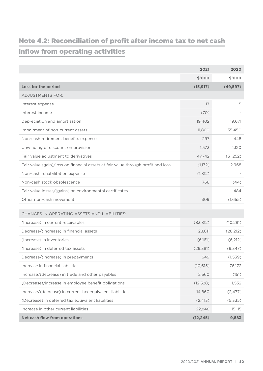# Note 4.2: Reconciliation of profit after income tax to net cash inflow from operating activities

|                                                                                  | 2021      | 2020      |
|----------------------------------------------------------------------------------|-----------|-----------|
|                                                                                  | \$'000    | \$'000    |
| Loss for the period                                                              | (15, 917) | (49, 597) |
| <b>ADJUSTMENTS FOR:</b>                                                          |           |           |
| Interest expense                                                                 | 17        | 5         |
| Interest income                                                                  | (70)      |           |
| Depreciation and amortisation                                                    | 19,402    | 19,671    |
| Impairment of non-current assets                                                 | 11,800    | 35,450    |
| Non-cash retirement benefits expense                                             | 297       | 448       |
| Unwinding of discount on provision                                               | 1,573     | 4,120     |
| Fair value adjustment to derivatives                                             | 47,742    | (31, 252) |
| Fair value (gain)/loss on financial assets at fair value through profit and loss | (1,172)   | 2,968     |
| Non-cash rehabilitation expense                                                  | (1,812)   |           |
| Non-cash stock obsolescence                                                      | 768       | (44)      |
| Fair value losses/(gains) on environmental certificates                          |           | 484       |
| Other non-cash movement                                                          | 309       | (1,655)   |
|                                                                                  |           |           |
| <b>CHANGES IN OPERATING ASSETS AND LIABILITIES:</b>                              |           |           |
| (Increase) in current receivables                                                | (83, 812) | (10, 281) |
| Decrease/(increase) in financial assets                                          | 28,811    | (28, 212) |
| (Increase) in inventories                                                        | (6,161)   | (6,212)   |
| (Increase) in deferred tax assets                                                | (29, 381) | (9,347)   |
| Decrease/(increase) in prepayments                                               | 649       | (1,539)   |
| Increase in financial liabilities                                                | (10, 615) | 76,172    |
| Increase/(decrease) in trade and other payables                                  | 2,560     | (151)     |
| (Decrease)/increase in employee benefit obligations                              | (12, 528) | 1,552     |
| Increase/(decrease) in current tax equivalent liabilities                        | 14,860    | (2, 477)  |
| (Decrease) in deferred tax equivalent liabilities                                | (2, 413)  | (5,335)   |
| Increase in other current liabilities                                            | 22,848    | 15,115    |
| Net cash flow from operations                                                    | (12, 245) | 9,883     |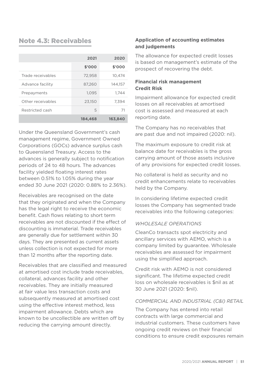# Note 4.3: Receivables

|                   | 2021    | 2020    |
|-------------------|---------|---------|
|                   | \$'000  | \$'000  |
| Trade receivables | 72,958  | 10,474  |
| Advance facility  | 87.260  | 144,157 |
| Prepayments       | 1.095   | 1,744   |
| Other receivables | 23.150  | 7.394   |
| Restricted cash   | 5       | 71      |
|                   | 184,468 | 163,840 |

Under the Queensland Government's cash management regime, Government Owned Corporations (GOCs) advance surplus cash to Queensland Treasury. Access to the advances is generally subject to notification periods of 24 to 48 hours. The advances facility yielded floating interest rates between 0.51% to 1.05% during the year ended 30 June 2021 (2020: 0.88% to 2.36%).

Receivables are recognised on the date that they originated and when the Company has the legal right to receive the economic benefit. Cash flows relating to short term receivables are not discounted if the effect of discounting is immaterial. Trade receivables are generally due for settlement within 30 days. They are presented as current assets unless collection is not expected for more than 12 months after the reporting date.

Receivables that are classified and measured at amortised cost include trade receivables, collateral, advances facility and other receivables. They are initially measured at fair value less transaction costs and subsequently measured at amortised cost using the effective interest method, less impairment allowance. Debts which are known to be uncollectible are written off by reducing the carrying amount directly.

### **Application of accounting estimates and judgements**

The allowance for expected credit losses is based on management's estimate of the prospect of recovering the debt.

### **Financial risk management Credit Risk**

Impairment allowance for expected credit losses on all receivables at amortised cost is assessed and measured at each reporting date.

The Company has no receivables that are past due and not impaired (2020: nil).

The maximum exposure to credit risk at balance date for receivables is the gross carrying amount of those assets inclusive of any provisions for expected credit losses.

No collateral is held as security and no credit enhancements relate to receivables held by the Company.

In considering lifetime expected credit losses the Company has segmented trade receivables into the following categories:

### *WHOLESALE OPERATIONS*

CleanCo transacts spot electricity and ancillary services with AEMO, which is a company limited by guarantee. Wholesale receivables are assessed for impairment using the simplified approach.

Credit risk with AEMO is not considered significant. The lifetime expected credit loss on wholesale receivables is \$nil as at 30 June 2021 (2020: \$nil).

### *COMMERCIAL AND INDUSTRIAL (C&I) RETAIL*

The Company has entered into retail contracts with large commercial and industrial customers. These customers have ongoing credit reviews on their financial conditions to ensure credit exposures remain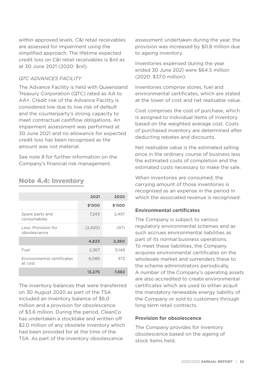within approved levels. C&I retail receivables are assessed for impairment using the simplified approach. The lifetime expected credit loss on C&I retail receivables is \$nil as at 30 June 2021 (2020: \$nil).

### *QTC ADVANCES FACILITY*

The Advance Facility is held with Queensland Treasury Corporation (QTC) rated as AA to AA+. Credit risk of the Advance Facility is considered low due to low risk of default and the counterparty's strong capacity to meet contractual cashflow obligations. An impairment assessment was performed at 30 June 2021 and no allowance for expected credit loss has been recognised as the amount was not material.

See note 8 for further information on the Company's financial risk management.

|                                       | 2021    | 2020   |
|---------------------------------------|---------|--------|
|                                       | \$'000  | \$'000 |
| Spare parts and<br>consumables        | 7.243   | 2,457  |
| Less: Provision for<br>obsolescence   | (2,420) | (97)   |
|                                       | 4,823   | 2,360  |
| Fuel                                  | 2,367   | 5,149  |
| Environmental certificates<br>at cost | 6,085   | 373    |
|                                       | 13,275  | 7,882  |

## Note 4.4: Inventory

The inventory balances that were transferred on 30 August 2020 as part of the TSA included an inventory balance of \$6.0 million and a provision for obsolescence of \$3.6 million. During the period, CleanCo has undertaken a stocktake and written off \$2.0 million of any obsolete inventory which had been provided for at the time of the TSA. As part of the inventory obsolescence

assessment undertaken during the year, the provision was increased by \$0.8 million due to ageing inventory.

Inventories expensed during the year ended 30 June 2021 were \$64.5 million (2020: \$37.0 million).

Inventories comprise stores, fuel and environmental certificates, which are stated at the lower of cost and net realisable value.

Cost comprises the cost of purchase, which is assigned to individual items of inventory based on the weighted average cost. Costs of purchased inventory are determined after deducting rebates and discounts.

Net realisable value is the estimated selling price in the ordinary course of business less the estimated costs of completion and the estimated costs necessary to make the sale.

When inventories are consumed, the carrying amount of those inventories is recognised as an expense in the period in which the associated revenue is recognised.

## **Environmental certificates**

The Company is subject to various regulatory environmental schemes and as such accrues environmental liabilities as part of its normal business operations. To meet these liabilities, the Company acquires environmental certificates on the wholesale market and surrenders these to the scheme administrators periodically. A number of the Company's operating assets are also accredited to create environmental certificates which are used to either acquit the mandatory renewable energy liability of the Company or sold to customers through long term retail contracts.

### **Provision for obsolescence**

The Company provides for inventory obsolescence based on the ageing of stock items held.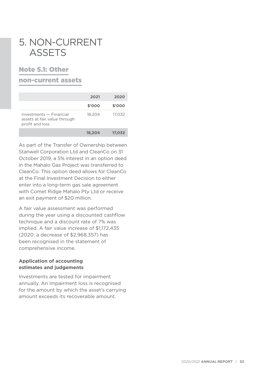# 5. NON-CURRENT **ASSETS**

# Note 5.1: Other

### non-current assets

|                                                                            | 2021   | 2020   |
|----------------------------------------------------------------------------|--------|--------|
|                                                                            | \$'000 | \$'000 |
| Investments — Financial<br>assets at fair value through<br>profit and loss | 18,204 | 17,032 |
|                                                                            | 18,204 | 17,032 |

As part of the Transfer of Ownership between Stanwell Corporation Ltd and CleanCo on 31 October 2019, a 5% interest in an option deed in the Mahalo Gas Project was transferred to CleanCo. This option deed allows for CleanCo at the Final Investment Decision to either enter into a long-term gas sale agreement with Comet Ridge Mahalo Pty Ltd or receive an exit payment of \$20 million.

A fair value assessment was performed during the year using a discounted cashflow technique and a discount rate of 7% was implied. A fair value increase of \$1,172,435 (2020: a decrease of \$2,968,357) has been recognised in the statement of comprehensive income.

### **Application of accounting estimates and judgements**

Investments are tested for impairment annually. An impairment loss is recognised for the amount by which the asset's carrying amount exceeds its recoverable amount.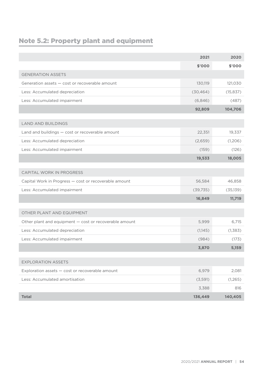# Note 5.2: Property plant and equipment

|                                                        | 2021      | 2020      |
|--------------------------------------------------------|-----------|-----------|
|                                                        | \$'000    | \$'000    |
| <b>GENERATION ASSETS</b>                               |           |           |
| Generation assets - cost or recoverable amount         | 130,119   | 121,030   |
| Less: Accumulated depreciation                         | (30, 464) | (15, 837) |
| Less: Accumulated impairment                           | (6,846)   | (487)     |
|                                                        | 92,809    | 104,706   |
|                                                        |           |           |
| <b>LAND AND BUILDINGS</b>                              |           |           |
| Land and buildings - cost or recoverable amount        | 22,351    | 19,337    |
| Less: Accumulated depreciation                         | (2,659)   | (1,206)   |
| Less: Accumulated impairment                           | (159)     | (126)     |
|                                                        | 19,533    | 18,005    |
|                                                        |           |           |
| <b>CAPITAL WORK IN PROGRESS</b>                        |           |           |
| Capital Work in Progress - cost or recoverable amount  | 56,584    | 46,858    |
| Less: Accumulated impairment                           | (39, 735) | (35, 139) |
|                                                        | 16,849    | 11,719    |
| OTHER PLANT AND EQUIPMENT                              |           |           |
| Other plant and equipment - cost or recoverable amount | 5,999     | 6,715     |
| Less: Accumulated depreciation                         | (1,145)   | (1,383)   |
| Less: Accumulated impairment                           | (984)     | (173)     |
|                                                        | 3,870     | 5,159     |
|                                                        |           |           |
| <b>EXPLORATION ASSETS</b>                              |           |           |
| Exploration assets - cost or recoverable amount        | 6,979     | 2,081     |
| Less: Accumulated amortisation                         | (3,591)   | (1, 265)  |
|                                                        | 3,388     | 816       |
| <b>Total</b>                                           | 136,449   | 140,405   |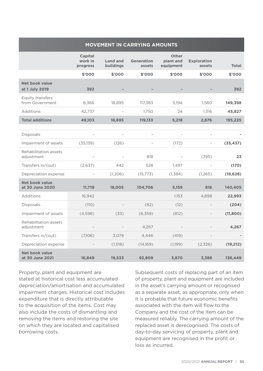#### **MOVEMENT IN CARRYING AMOUNTS**

|                                          | <b>Capital</b><br>work in<br>progress | <b>Land and</b><br>buildings | <b>Generation</b><br>assets | <b>Other</b><br>plant and<br>equipment | <b>Exploration</b><br>assets | <b>Total</b> |
|------------------------------------------|---------------------------------------|------------------------------|-----------------------------|----------------------------------------|------------------------------|--------------|
|                                          | \$'000                                | \$'000                       | \$'000                      | \$'000                                 | \$'000                       | \$'000       |
| <b>Net book value</b><br>at 1 July 2019  | 392                                   |                              |                             |                                        |                              | 392          |
| Equity transfers<br>from Government      | 6,366                                 | 18,895                       | 117,383                     | 5,194                                  | 1,560                        | 149,398      |
| Additions                                | 42,737                                |                              | 1,750                       | 24                                     | 1,316                        | 45,827       |
| <b>Total additions</b>                   | 49,103                                | 18,895                       | 119,133                     | 5,218                                  | 2,876                        | 195,225      |
|                                          |                                       |                              |                             |                                        |                              |              |
| Disposals                                |                                       | $\overline{a}$               | $\overline{a}$              | $\overline{a}$                         |                              |              |
| Impairment of assets                     | (35, 139)                             | (126)                        |                             | (172)                                  |                              | (35, 437)    |
| Rehabilitation assets<br>adjustment      |                                       |                              | 818                         |                                        | (795)                        | 23           |
| Transfers in/(out)                       | (2,637)                               | 442                          | 528                         | 1,497                                  | $\overline{\phantom{a}}$     | (170)        |
| Depreciation expense                     |                                       | (1,206)                      | (15, 773)                   | (1,384)                                | (1, 265)                     | (19, 628)    |
| <b>Net book value</b><br>at 30 June 2020 | 11,719                                | 18,005                       | 104,706                     | 5,159                                  | 816                          | 140,405      |
| Additions                                | 16,942                                |                              |                             | 1,153                                  | 4,898                        | 22,993       |
| <b>Disposals</b>                         | (110)                                 |                              | (82)                        | (12)                                   |                              | (204)        |
| Impairment of assets                     | (4,596)                               | (33)                         | (6, 359)                    | (812)                                  |                              | (11,800)     |
| Rehabilitation assets<br>adjustment      |                                       | $\qquad \qquad -$            | 4,267                       |                                        |                              | 4,267        |
| Transfers in/(out)                       | (7,106)                               | 3,079                        | 4,446                       | (419)                                  |                              |              |
| Depreciation expense                     |                                       | (1, 518)                     | (14,169)                    | (1,199)                                | (2,326)                      | (19, 212)    |
| <b>Net book value</b><br>at 30 June 2021 | 16,849                                | 19,533                       | 92,809                      | 3,870                                  | 3,388                        | 136,449      |

Property, plant and equipment are stated at historical cost less accumulated depreciation/amortisation and accumulated impairment charges. Historical cost includes expenditure that is directly attributable to the acquisition of the items. Cost may also include the costs of dismantling and removing the items and restoring the site on which they are located and capitalised borrowing costs.

Subsequent costs of replacing part of an item of property, plant and equipment are included in the asset's carrying amount or recognised as a separate asset, as appropriate, only when it is probable that future economic benefits associated with the item will flow to the Company and the cost of the item can be measured reliably. The carrying amount of the replaced asset is derecognised. The costs of day-to-day servicing of property, plant and equipment are recognised in the profit or loss as incurred.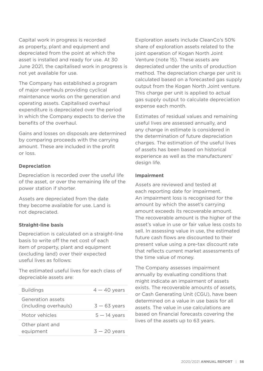Capital work in progress is recorded as property, plant and equipment and depreciated from the point at which the asset is installed and ready for use. At 30 June 2021, the capitalised work in progress is not yet available for use.

The Company has established a program of major overhauls providing cyclical maintenance works on the generation and operating assets. Capitalised overhaul expenditure is depreciated over the period in which the Company expects to derive the benefits of the overhaul.

Gains and losses on disposals are determined by comparing proceeds with the carrying amount. These are included in the profit or loss.

### **Depreciation**

Depreciation is recorded over the useful life of the asset, or over the remaining life of the power station if shorter.

Assets are depreciated from the date they become available for use. Land is not depreciated.

### **Straight-line basis**

Depreciation is calculated on a straight-line basis to write off the net cost of each item of property, plant and equipment (excluding land) over their expected useful lives as follows:

The estimated useful lives for each class of depreciable assets are:

| <b>Buildings</b>                           | $4 - 40$ years |
|--------------------------------------------|----------------|
| Generation assets<br>(including overhauls) | $3 - 63$ years |
| Motor vehicles                             | $5 - 14$ years |
| Other plant and<br>equipment               | $3 - 20$ years |

Exploration assets include CleanCo's 50% share of exploration assets related to the joint operation of Kogan North Joint Venture (note 15). These assets are depreciated under the units of production method. The depreciation charge per unit is calculated based on a forecasted gas supply output from the Kogan North Joint venture. This charge per unit is applied to actual gas supply output to calculate depreciation expense each month.

Estimates of residual values and remaining useful lives are assessed annually, and any change in estimate is considered in the determination of future depreciation charges. The estimation of the useful lives of assets has been based on historical experience as well as the manufacturers' design life.

### **Impairment**

Assets are reviewed and tested at each reporting date for impairment. An impairment loss is recognised for the amount by which the asset's carrying amount exceeds its recoverable amount. The recoverable amount is the higher of the asset's value in use or fair value less costs to sell. In assessing value in use, the estimated future cash flows are discounted to their present value using a pre-tax discount rate that reflects current market assessments of the time value of money.

The Company assesses impairment annually by evaluating conditions that might indicate an impairment of assets exists. The recoverable amounts of assets, or Cash Generating Unit (CGU), have been determined on a value in use basis for all assets. The value in use calculations are based on financial forecasts covering the lives of the assets up to 63 years.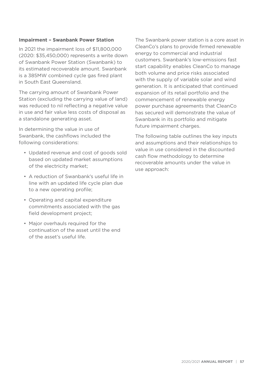#### **Impairment – Swanbank Power Station**

In 2021 the impairment loss of \$11,800,000 (2020: \$35,450,000) represents a write down of Swanbank Power Station (Swanbank) to its estimated recoverable amount. Swanbank is a 385MW combined cycle gas fired plant in South East Queensland.

The carrying amount of Swanbank Power Station (excluding the carrying value of land) was reduced to nil reflecting a negative value in use and fair value less costs of disposal as a standalone generating asset.

In determining the value in use of Swanbank, the cashflows included the following considerations:

- Updated revenue and cost of goods sold based on updated market assumptions of the electricity market;
- A reduction of Swanbank's useful life in line with an updated life cycle plan due to a new operating profile;
- Operating and capital expenditure commitments associated with the gas field development project;
- Major overhauls required for the continuation of the asset until the end of the asset's useful life.

The Swanbank power station is a core asset in CleanCo's plans to provide firmed renewable energy to commercial and industrial customers. Swanbank's low-emissions fast start capability enables CleanCo to manage both volume and price risks associated with the supply of variable solar and wind generation. It is anticipated that continued expansion of its retail portfolio and the commencement of renewable energy power purchase agreements that CleanCo has secured will demonstrate the value of Swanbank in its portfolio and mitigate future impairment charges.

The following table outlines the key inputs and assumptions and their relationships to value in use considered in the discounted cash flow methodology to determine recoverable amounts under the value in use approach: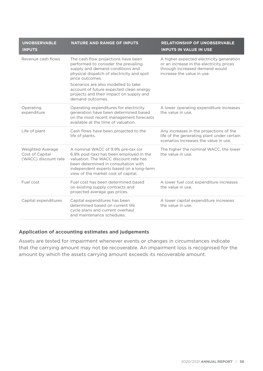| <b>UNOBSERVABLE</b><br><b>INPUTS</b>                        | <b>NATURE AND RANGE OF INPUTS</b>                                                                                                                                                                                                                 | <b>RELATIONSHIP OF UNOBSERVABLE</b><br><b>INPUTS IN VALUE IN USE</b>                                                                                 |
|-------------------------------------------------------------|---------------------------------------------------------------------------------------------------------------------------------------------------------------------------------------------------------------------------------------------------|------------------------------------------------------------------------------------------------------------------------------------------------------|
| Revenue cash flows                                          | The cash flow projections have been<br>performed to consider the prevailing<br>supply and demand conditions and<br>physical dispatch of electricity and spot<br>price outcomes.                                                                   | A higher expected electricity generation<br>or an increase in the electricity prices<br>through increased demand would<br>increase the value in use. |
|                                                             | Scenarios are also modelled to take<br>account of future expected clean energy<br>projects and their impact on supply and<br>demand outcomes.                                                                                                     |                                                                                                                                                      |
| Operating<br>expenditure                                    | Operating expenditures for electricity<br>generation have been determined based<br>on the most recent management forecasts<br>available at the time of valuation.                                                                                 | A lower operating expenditure increases<br>the value in use.                                                                                         |
| Life of plant                                               | Cash flows have been projected to the<br>life of plants.                                                                                                                                                                                          | Any increases in the projections of the<br>life of the generating plant under certain<br>scenarios increases the value in use.                       |
| Weighted Average<br>Cost of Capital<br>(WACC) discount rate | A nominal WACC of 9.9% pre-tax (or<br>6.9% post-tax) has been employed in the<br>valuation. The WACC discount rate has<br>been determined in consultation with<br>independent experts based on a long-term<br>view of the market cost of capital. | The higher the nominal WACC, the lower<br>the value in use.                                                                                          |
| Fuel cost                                                   | Fuel cost has been determined based<br>on existing supply contracts and<br>projected average gas prices.                                                                                                                                          | A lower fuel cost expenditure increases<br>the value in use.                                                                                         |
| Capital expenditures                                        | Capital expenditures has been<br>determined based on current life<br>cycle plans and current overhaul<br>and maintenance schedules.                                                                                                               | A lower capital expenditure increases<br>the value in use.                                                                                           |

### **Application of accounting estimates and judgements**

Assets are tested for impairment whenever events or changes in circumstances indicate that the carrying amount may not be recoverable. An impairment loss is recognised for the amount by which the assets carrying amount exceeds its recoverable amount.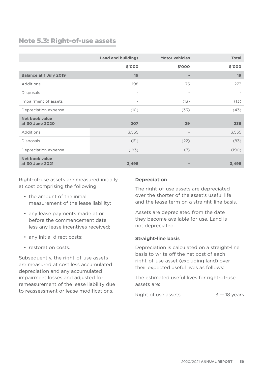# Note 5.3: Right-of-use assets

|                                   | <b>Land and buildings</b> | <b>Motor vehicles</b>    | <b>Total</b>             |
|-----------------------------------|---------------------------|--------------------------|--------------------------|
|                                   | \$'000                    | \$'000                   | \$'000                   |
| <b>Balance at 1 July 2019</b>     | 19                        | ٠                        | 19                       |
| Additions                         | 198                       | 75                       | 273                      |
| <b>Disposals</b>                  | $\overline{\phantom{a}}$  | $\overline{\phantom{a}}$ | $\overline{\phantom{a}}$ |
| Impairment of assets              | $\overline{\phantom{a}}$  | (13)                     | (13)                     |
| Depreciation expense              | (10)                      | (33)                     | (43)                     |
| Net book value<br>at 30 June 2020 | 207                       | 29                       | 236                      |
| Additions                         | 3,535                     | $\overline{\phantom{a}}$ | 3,535                    |
| Disposals                         | (61)                      | (22)                     | (83)                     |
| Depreciation expense              | (183)                     | (7)                      | (190)                    |
| Net book value<br>at 30 June 2021 | 3,498                     | -                        | 3,498                    |

Right-of-use assets are measured initially at cost comprising the following:

- the amount of the initial measurement of the lease liability;
- any lease payments made at or before the commencement date less any lease incentives received;
- any initial direct costs;
- restoration costs.

Subsequently, the right-of-use assets are measured at cost less accumulated depreciation and any accumulated impairment losses and adjusted for remeasurement of the lease liability due to reassessment or lease modifications.

### **Depreciation**

The right-of-use assets are depreciated over the shorter of the asset's useful life and the lease term on a straight-line basis.

Assets are depreciated from the date they become available for use. Land is not depreciated.

### **Straight-line basis**

Depreciation is calculated on a straight-line basis to write off the net cost of each right-of-use asset (excluding land) over their expected useful lives as follows:

The estimated useful lives for right-of-use assets are:

Right of use assets  $3 - 18$  years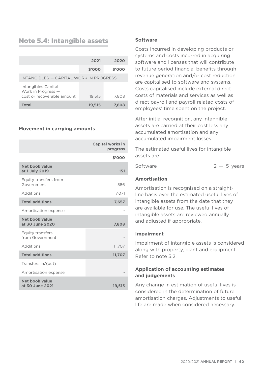# Note 5.4: Intangible assets

|                                                                         | 2021   | 2020   |
|-------------------------------------------------------------------------|--------|--------|
|                                                                         | \$'000 | \$'000 |
| INTANGIBLES — CAPITAL WORK IN PROGRESS                                  |        |        |
| Intangibles Capital<br>Work in Progress -<br>cost or recoverable amount | 19,515 | 7,808  |
| Total                                                                   | 19.515 | 7.808  |

#### **Movement in carrying amounts**

|                                         | <b>Capital works in</b><br>progress |
|-----------------------------------------|-------------------------------------|
|                                         | \$'000                              |
| <b>Net book value</b><br>at 1 July 2019 | 151                                 |
| Equity transfers from<br>Government     | 586                                 |
| Additions                               | 7,071                               |
| <b>Total additions</b>                  | 7,657                               |
| Amortisation expense                    |                                     |
| Net book value<br>at 30 June 2020       | 7,808                               |
| Equity transfers<br>from Government     |                                     |
| Additions                               | 11,707                              |
| <b>Total additions</b>                  | 11,707                              |
| Transfers in/(out)                      |                                     |
| Amortisation expense                    |                                     |
| Net book value<br>at 30 June 2021       | 19,515                              |

#### **Software**

Costs incurred in developing products or systems and costs incurred in acquiring software and licenses that will contribute to future period financial benefits through revenue generation and/or cost reduction are capitalised to software and systems. Costs capitalised include external direct costs of materials and services as well as direct payroll and payroll related costs of employees' time spent on the project.

After initial recognition, any intangible assets are carried at their cost less any accumulated amortisation and any accumulated impairment losses.

The estimated useful lives for intangible assets are:

Software  $2 - 5$  years

#### **Amortisation**

Amortisation is recognised on a straightline basis over the estimated useful lives of intangible assets from the date that they are available for use. The useful lives of intangible assets are reviewed annually and adjusted if appropriate.

#### **Impairment**

Impairment of intangible assets is considered along with property, plant and equipment. Refer to note 5.2.

### **Application of accounting estimates and judgements**

Any change in estimation of useful lives is considered in the determination of future amortisation charges. Adjustments to useful life are made when considered necessary.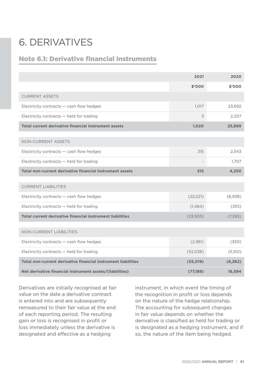# 6. DERIVATIVES

# Note 6.1: Derivative financial instruments

|                                                                      | 2021      | 2020     |
|----------------------------------------------------------------------|-----------|----------|
|                                                                      | \$'000    | \$'000   |
| <b>CURRENT ASSETS</b>                                                |           |          |
| Electricity contracts - cash flow hedges                             | 1.017     | 23,692   |
| Electricity contracts - held for trading                             | 3         | 2,207    |
| Total current derivative financial instrument assets                 | 1,020     | 25,899   |
| <b>NON-CURRENT ASSETS</b>                                            |           |          |
| Electricity contracts $-$ cash flow hedges                           | 315       | 2,543    |
| Electricity contracts - held for trading                             |           | 1,707    |
| Total non-current derivative financial instrument assets             | 315       | 4,250    |
| <b>CURRENT LIABILITIES</b>                                           |           |          |
| Electricity contracts - cash flow hedges                             | (22, 021) | (6,938)  |
| Electricity contracts - held for trading                             | (1,484)   | (355)    |
| <b>Total current derivative financial instrument liabilities</b>     | (23, 505) | (7,293)  |
| NON-CURRENT LIABILITIES                                              |           |          |
| Electricity contracts - cash flow hedges                             | (2,981)   | (350)    |
| Electricity contracts - held for trading                             | (52,038)  | (5, 912) |
| <b>Total non-current derivative financial instrument liabilities</b> | (55,019)  | (6, 262) |
| Net derivative financial instrument assets/(liabilities)             | (77,189)  | 16,594   |

Derivatives are initially recognised at fair value on the date a derivative contract is entered into and are subsequently remeasured to their fair value at the end of each reporting period. The resulting gain or loss is recognised in profit or loss immediately unless the derivative is designated and effective as a hedging

instrument, in which event the timing of the recognition in profit or loss depends on the nature of the hedge relationship. The accounting for subsequent changes in fair value depends on whether the derivative is classified as held for trading or is designated as a hedging instrument, and if so, the nature of the item being hedged.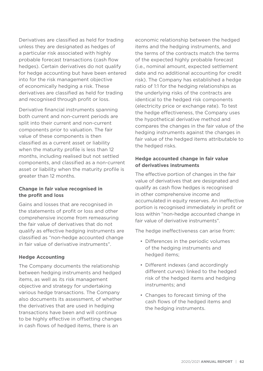Derivatives are classified as held for trading unless they are designated as hedges of a particular risk associated with highly probable forecast transactions (cash flow hedges). Certain derivatives do not qualify for hedge accounting but have been entered into for the risk management objective of economically hedging a risk. These derivatives are classified as held for trading and recognised through profit or loss.

Derivative financial instruments spanning both current and non-current periods are split into their current and non-current components prior to valuation. The fair value of these components is then classified as a current asset or liability when the maturity profile is less than 12 months, including realised but not settled components, and classified as a non-current asset or liability when the maturity profile is greater than 12 months.

### **Change in fair value recognised in the profit and loss**

Gains and losses that are recognised in the statements of profit or loss and other comprehensive income from remeasuring the fair value of derivatives that do not qualify as effective hedging instruments are classified as "non-hedge accounted change in fair value of derivative instruments".

### **Hedge Accounting**

The Company documents the relationship between hedging instruments and hedged items, as well as its risk management objective and strategy for undertaking various hedge transactions. The Company also documents its assessment, of whether the derivatives that are used in hedging transactions have been and will continue to be highly effective in offsetting changes in cash flows of hedged items, there is an

economic relationship between the hedged items and the hedging instruments, and the terms of the contracts match the terms of the expected highly probable forecast (i.e., nominal amount, expected settlement date and no additional accounting for credit risk). The Company has established a hedge ratio of 1:1 for the hedging relationships as the underlying risks of the contracts are identical to the hedged risk components (electricity price or exchange rate). To test the hedge effectiveness, the Company uses the hypothetical derivative method and compares the changes in the fair value of the hedging instruments against the changes in fair value of the hedged items attributable to the hedged risks.

### **Hedge accounted change in fair value of derivatives instruments**

The effective portion of changes in the fair value of derivatives that are designated and qualify as cash flow hedges is recognised in other comprehensive income and accumulated in equity reserves. An ineffective portion is recognised immediately in profit or loss within "non-hedge accounted change in fair value of derivative instruments".

The hedge ineffectiveness can arise from:

- Differences in the periodic volumes of the hedging instruments and hedged items;
- Different indexes (and accordingly different curves) linked to the hedged risk of the hedged items and hedging instruments; and
- Changes to forecast timing of the cash flows of the hedged items and the hedging instruments.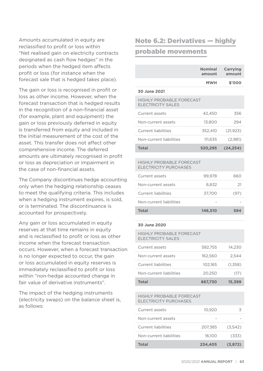Amounts accumulated in equity are reclassified to profit or loss within "Net realised gain on electricity contracts designated as cash flow hedges" in the periods when the hedged item affects profit or loss (for instance when the forecast sale that is hedged takes place).

The gain or loss is recognised in profit or loss as other income. However, when the forecast transaction that is hedged results in the recognition of a non-financial asset (for example, plant and equipment) the gain or loss previously deferred in equity is transferred from equity and included in the initial measurement of the cost of the asset. This transfer does not affect other comprehensive income. The deferred amounts are ultimately recognised in profit or loss as depreciation or impairment in the case of non-financial assets.

The Company discontinues hedge accounting only when the hedging relationship ceases to meet the qualifying criteria. This includes when a hedging instrument expires, is sold, or is terminated. The discontinuance is accounted for prospectively.

Any gain or loss accumulated in equity reserves at that time remains in equity and is reclassified to profit or loss as other income when the forecast transaction occurs. However, when a forecast transaction is no longer expected to occur, the gain or loss accumulated in equity reserves is immediately reclassified to profit or loss within "non-hedge accounted change in fair value of derivative instruments".

The impact of the hedging instruments (electricity swaps) on the balance sheet is, as follows:

# Note 6.2: Derivatives — highly

# probable movements

|                                                                 | <b>Nominal</b><br>amount | <b>Carrying</b><br>amount |
|-----------------------------------------------------------------|--------------------------|---------------------------|
|                                                                 | <b>MWH</b>               | \$'000                    |
| 30 June 2021                                                    |                          |                           |
| <b>HIGHLY PROBABLE FORECAST</b><br>ELECTRICITY SALES            |                          |                           |
| Current assets                                                  | 42,450                   | 356                       |
| Non-current assets                                              | 13,800                   | 294                       |
| <b>Current liabilities</b>                                      | 352,410                  | (21, 923)                 |
| Non-current liabilities                                         | 111,635                  | (2,981)                   |
| <b>Total</b>                                                    | 520,295                  | (24, 254)                 |
|                                                                 |                          |                           |
| <b>HIGHLY PROBABLE FORECAST</b><br><b>ELECTRICITY PURCHASES</b> |                          |                           |
| Current assets                                                  | 99,978                   | 660                       |
| Non-current assets                                              | 8.832                    | 21                        |
| Current liabilities                                             | 37,700                   | (97)                      |
| Non-current liabilities                                         |                          |                           |
| <b>Total</b>                                                    | 146,510                  | 584                       |

#### **30 June 2020**

| Total                                                | 867,730 | 15,399  |
|------------------------------------------------------|---------|---------|
| Non-current liabilities                              | 20.250  | (17)    |
| Current liabilities                                  | 102,165 | (1.358) |
| Non-current assets                                   | 162.560 | 2.544   |
| Current assets                                       | 582,755 | 14.230  |
| <b>HIGHLY PROBABLE FORECAST</b><br>FLECTRICITY SALES |         |         |

#### HIGHLY PROBABLE FORECAST ELECTRICITY PURCHASES

| Total                   | 234.405 | (3,872) |
|-------------------------|---------|---------|
| Non-current liabilities | 16.100  | (333)   |
| Current liabilities     | 207.385 | (3.542) |
| Non-current assets      |         |         |
| Current assets          | 10.920  | ス       |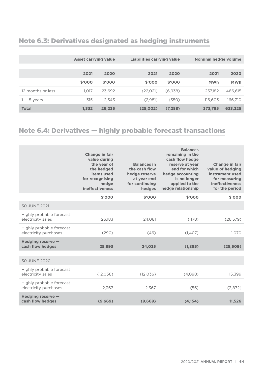# Note 6.3: Derivatives designated as hedging instruments

|                   | <b>Asset carrying value</b> |        | <b>Liabilities carrying value</b> |          | Nominal hedge volume |            |
|-------------------|-----------------------------|--------|-----------------------------------|----------|----------------------|------------|
|                   | 2021                        | 2020   | 2021                              | 2020     | 2021                 | 2020       |
|                   | \$'000                      | \$'000 | \$'000                            | \$'000   | <b>MWh</b>           | <b>MWh</b> |
| 12 months or less | 1.017                       | 23,692 | (22, 021)                         | (6,938)  | 257.182              | 466,615    |
| $1 - 5$ years     | 315                         | 2,543  | (2,981)                           | (350)    | 116,603              | 166,710    |
| <b>Total</b>      | 1,332                       | 26,235 | (25,002)                          | (7, 288) | 373,785              | 633,325    |

# Note 6.4: Derivatives — highly probable forecast transactions

|                                                   | Change in fair<br>value during<br>the year of<br>the hedged<br>items used<br>for recognising<br>hedge<br><b>ineffectiveness</b> | <b>Balances in</b><br>the cash flow<br>hedge reserve<br>at year end<br>for continuing<br>hedges | <b>Balances</b><br>remaining in the<br>cash flow hedge<br>reserve at year<br>end for which<br>hedge accounting<br>is no longer<br>applied to the<br>hedge relationship | <b>Change in fair</b><br>value of hedging<br>instrument used<br>for measuring<br><b>ineffectiveness</b><br>for the period |
|---------------------------------------------------|---------------------------------------------------------------------------------------------------------------------------------|-------------------------------------------------------------------------------------------------|------------------------------------------------------------------------------------------------------------------------------------------------------------------------|---------------------------------------------------------------------------------------------------------------------------|
|                                                   | \$'000                                                                                                                          | \$'000                                                                                          | \$'000                                                                                                                                                                 | \$'000                                                                                                                    |
| 30 JUNE 2021                                      |                                                                                                                                 |                                                                                                 |                                                                                                                                                                        |                                                                                                                           |
| Highly probable forecast<br>electricity sales     | 26.183                                                                                                                          | 24.081                                                                                          | (478)                                                                                                                                                                  | (26, 579)                                                                                                                 |
| Highly probable forecast<br>electricity purchases | (290)                                                                                                                           | (46)                                                                                            | (1,407)                                                                                                                                                                | 1,070                                                                                                                     |
| Hedging reserve -<br>cash flow hedges             | 25,893                                                                                                                          | 24,035                                                                                          | (1,885)                                                                                                                                                                | (25,509)                                                                                                                  |
|                                                   |                                                                                                                                 |                                                                                                 |                                                                                                                                                                        |                                                                                                                           |
| 30 JUNE 2020                                      |                                                                                                                                 |                                                                                                 |                                                                                                                                                                        |                                                                                                                           |
| Highly probable forecast<br>electricity sales     | (12,036)                                                                                                                        | (12,036)                                                                                        | (4,098)                                                                                                                                                                | 15,399                                                                                                                    |
| Highly probable forecast<br>electricity purchases | 2,367                                                                                                                           | 2,367                                                                                           | (56)                                                                                                                                                                   | (3,872)                                                                                                                   |
| Hedging reserve -<br>cash flow hedges             | (9,669)                                                                                                                         | (9,669)                                                                                         | (4, 154)                                                                                                                                                               | 11,526                                                                                                                    |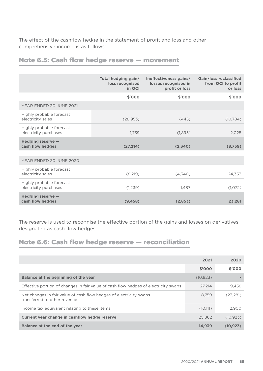The effect of the cashflow hedge in the statement of profit and loss and other comprehensive income is as follows:

### Note 6.5: Cash flow hedge reserve — movement

|                                                   | Total hedging gain/<br>loss recognised<br>in OCI | Ineffectiveness gains/<br>losses recognised in<br>profit or loss | Gain/loss reclassified<br>from OCI to profit<br>or loss |
|---------------------------------------------------|--------------------------------------------------|------------------------------------------------------------------|---------------------------------------------------------|
|                                                   | \$'000                                           | \$'000                                                           | \$'000                                                  |
| YEAR ENDED 30 JUNE 2021                           |                                                  |                                                                  |                                                         |
| Highly probable forecast<br>electricity sales     | (28, 953)                                        | (445)                                                            | (10, 784)                                               |
| Highly probable forecast<br>electricity purchases | 1,739                                            | (1,895)                                                          | 2,025                                                   |
| Hedging reserve -<br>cash flow hedges             | (27, 214)                                        | (2,340)                                                          | (8,759)                                                 |
|                                                   |                                                  |                                                                  |                                                         |
| YEAR ENDED 30 JUNE 2020                           |                                                  |                                                                  |                                                         |
| Highly probable forecast<br>electricity sales     | (8,219)                                          | (4,340)                                                          | 24,353                                                  |
| Highly probable forecast<br>electricity purchases | (1,239)                                          | 1.487                                                            | (1,072)                                                 |
| Hedging reserve -<br>cash flow hedges             | (9, 458)                                         | (2,853)                                                          | 23,281                                                  |

The reserve is used to recognise the effective portion of the gains and losses on derivatives designated as cash flow hedges:

# Note 6.6: Cash flow hedge reserve — reconciliation

|                                                                                                    | 2021     | 2020      |
|----------------------------------------------------------------------------------------------------|----------|-----------|
|                                                                                                    | \$'000   | \$'000    |
| Balance at the beginning of the year                                                               | (10.923) |           |
| Effective portion of changes in fair value of cash flow hedges of electricity swaps                | 27,214   | 9,458     |
| Net changes in fair value of cash flow hedges of electricity swaps<br>transferred to other revenue | 8.759    | (23, 281) |
| Income tax equivalent relating to these items                                                      | (10,111) | 2.900     |
| Current year change in cashflow hedge reserve                                                      | 25,862   | (10, 923) |
| Balance at the end of the year                                                                     | 14,939   | (10, 923) |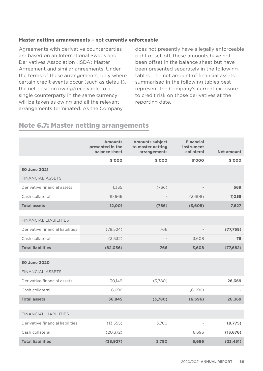#### **Master netting arrangements – not currently enforceable**

Agreements with derivative counterparties are based on an International Swaps and Derivatives Association (ISDA) Master Agreement and similar agreements. Under the terms of these arrangements, only where certain credit events occur (such as default), the net position owing/receivable to a single counterparty in the same currency will be taken as owing and all the relevant arrangements terminated. As the Company

does not presently have a legally enforceable right of set-off, these amounts have not been offset in the balance sheet but have been presented separately in the following tables. The net amount of financial assets summarised in the following tables best represent the Company's current exposure to credit risk on those derivatives at the reporting date.

# Note 6.7: Master netting arrangements

|                                  | <b>Amounts</b><br>presented in the<br><b>balance sheet</b> | <b>Amounts subject</b><br>to master netting<br>arrangements | <b>Financial</b><br>instrument<br>collateral | <b>Net amount</b> |
|----------------------------------|------------------------------------------------------------|-------------------------------------------------------------|----------------------------------------------|-------------------|
|                                  | \$'000                                                     | \$'000                                                      | \$'000                                       | \$'000            |
| 30 June 2021                     |                                                            |                                                             |                                              |                   |
| <b>FINANCIAL ASSETS</b>          |                                                            |                                                             |                                              |                   |
| Derivative financial assets      | 1,335                                                      | (766)                                                       | $\overline{\phantom{a}}$                     | 569               |
| Cash collateral                  | 10,666                                                     |                                                             | (3,608)                                      | 7,058             |
| <b>Total assets</b>              | 12,001                                                     | (766)                                                       | (3,608)                                      | 7,627             |
|                                  |                                                            |                                                             |                                              |                   |
| <b>FINANCIAL LIABILITIES</b>     |                                                            |                                                             |                                              |                   |
| Derivative financial liabilities | (78, 524)                                                  | 766                                                         | $\overline{a}$                               | (77, 758)         |
| Cash collateral                  | (3,532)                                                    |                                                             | 3,608                                        | 76                |
| <b>Total liabilities</b>         | (82,056)                                                   | 766                                                         | 3,608                                        | (77, 682)         |
|                                  |                                                            |                                                             |                                              |                   |
| 30 June 2020                     |                                                            |                                                             |                                              |                   |
| <b>FINANCIAL ASSETS</b>          |                                                            |                                                             |                                              |                   |
| Derivative financial assets      | 30,149                                                     | (3,780)                                                     |                                              | 26,369            |
| Cash collateral                  | 6,696                                                      |                                                             | (6,696)                                      |                   |
| <b>Total assets</b>              | 36,845                                                     | (3,780)                                                     | (6,696)                                      | 26,369            |
|                                  |                                                            |                                                             |                                              |                   |
| FINANCIAL LIABILITIES            |                                                            |                                                             |                                              |                   |
| Derivative financial liabilities | (13, 555)                                                  | 3,780                                                       | $\overline{a}$                               | (9,775)           |
| Cash collateral                  | (20, 372)                                                  |                                                             | 6,696                                        | (13, 676)         |
| <b>Total liabilities</b>         | (33, 927)                                                  | 3,780                                                       | 6,696                                        | (23, 451)         |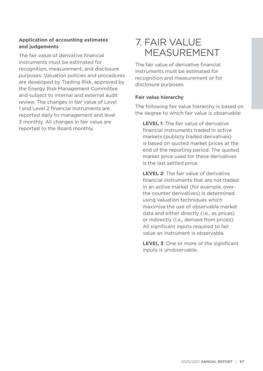### **Application of accounting estimates and judgements**

The fair value of derivative financial instruments must be estimated for recognition, measurement, and disclosure purposes. Valuation policies and procedures are developed by Trading Risk, approved by the Energy Risk Management Committee and subject to internal and external audit review. The changes in fair value of Level 1 and Level 2 financial instruments are reported daily to management and level 3 monthly. All changes in fair value are reported to the Board monthly.

# 7. FAIR VALUE MEASUREMENT

The fair value of derivative financial instruments must be estimated for recognition and measurement or for disclosure purposes.

### **Fair value hierarchy**

The following fair value hierarchy is based on the degree to which fair value is observable:

**LEVEL 1**: The fair value of derivative financial instruments traded in active markets (publicly traded derivatives) is based on quoted market prices at the end of the reporting period. The quoted market price used for these derivatives is the last settled price.

**LEVEL 2**: The fair value of derivative financial instruments that are not traded in an active market (for example, overthe counter derivatives) is determined using valuation techniques which maximise the use of observable market data and either directly (i.e., as prices) or indirectly (i.e., derived from prices). All significant inputs required to fair value an instrument is observable.

**LEVEL 3**: One or more of the significant inputs is unobservable.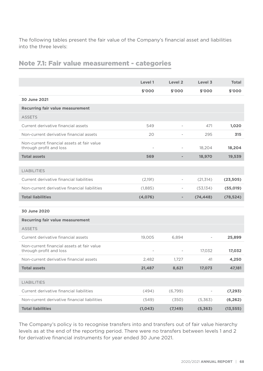The following tables present the fair value of the Company's financial asset and liabilities into the three levels:

# Note 7.1: Fair value measurement - categories

|                                                                       | Level 1                  | Level 2                  | Level 3                  | <b>Total</b> |
|-----------------------------------------------------------------------|--------------------------|--------------------------|--------------------------|--------------|
|                                                                       | \$'000                   | \$'000                   | \$'000                   | \$'000       |
| 30 June 2021                                                          |                          |                          |                          |              |
| <b>Recurring fair value measurement</b>                               |                          |                          |                          |              |
| <b>ASSETS</b>                                                         |                          |                          |                          |              |
| Current derivative financial assets                                   | 549                      | $\bar{\phantom{a}}$      | 471                      | 1,020        |
| Non-current derivative financial assets                               | 20                       |                          | 295                      | 315          |
| Non-current financial assets at fair value<br>through profit and loss | $\overline{\phantom{a}}$ |                          | 18,204                   | 18,204       |
| <b>Total assets</b>                                                   | 569                      | ٠                        | 18,970                   | 19,539       |
|                                                                       |                          |                          |                          |              |
| <b>LIABILITIES</b>                                                    |                          |                          |                          |              |
| Current derivative financial liabilities                              | (2,191)                  | $\overline{\phantom{a}}$ | (21, 314)                | (23, 505)    |
| Non-current derivative financial liabilities                          | (1,885)                  | $\overline{\phantom{a}}$ | (53, 134)                | (55, 019)    |
| <b>Total liabilities</b>                                              | (4,076)                  | -                        | (74, 448)                | (78, 524)    |
|                                                                       |                          |                          |                          |              |
| 30 June 2020                                                          |                          |                          |                          |              |
| <b>Recurring fair value measurement</b>                               |                          |                          |                          |              |
| <b>ASSETS</b>                                                         |                          |                          |                          |              |
| Current derivative financial assets                                   | 19,005                   | 6,894                    | $\overline{\phantom{a}}$ | 25,899       |
| Non-current financial assets at fair value<br>through profit and loss | $\overline{\phantom{a}}$ | $\overline{\phantom{a}}$ | 17,032                   | 17,032       |
| Non-current derivative financial assets                               | 2,482                    | 1,727                    | 41                       | 4,250        |
| <b>Total assets</b>                                                   | 21,487                   | 8,621                    | 17,073                   | 47,181       |
|                                                                       |                          |                          |                          |              |
| <b>LIABILITIES</b>                                                    |                          |                          |                          |              |
| Current derivative financial liabilities                              | (494)                    | (6,799)                  |                          | (7, 293)     |
| Non-current derivative financial liabilities                          | (549)                    | (350)                    | (5,363)                  | (6, 262)     |
| <b>Total liabilities</b>                                              | (1,043)                  | (7,149)                  | (5,363)                  | (13, 555)    |

The Company's policy is to recognise transfers into and transfers out of fair value hierarchy levels as at the end of the reporting period. There were no transfers between levels 1 and 2 for derivative financial instruments for year ended 30 June 2021.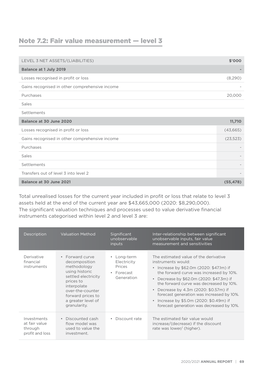# Note 7.2: Fair value measurement — level 3

| LEVEL 3 NET ASSETS/(LIABILITIES)               | \$'000    |
|------------------------------------------------|-----------|
| <b>Balance at 1 July 2019</b>                  |           |
| Losses recognised in profit or loss            | (8,290)   |
| Gains recognised in other comprehensive income |           |
| Purchases                                      | 20,000    |
| Sales                                          |           |
| Settlements                                    |           |
| Balance at 30 June 2020                        | 11,710    |
| Losses recognised in profit or loss            | (43,665)  |
|                                                |           |
| Gains recognised in other comprehensive income | (23, 523) |
| Purchases                                      |           |
| Sales                                          |           |
| Settlements                                    |           |
| Transfers out of level 3 into level 2          |           |

Total unrealised losses for the current year included in profit or loss that relate to level 3 assets held at the end of the current year are \$43,665,000 (2020: \$8,290,000). The significant valuation techniques and processes used to value derivative financial instruments categorised within level 2 and level 3 are:

| Description                                                | <b>Valuation Method</b>                                                                                                                                                                             | Significant<br>unobservable<br>inputs                            | Inter-relationship between significant<br>unobservable inputs, fair value<br>measurement and sensitivities                                                                                                                                                                                                                                                                                                                                    |
|------------------------------------------------------------|-----------------------------------------------------------------------------------------------------------------------------------------------------------------------------------------------------|------------------------------------------------------------------|-----------------------------------------------------------------------------------------------------------------------------------------------------------------------------------------------------------------------------------------------------------------------------------------------------------------------------------------------------------------------------------------------------------------------------------------------|
| Derivative<br>financial<br>instruments                     | • Forward curve<br>decomposition<br>methodology<br>using historic<br>settled electricity<br>prices to<br>interpolate<br>over-the-counter<br>forward prices to<br>a greater level of<br>granularity. | • Long-term<br>Electricity<br>Prices<br>• Forecast<br>Generation | The estimated value of the derivative<br>instruments would:<br>• Increase by \$62.0m (2020: \$47.1m) if<br>the forward curve was increased by 10%.<br>Decrease by \$62.0m (2020: \$47.3m) if<br>$\bullet$<br>the forward curve was decreased by 10%.<br>• Decrease by 4.3m (2020: \$0.57m) if<br>forecast generation was increased by 10%.<br>Increase by \$5.0m (2020: \$0.49m) if<br>$\bullet$<br>forecast generation was decreased by 10%. |
| Investments<br>at fair value<br>through<br>profit and loss | Discounted cash<br>flow model was<br>used to value the<br>investment.                                                                                                                               | Discount rate                                                    | The estimated fair value would<br>increase/(decrease) if the discount<br>rate was lower/ (higher).                                                                                                                                                                                                                                                                                                                                            |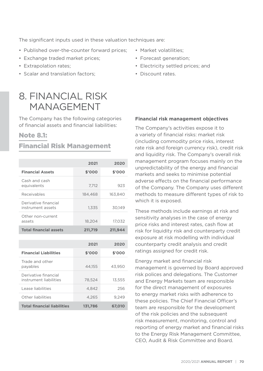The significant inputs used in these valuation techniques are:

- Published over-the-counter forward prices;
- Exchange traded market prices;
- Extrapolation rates;
- Scalar and translation factors;

# 8. FINANCIAL RISK MANAGEMENT

The Company has the following categories of financial assets and financial liabilities:

## Note 8.1:

### Financial Risk Management

|                                                | 2021    | 2020    |
|------------------------------------------------|---------|---------|
| <b>Financial Assets</b>                        | \$'000  | \$'000  |
| Cash and cash<br>equivalents                   | 7,712   | 923     |
| Receivables                                    | 184,468 | 163,840 |
| Derivative financial<br>instrument assets      | 1.335   | 30,149  |
| Other non-current<br>assets                    | 18,204  | 17,032  |
| <b>Total financial assets</b>                  | 211,719 | 211,944 |
|                                                |         |         |
|                                                | 2021    | 2020    |
| <b>Financial Liabilities</b>                   | \$'000  | \$'000  |
| Trade and other<br>payables                    | 44,155  | 43,950  |
| Derivative financial<br>instrument liabilities | 78,524  | 13,555  |
| Lease liabilities                              | 4,842   | 256     |
| Other liabilities                              | 4,265   | 9,249   |
|                                                |         |         |

- Market volatilities;
- Forecast generation;
- Electricity settled prices; and
- Discount rates.

#### **Financial risk management objectives**

The Company's activities expose it to a variety of financial risks: market risk (including commodity price risks, interest rate risk and foreign currency risk), credit risk and liquidity risk. The Company's overall risk management program focuses mainly on the unpredictability of the energy and financial markets and seeks to minimise potential adverse effects on the financial performance of the Company. The Company uses different methods to measure different types of risk to which it is exposed.

These methods include earnings at risk and sensitivity analyses in the case of energy price risks and interest rates, cash flow at risk for liquidity risk and counterparty credit exposure at risk modelling with individual counterparty credit analysis and credit ratings assigned for credit risk.

Energy market and financial risk management is governed by Board approved risk polices and delegations. The Customer and Energy Markets team are responsible for the direct management of exposures to energy market risks with adherence to these policies. The Chief Financial Officer's team are responsible for the development of the risk policies and the subsequent risk measurement, monitoring, control and reporting of energy market and financial risks to the Energy Risk Management Committee, CEO, Audit & Risk Committee and Board.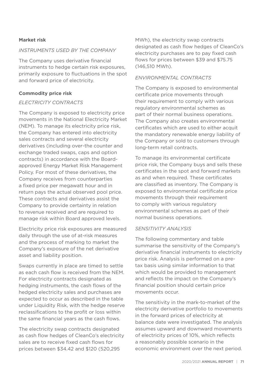### **Market risk**

#### *INSTRUMENTS USED BY THE COMPANY*

The Company uses derivative financial instruments to hedge certain risk exposures, primarily exposure to fluctuations in the spot and forward price of electricity.

#### **Commodity price risk**

#### *ELECTRICITY CONTRACTS*

The Company is exposed to electricity price movements in the National Electricity Market (NEM). To manage its electricity price risk, the Company has entered into electricity sales contracts and several electricity derivatives (including over-the counter and exchange traded swaps, caps and option contracts) in accordance with the Boardapproved Energy Market Risk Management Policy. For most of these derivatives, the Company receives from counterparties a fixed price per megawatt hour and in return pays the actual observed pool price. These contracts and derivatives assist the Company to provide certainty in relation to revenue received and are required to manage risk within Board approved levels.

Electricity price risk exposures are measured daily through the use of at-risk measures and the process of marking to market the Company's exposure of the net derivative asset and liability position.

Swaps currently in place are timed to settle as each cash flow is received from the NEM. For electricity contracts designated as hedging instruments, the cash flows of the hedged electricity sales and purchases are expected to occur as described in the table under Liquidity Risk, with the hedge reserve reclassifications to the profit or loss within the same financial years as the cash flows.

The electricity swap contracts designated as cash flow hedges of CleanCo's electricity sales are to receive fixed cash flows for prices between \$34.42 and \$120 (520,295

MWh), the electricity swap contracts designated as cash flow hedges of CleanCo's electricity purchases are to pay fixed cash flows for prices between \$39 and \$75.75 (146,510 MWh).

#### *ENVIRONMENTAL CONTRACTS*

The Company is exposed to environmental certificate price movements through their requirement to comply with various regulatory environmental schemes as part of their normal business operations. The Company also creates environmental certificates which are used to either acquit the mandatory renewable energy liability of the Company or sold to customers through long-term retail contracts.

To manage its environmental certificate price risk, the Company buys and sells these certificates in the spot and forward markets as and when required. These certificates are classified as inventory. The Company is exposed to environmental certificate price movements through their requirement to comply with various regulatory environmental schemes as part of their normal business operations.

#### *SENSITIVITY ANALYSIS*

The following commentary and table summarise the sensitivity of the Company's derivative financial instruments to electricity price risk. Analysis is performed on a pretax basis using similar information to that which would be provided to management and reflects the impact on the Company's financial position should certain price movements occur.

The sensitivity in the mark-to-market of the electricity derivative portfolio to movements in the forward prices of electricity at balance date were investigated. The analysis assumes upward and downward movements of electricity prices of 10%, which reflects a reasonably possible scenario in the economic environment over the next period.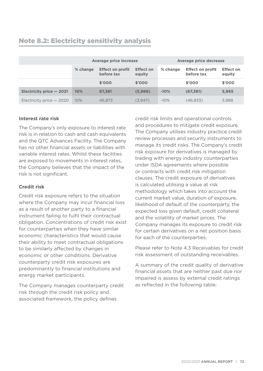|                           | Average price increase |                                       |                            | Average price decrease |                                       |                            |
|---------------------------|------------------------|---------------------------------------|----------------------------|------------------------|---------------------------------------|----------------------------|
|                           | % change               | <b>Effect on profit</b><br>before tax | <b>Effect on</b><br>equity | % change               | <b>Effect on profit</b><br>before tax | <b>Effect on</b><br>equity |
|                           |                        | \$'000                                | \$'000                     |                        | \$'000                                | \$'000                     |
| Electricity price - 2021  | 10%                    | 67,381                                | (5,966)                    | $-10%$                 | (67, 381)                             | 5,965                      |
| Electricity price $-2020$ | 10%                    | 46.873                                | (3.947)                    | $-10\%$                | (46, 833)                             | 3,988                      |

# Note 8.2: Electricity sensitivity analysis

#### **Interest rate risk**

The Company's only exposure to interest rate risk is in relation to cash and cash equivalents and the QTC Advances Facility. The Company has no other financial assets or liabilities with variable interest rates. Whilst these facilities are exposed to movements in interest rates, the Company believes that the impact of the risk is not significant.

### **Credit risk**

Credit risk exposure refers to the situation where the Company may incur financial loss as a result of another party to a financial instrument failing to fulfil their contractual obligation. Concentrations of credit risk exist for counterparties when they have similar economic characteristics that would cause their ability to meet contractual obligations to be similarly affected by changes in economic or other conditions. Derivative counterparty credit risk exposures are predominantly to financial institutions and energy market participants.

The Company manages counterparty credit risk through the credit risk policy and associated framework, the policy defines

credit risk limits and operational controls and procedures to mitigate credit exposure. The Company utilises industry practice credit review processes and security instruments to manage its credit risks. The Company's credit risk exposure for derivatives is managed by trading with energy industry counterparties under ISDA agreements where possible or contracts with credit risk mitigation clauses. The credit exposure of derivatives is calculated utilising a value at risk methodology which takes into account the current market value, duration of exposure, likelihood of default of the counterparty, the expected loss given default, credit collateral and the volatility of market prices. The Company manages its exposure to credit risk for certain derivatives on a net position basis for each of the counterparties.

Please refer to Note 4.3 Receivables for credit risk assessment of outstanding receivables.

A summary of the credit quality of derivative financial assets that are neither past due nor impaired is assess by external credit ratings as reflected in the following table: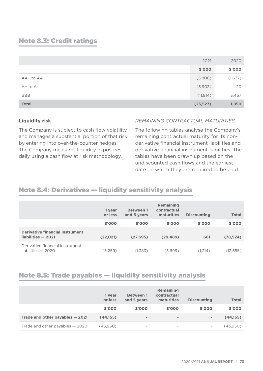## Note 8.3: Credit ratings

|                | 2021      | 2020    |
|----------------|-----------|---------|
|                | \$'000    | \$'000  |
| $AA+$ to $AA-$ | (5,806)   | (1,637) |
| $A + to A -$   | (5,903)   | 20      |
| <b>BBB</b>     | (11, 814) | 3,467   |
| <b>Total</b>   | (23, 523) | 1,850   |

## **Liquidity risk**

The Company is subject to cash flow volatility and manages a substantial portion of that risk by entering into over-the-counter hedges. The Company measures liquidity exposures daily using a cash flow at risk methodology.

## *REMAINING CONTRACTUAL MATURITIES*

The following tables analyse the Company's remaining contractual maturity for its nonderivative financial instrument liabilities and derivative financial instrument liabilities. The tables have been drawn up based on the undiscounted cash flows and the earliest date on which they are required to be paid.

## Note 8.4: Derivatives — liquidity sensitivity analysis

|                                                              | 1 year<br>or less | <b>Between 1</b><br>and 5 years | <b>Remaining</b><br>contractual<br>maturities | <b>Discounting</b> | <b>Total</b> |
|--------------------------------------------------------------|-------------------|---------------------------------|-----------------------------------------------|--------------------|--------------|
|                                                              | \$'000            | \$'000                          | \$'000                                        | \$'000             | \$'000       |
| <b>Derivative financial instrument</b><br>liabilities - 2021 | (22, 021)         | (27, 695)                       | (29, 489)                                     | 681                | (78, 524)    |
| Derivative financial instrument<br>liabilities $-2020$       | (5,259)           | (1,383)                         | (5,699)                                       | (1,214)            | (13, 555)    |

## Note 8.5: Trade payables — liquidity sensitivity analysis

|                                  | 1 year<br>or less | <b>Between 1</b><br>and 5 years | <b>Remaining</b><br>contractual<br>maturities | <b>Discounting</b>       | <b>Total</b> |
|----------------------------------|-------------------|---------------------------------|-----------------------------------------------|--------------------------|--------------|
|                                  | \$'000            | \$'000                          | \$'000                                        | \$'000                   | \$'000       |
| Trade and other payables - 2021  | (44,155)          | $\blacksquare$                  | $\blacksquare$                                | $\equiv$                 | (44,155)     |
| Trade and other payables $-2020$ | (43,950)          | $\overline{\phantom{a}}$        | $\overline{\phantom{a}}$                      | $\overline{\phantom{a}}$ | (43.950)     |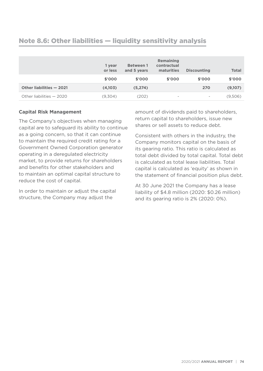|                          | 1 year<br>or less | <b>Between 1</b><br>and 5 years | Remaining<br>contractual<br>maturities | <b>Discounting</b>       | <b>Total</b> |
|--------------------------|-------------------|---------------------------------|----------------------------------------|--------------------------|--------------|
|                          | \$'000            | \$'000                          | \$'000                                 | \$'000                   | \$'000       |
| Other liabilities - 2021 | (4,103)           | (5,274)                         |                                        | 270                      | (9,107)      |
| Other liabilities - 2020 | (9,304)           | (202)                           | $\overline{\phantom{a}}$               | $\overline{\phantom{a}}$ | (9,506)      |

## Note 8.6: Other liabilities — liquidity sensitivity analysis

## **Capital Risk Management**

The Company's objectives when managing capital are to safeguard its ability to continue as a going concern, so that it can continue to maintain the required credit rating for a Government Owned Corporation generator operating in a deregulated electricity market, to provide returns for shareholders and benefits for other stakeholders and to maintain an optimal capital structure to reduce the cost of capital.

In order to maintain or adjust the capital structure, the Company may adjust the

amount of dividends paid to shareholders, return capital to shareholders, issue new shares or sell assets to reduce debt.

Consistent with others in the industry, the Company monitors capital on the basis of its gearing ratio. This ratio is calculated as total debt divided by total capital. Total debt is calculated as total lease liabilities. Total capital is calculated as 'equity' as shown in the statement of financial position plus debt.

At 30 June 2021 the Company has a lease liability of \$4.8 million (2020: \$0.26 million) and its gearing ratio is 2% (2020: 0%).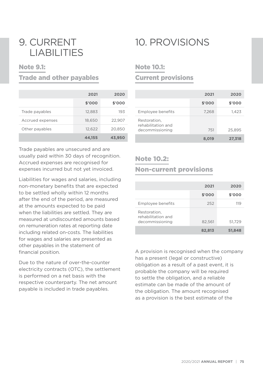# 9. CURRENT LIABILITIES

## Note 9.1:

## Trade and other payables

|                  | 2021   | 2020   |
|------------------|--------|--------|
|                  | \$'000 | \$'000 |
| Trade payables   | 12,883 | 193    |
| Accrued expenses | 18,650 | 22,907 |
| Other payables   | 12,622 | 20,850 |
|                  | 44,155 | 43,950 |

Trade payables are unsecured and are usually paid within 30 days of recognition. Accrued expenses are recognised for expenses incurred but not yet invoiced.

Liabilities for wages and salaries, including non-monetary benefits that are expected to be settled wholly within 12 months after the end of the period, are measured at the amounts expected to be paid when the liabilities are settled. They are measured at undiscounted amounts based on remuneration rates at reporting date including related on-costs. The liabilities for wages and salaries are presented as other payables in the statement of financial position.

Due to the nature of over-the-counter electricity contracts (OTC), the settlement is performed on a net basis with the respective counterparty. The net amount payable is included in trade payables.

# 10. PROVISIONS

## Note 10.1:

## Current provisions

|                                                       | 2021   | 2020   |
|-------------------------------------------------------|--------|--------|
|                                                       | \$'000 | \$'000 |
| Employee benefits                                     | 7,268  | 1,423  |
| Restoration,<br>rehabilitation and<br>decommissioning | 751    | 25,895 |
|                                                       | 8.019  | 27.318 |

## Note 10.2:

## Non-current provisions

|                                                       | 2021   | 2020   |
|-------------------------------------------------------|--------|--------|
|                                                       | \$'000 | \$'000 |
| Employee benefits                                     | 252    | 11.9   |
| Restoration.<br>rehabilitation and<br>decommissioning | 82,561 | 51,729 |
|                                                       | 82,813 | 51,848 |

A provision is recognised when the company has a present (legal or constructive) obligation as a result of a past event, it is probable the company will be required to settle the obligation, and a reliable estimate can be made of the amount of the obligation. The amount recognised as a provision is the best estimate of the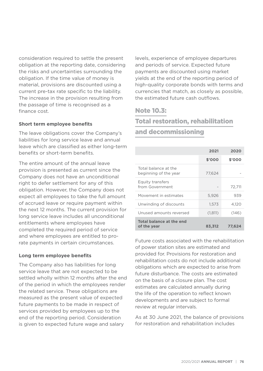consideration required to settle the present obligation at the reporting date, considering the risks and uncertainties surrounding the obligation. If the time value of money is material, provisions are discounted using a current pre-tax rate specific to the liability. The increase in the provision resulting from the passage of time is recognised as a finance cost.

#### **Short term employee benefits**

The leave obligations cover the Company's liabilities for long service leave and annual leave which are classified as either long-term benefits or short-term benefits.

The entire amount of the annual leave provision is presented as current since the Company does not have an unconditional right to defer settlement for any of this obligation. However, the Company does not expect all employees to take the full amount of accrued leave or require payment within the next 12 months. The current provision for long service leave includes all unconditional entitlements where employees have completed the required period of service and where employees are entitled to prorate payments in certain circumstances.

#### **Long term employee benefits**

The Company also has liabilities for long service leave that are not expected to be settled wholly within 12 months after the end of the period in which the employees render the related service. These obligations are measured as the present value of expected future payments to be made in respect of services provided by employees up to the end of the reporting period. Consideration is given to expected future wage and salary

levels, experience of employee departures and periods of service. Expected future payments are discounted using market yields at the end of the reporting period of high-quality corporate bonds with terms and currencies that match, as closely as possible, the estimated future cash outflows.

## Note 10.3:

## Total restoration, rehabilitation and decommissioning

|                                               | 2021    | 2020   |
|-----------------------------------------------|---------|--------|
|                                               | \$'000  | \$'000 |
| Total balance at the<br>beginning of the year | 77,624  |        |
| Equity transfers<br>from Government           |         | 72,711 |
| Movement in estimates                         | 5.926   | 939    |
| Unwinding of discounts                        | 1.573   | 4.120  |
| Unused amounts reversed                       | (1,811) | (146)  |
| Total balance at the end<br>of the year       | 83,312  | 77,624 |

Future costs associated with the rehabilitation of power station sites are estimated and provided for. Provisions for restoration and rehabilitation costs do not include additional obligations which are expected to arise from future disturbance. The costs are estimated on the basis of a closure plan. The cost estimates are calculated annually during the life of the operation to reflect known developments and are subject to formal review at regular intervals.

As at 30 June 2021, the balance of provisions for restoration and rehabilitation includes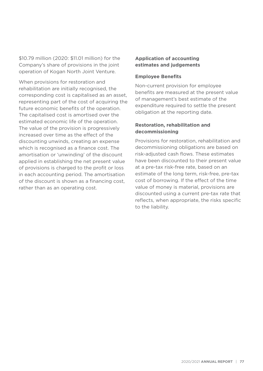\$10.79 million (2020: \$11.01 million) for the Company's share of provisions in the joint operation of Kogan North Joint Venture.

When provisions for restoration and rehabilitation are initially recognised, the corresponding cost is capitalised as an asset, representing part of the cost of acquiring the future economic benefits of the operation. The capitalised cost is amortised over the estimated economic life of the operation. The value of the provision is progressively increased over time as the effect of the discounting unwinds, creating an expense which is recognised as a finance cost. The amortisation or 'unwinding' of the discount applied in establishing the net present value of provisions is charged to the profit or loss in each accounting period. The amortisation of the discount is shown as a financing cost, rather than as an operating cost.

## **Application of accounting estimates and judgements**

## **Employee Benefits**

Non-current provision for employee benefits are measured at the present value of management's best estimate of the expenditure required to settle the present obligation at the reporting date.

## **Restoration, rehabilitation and decommissioning**

Provisions for restoration, rehabilitation and decommissioning obligations are based on risk-adjusted cash flows. These estimates have been discounted to their present value at a pre-tax risk-free rate, based on an estimate of the long term, risk-free, pre-tax cost of borrowing. If the effect of the time value of money is material, provisions are discounted using a current pre-tax rate that reflects, when appropriate, the risks specific to the liability.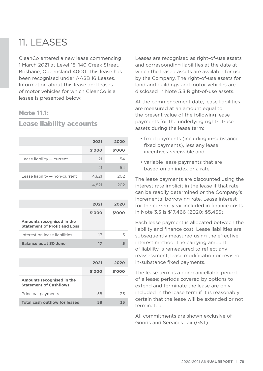# 11. LEASES

CleanCo entered a new lease commencing 1 March 2021 at Level 18, 140 Creek Street, Brisbane, Queensland 4000. This lease has been recognised under AASB 16 Leases. Information about this lease and leases of motor vehicles for which CleanCo is a lessee is presented below:

## Note 11.1:

## Lease liability accounts

|                               | 2021   | 2020   |
|-------------------------------|--------|--------|
|                               | \$'000 | \$'000 |
| Lease liability - current     | 21     | 54     |
|                               | 21     | 54     |
| Lease liability - non-current | 4,821  | 202    |
|                               | 4,821  | 202    |

|                                                                  | 2021   | 2020   |
|------------------------------------------------------------------|--------|--------|
|                                                                  | \$'000 | \$'000 |
| Amounts recognised in the<br><b>Statement of Profit and Loss</b> |        |        |
| Interest on lease liabilities                                    | 17     | 5      |
| <b>Balance as at 30 June</b>                                     |        |        |

|                                                            | 2021   | 2020   |
|------------------------------------------------------------|--------|--------|
|                                                            | \$'000 | \$'000 |
| Amounts recognised in the<br><b>Statement of Cashflows</b> |        |        |
| Principal payments                                         | 58     | 35     |
| <b>Total cash outflow for leases</b>                       | 58     | 35     |

Leases are recognised as right-of-use assets and corresponding liabilities at the date at which the leased assets are available for use by the Company. The right-of-use assets for land and buildings and motor vehicles are disclosed in Note 5.3 Right-of-use assets.

At the commencement date, lease liabilities are measured at an amount equal to the present value of the following lease payments for the underlying right-of-use assets during the lease term:

- fixed payments (including in-substance fixed payments), less any lease incentives receivable and
- variable lease payments that are based on an index or a rate.

The lease payments are discounted using the interest rate implicit in the lease if that rate can be readily determined or the Company's incremental borrowing rate. Lease interest for the current year included in finance costs in Note 3.3 is \$17,466 (2020: \$5,455).

Each lease payment is allocated between the liability and finance cost. Lease liabilities are subsequently measured using the effective interest method. The carrying amount of liability is remeasured to reflect any reassessment, lease modification or revised in-substance fixed payments.

The lease term is a non-cancellable period of a lease; periods covered by options to extend and terminate the lease are only included in the lease term if it is reasonably certain that the lease will be extended or not terminated.

All commitments are shown exclusive of Goods and Services Tax (GST).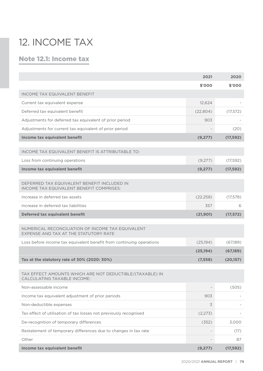# 12. INCOME TAX

## Note 12.1: Income tax

|                                                                                            | 2021      | 2020      |
|--------------------------------------------------------------------------------------------|-----------|-----------|
|                                                                                            | \$'000    | \$'000    |
| <b>INCOME TAX EQUIVALENT BENEFIT</b>                                                       |           |           |
| Current tax equivalent expense                                                             | 12,624    |           |
| Deferred tax equivalent benefit                                                            | (22,804)  | (17, 572) |
| Adjustments for deferred tax equivalent of prior period                                    | 903       |           |
| Adjustments for current tax equivalent of prior period                                     |           | (20)      |
| Income tax equivalent benefit                                                              | (9,277)   | (17, 592) |
|                                                                                            |           |           |
| INCOME TAX EQUIVALENT BENEFIT IS ATTRIBUTABLE TO:                                          |           |           |
| Loss from continuing operations                                                            | (9,277)   | (17, 592) |
| Income tax equivalent benefit                                                              | (9,277)   | (17, 592) |
| DEFERRED TAX EQUIVALENT BENEFIT INCLUDED IN<br>INCOME TAX EQUIVALENT BENEFIT COMPRISES:    |           |           |
| Increase in deferred tax assets                                                            | (22, 258) | (17, 578) |
| Increase in deferred tax liabilities                                                       | 357       | 6         |
| Deferred tax equivalent benefit                                                            | (21, 901) | (17, 572) |
|                                                                                            |           |           |
| NUMERICAL RECONCILIATION OF INCOME TAX EQUIVALENT<br>EXPENSE AND TAX AT THE STATUTORY RATE |           |           |
| Loss before income tax equivalent benefit from continuing operations                       | (25, 194) | (67,189)  |
|                                                                                            | (25, 194) | (67,189)  |
| Tax at the statutory rate of 30% (2020: 30%)                                               | (7, 558)  | (20,157)  |
| TAX EFFECT AMOUNTS WHICH ARE NOT DEDUCTIBLE/(TAXABLE) IN<br>CALCULATING TAXABLE INCOME:    |           |           |
| Non-assessable income                                                                      |           | (505)     |
| Income tax equivalent adjustment of prior periods                                          | 903       |           |
| Non-deductible expenses                                                                    | 3         |           |
| Tax effect of utilisation of tax losses not previously recognised                          | (2, 273)  |           |
| De-recognition of temporary differences                                                    | (352)     | 3,000     |
| Restatement of temporary differences due to changes in tax rate                            |           | (17)      |
| Other                                                                                      |           | 87        |
| Income tax equivalent benefit                                                              | (9,277)   | (17, 592) |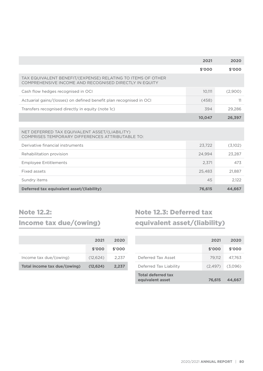|                                                                                                                       | 2021   | 2020    |
|-----------------------------------------------------------------------------------------------------------------------|--------|---------|
|                                                                                                                       | \$'000 | \$'000  |
| TAX EQUIVALENT BENEFIT/(EXPENSE) RELATING TO ITEMS OF OTHER<br>COMPREHENSIVE INCOME AND RECOGNISED DIRECTLY IN EQUITY |        |         |
| Cash flow hedges recognised in OCI                                                                                    | 10,111 | (2,900) |
| Actuarial gains/(losses) on defined benefit plan recognised in OCI                                                    | (458)  | 11      |
| Transfers recognised directly in equity (note 1c)                                                                     | 394    | 29,286  |
|                                                                                                                       | 10,047 | 26,397  |
|                                                                                                                       |        |         |
| NET DEFERRED TAX EQUIVALENT ASSET/(LIABILITY)<br>COMPRISES TEMPORARY DIFFERENCES ATTRIBUTABLE TO:                     |        |         |
| Derivative financial instruments                                                                                      | 23,722 | (3,102) |
| Rehabilitation provision                                                                                              | 24,994 | 23,287  |
| <b>Employee Entitlements</b>                                                                                          | 2,371  | 473     |
| Fixed assets                                                                                                          | 25,483 | 21,887  |
| Sundry items                                                                                                          | 45     | 2,122   |
| Deferred tax equivalent asset/(liability)                                                                             | 76,615 | 44,667  |

## Note 12.2:

## Income tax due/(owing)

|                              | 2021     | 2020   |
|------------------------------|----------|--------|
|                              | \$'000   | \$'000 |
| Income tax due/(owing)       | (12.624) | 2,237  |
| Total income tax due/(owing) | (12,624) | 2,237  |

## Note 12.3: Deferred tax equivalent asset/(liability)

|                                               | 2021    | 2020    |
|-----------------------------------------------|---------|---------|
|                                               | \$'000  | \$'000  |
| Deferred Tax Asset                            | 79,112  | 47.763  |
| Deferred Tax Liability                        | (2.497) | (3.096) |
| <b>Total deferred tax</b><br>equivalent asset | 76.615  | 44,667  |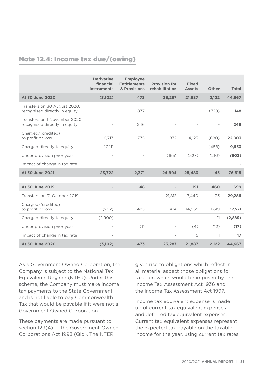## Note 12.4: Income tax due/(owing)

|                                                                | <b>Derivative</b><br>financial<br><b>instruments</b> | <b>Employee</b><br><b>Entitlements</b><br>& Provisions | <b>Provision for</b><br>rehabilitation | <b>Fixed</b><br><b>Assets</b> | <b>Other</b>             | <b>Total</b> |
|----------------------------------------------------------------|------------------------------------------------------|--------------------------------------------------------|----------------------------------------|-------------------------------|--------------------------|--------------|
| At 30 June 2020                                                | (3,102)                                              | 473                                                    | 23,287                                 | 21,887                        | 2,122                    | 44,667       |
| Transfers on 30 August 2020,<br>recognised directly in equity  |                                                      | 877                                                    |                                        |                               | (729)                    | 148          |
| Transfers on 1 November 2020,<br>recognised directly in equity |                                                      | 246                                                    |                                        |                               |                          | 246          |
| Charged/(credited)<br>to profit or loss                        | 16,713                                               | 775                                                    | 1,872                                  | 4,123                         | (680)                    | 22,803       |
| Charged directly to equity                                     | 10,111                                               | $\overline{\phantom{a}}$                               | $\overline{\phantom{a}}$               | $\overline{\phantom{a}}$      | (458)                    | 9,653        |
| Under provision prior year                                     | $\overline{\phantom{a}}$                             |                                                        | (165)                                  | (527)                         | (210)                    | (902)        |
| Impact of change in tax rate                                   | $\overline{\phantom{a}}$                             | $\overline{\phantom{0}}$                               | $\overline{\phantom{a}}$               | $\overline{\phantom{a}}$      | $\overline{\phantom{a}}$ |              |
| At 30 June 2021                                                | 23,722                                               | 2,371                                                  | 24,994                                 | 25,483                        | 45                       | 76,615       |
|                                                                |                                                      |                                                        |                                        |                               |                          |              |
| At 30 June 2019                                                |                                                      | 48                                                     |                                        | 191                           | 460                      | 699          |
| Transfers on 31 October 2019                                   | $\overline{\phantom{a}}$                             | $\overline{\phantom{a}}$                               | 21,813                                 | 7,440                         | 33                       | 29,286       |
| Charged/(credited)<br>to profit or loss                        | (202)                                                | 425                                                    | 1,474                                  | 14,255                        | 1,619                    | 17,571       |
| Charged directly to equity                                     | (2,900)                                              | $\overline{\phantom{a}}$                               |                                        | $\overline{\phantom{a}}$      | 11                       | (2,889)      |
| Under provision prior year                                     | $\overline{\phantom{a}}$                             | (1)                                                    | $\overline{\phantom{0}}$               | (4)                           | (12)                     | (17)         |
| Impact of change in tax rate                                   |                                                      | $\mathbf{1}$                                           |                                        | 5                             | 11                       | 17           |
| At 30 June 2020                                                | (3,102)                                              | 473                                                    | 23,287                                 | 21,887                        | 2,122                    | 44,667       |

As a Government Owned Corporation, the Company is subject to the National Tax Equivalents Regime (NTER). Under this scheme, the Company must make income tax payments to the State Government and is not liable to pay Commonwealth Tax that would be payable if it were not a Government Owned Corporation.

These payments are made pursuant to section 129(4) of the Government Owned Corporations Act 1993 (Qld). The NTER

gives rise to obligations which reflect in all material aspect those obligations for taxation which would be imposed by the Income Tax Assessment Act 1936 and the Income Tax Assessment Act 1997.

Income tax equivalent expense is made up of current tax equivalent expenses and deferred tax equivalent expenses. Current tax equivalent expenses represent the expected tax payable on the taxable income for the year, using current tax rates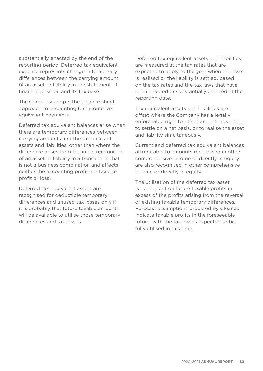substantially enacted by the end of the reporting period. Deferred tax equivalent expense represents change in temporary differences between the carrying amount of an asset or liability in the statement of financial position and its tax base.

The Company adopts the balance sheet approach to accounting for income tax equivalent payments.

Deferred tax equivalent balances arise when there are temporary differences between carrying amounts and the tax bases of assets and liabilities, other than where the difference arises from the initial recognition of an asset or liability in a transaction that is not a business combination and affects neither the accounting profit nor taxable profit or loss.

Deferred tax equivalent assets are recognised for deductible temporary differences and unused tax losses only if it is probably that future taxable amounts will be available to utilise those temporary differences and tax losses.

Deferred tax equivalent assets and liabilities are measured at the tax rates that are expected to apply to the year when the asset is realised or the liability is settled, based on the tax rates and the tax laws that have been enacted or substantially enacted at the reporting date.

Tax equivalent assets and liabilities are offset where the Company has a legally enforceable right to offset and intends either to settle on a net basis, or to realise the asset and liability simultaneously.

Current and deferred tax equivalent balances attributable to amounts recognised in other comprehensive income or directly in equity are also recognised in other comprehensive income or directly in equity.

The utilisation of the deferred tax asset is dependent on future taxable profits in excess of the profits arising from the reversal of existing taxable temporary differences. Forecast assumptions prepared by Cleanco indicate taxable profits in the foreseeable future, with the tax losses expected to be fully utilised in this time.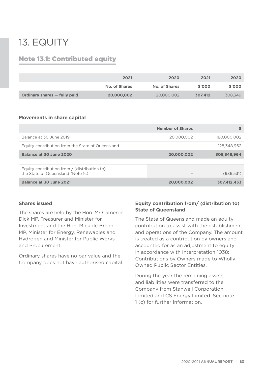# 13. EQUITY

## Note 13.1: Contributed equity

|                              | 2021                 | 2020                 | 2021    | 2020    |
|------------------------------|----------------------|----------------------|---------|---------|
|                              | <b>No. of Shares</b> | <b>No. of Shares</b> | \$'000  | \$'000  |
| Ordinary shares - fully paid | 20,000,002           | 20,000,002           | 307.412 | 308,349 |

#### **Movements in share capital**

|                                                                                     | <b>Number of Shares</b>  | S           |
|-------------------------------------------------------------------------------------|--------------------------|-------------|
| Balance at 30 June 2019                                                             | 20,000,002               | 180,000,002 |
| Equity contribution from the State of Queensland                                    | $\overline{\phantom{a}}$ | 128,348,962 |
| Balance at 30 June 2020                                                             | 20,000,002               | 308,348,964 |
|                                                                                     |                          |             |
| Equity contribution from $/$ (distribution to)<br>the State of Queensland (Note 1c) | $\overline{\phantom{a}}$ | (936,531)   |
| Balance at 30 June 2021                                                             | 20,000,002               | 307,412,433 |

#### **Shares issued**

The shares are held by the Hon. Mr Cameron Dick MP, Treasurer and Minister for Investment and the Hon. Mick de Brenni MP, Minister for Energy, Renewables and Hydrogen and Minister for Public Works and Procurement.

Ordinary shares have no par value and the Company does not have authorised capital.

## **Equity contribution from/ (distribution to) State of Queensland**

The State of Queensland made an equity contribution to assist with the establishment and operations of the Company. The amount is treated as a contribution by owners and accounted for as an adjustment to equity in accordance with Interpretation 1038: Contributions by Owners made to Wholly Owned Public Sector Entities.

During the year the remaining assets and liabilities were transferred to the Company from Stanwell Corporation Limited and CS Energy Limited. See note 1 (c) for further information.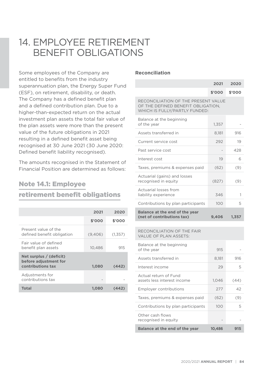# 14. EMPLOYEE RETIREMENT BENEFIT OBLIGATIONS

Some employees of the Company are entitled to benefits from the industry superannuation plan, the Energy Super Fund (ESF), on retirement, disability, or death. The Company has a defined benefit plan and a defined contribution plan. Due to a higher-than-expected return on the actual investment plan assets the total fair value of the plan assets were more than the present value of the future obligations in 2021 resulting in a defined benefit asset being recognised at 30 June 2021 (30 June 2020: Defined benefit liability recognised).

The amounts recognised in the Statement of Financial Position are determined as follows:

## Note 14.1: Employee retirement benefit obligations

|                                                                       | 2021    | 2020    |
|-----------------------------------------------------------------------|---------|---------|
|                                                                       | \$'000  | \$'000  |
| Present value of the<br>defined benefit obligation                    | (9,406) | (1,357) |
| Fair value of defined<br>benefit plan assets                          | 10,486  | 915     |
| Net surplus / (deficit)<br>before adjustment for<br>contributions tax | 1,080   | (442)   |
| Adjustments for<br>contributions tax                                  |         |         |
| Total                                                                 | 1,080   | (442)   |

## **Reconciliation**

|                                                                                                            | 2021   | 2020   |
|------------------------------------------------------------------------------------------------------------|--------|--------|
|                                                                                                            | \$'000 | \$'000 |
| RECONCILIATION OF THE PRESENT VALUE<br>OF THE DEFINED BENEFIT OBLIGATION,<br>WHICH IS FULLY/PARTLY FUNDED: |        |        |
| Balance at the beginning<br>of the year                                                                    | 1,357  |        |
| Assets transferred in                                                                                      | 8,181  | 916    |
| Current service cost                                                                                       | 292    | 19     |
| Past service cost                                                                                          |        | 428    |
| Interest cost                                                                                              | 19     | 6      |
| Taxes, premiums & expenses paid                                                                            | (62)   | (9)    |
| Actuarial (gains) and losses<br>recognised in equity                                                       | (827)  | (9)    |
| <b>Actuarial losses from</b><br>liability experience                                                       | 346    | 1      |
| Contributions by plan participants                                                                         | 100    | 5      |
| Balance at the end of the year<br>(net of contributions tax)                                               | 9,406  | 1,357  |
|                                                                                                            |        |        |
| RECONCILIATION OF THE FAIR<br><b>VALUE OF PLAN ASSETS:</b>                                                 |        |        |
| Balance at the beginning<br>of the year                                                                    | 915    |        |
| Assets transferred in                                                                                      | 8,181  | 916    |
| Interest income                                                                                            | 29     | 5      |
| Actual return of Fund<br>assets less interest income                                                       | 1,046  | (44)   |
| <b>Employer contributions</b>                                                                              | 277    | 42     |
| Taxes, premiums & expenses paid                                                                            | (62)   | (9)    |
| Contributions by plan participants                                                                         | 100    | 5      |
| Other cash flows<br>recognised in equity                                                                   |        |        |
| Balance at the end of the year                                                                             | 10,486 | 915    |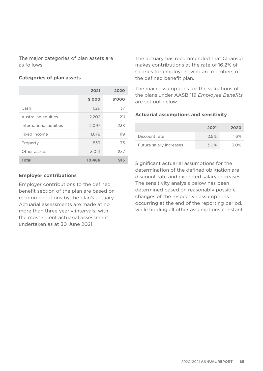The major categories of plan assets are as follows:

#### **Categories of plan assets**

|                        | 2021   | 2020   |
|------------------------|--------|--------|
|                        | \$'000 | \$'000 |
| Cash                   | 629    | 37     |
| Australian equities    | 2,202  | 211    |
| International equities | 2,097  | 238    |
| Fixed income           | 1.678  | 11.9   |
| Property               | 839    | 73     |
| Other assets           | 3,041  | 237    |
| <b>Total</b>           | 10,486 | 915    |

#### **Employer contributions**

Employer contributions to the defined benefit section of the plan are based on recommendations by the plan's actuary. Actuarial assessments are made at no more than three yearly intervals, with the most recent actuarial assessment undertaken as at 30 June 2021.

The actuary has recommended that CleanCo makes contributions at the rate of 16.2% of salaries for employees who are members of the defined benefit plan.

The main assumptions for the valuations of the plans under AASB 119 *Employee Benefits* are set out below:

#### **Actuarial assumptions and sensitivity**

|                         | 2021 | 2020 |
|-------------------------|------|------|
| Discount rate           | 2.5% | 1.6% |
| Future salary increases | 3.0% | 3.0% |

Significant actuarial assumptions for the determination of the defined obligation are discount rate and expected salary increases. The sensitivity analysis below has been determined based on reasonably possible changes of the respective assumptions occurring at the end of the reporting period, while holding all other assumptions constant.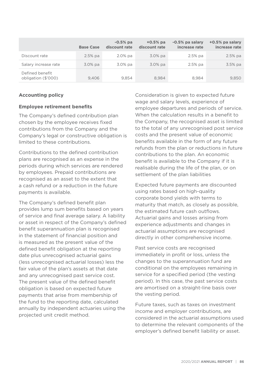|                                        | <b>Base Case</b> | $-0.5%$ pa<br>discount rate | $+0.5%$ pa<br>discount rate | -0.5% pa salary<br>increase rate | +0.5% pa salary<br>increase rate |
|----------------------------------------|------------------|-----------------------------|-----------------------------|----------------------------------|----------------------------------|
| Discount rate                          | $2.5%$ pa        | $2.0\%$ pa                  | 3.0% pa                     | $2.5\%$ pa                       | $2.5%$ pa                        |
| Salary increase rate                   | 3.0% pa          | 3.0% pa                     | 3.0% pa                     | $2.5\%$ pa                       | 3.5% pa                          |
| Defined benefit<br>obligation (\$'000) | 9.406            | 9.854                       | 8.984                       | 8.984                            | 9,850                            |

## **Accounting policy**

#### **Employee retirement benefits**

The Company's defined contribution plan chosen by the employee receives fixed contributions from the Company and the Company's legal or constructive obligation is limited to these contributions.

Contributions to the defined contribution plans are recognised as an expense in the periods during which services are rendered by employees. Prepaid contributions are recognised as an asset to the extent that a cash refund or a reduction in the future payments is available.

The Company's defined benefit plan provides lump sum benefits based on years of service and final average salary. A liability or asset in respect of the Company's defined benefit superannuation plan is recognised in the statement of financial position and is measured as the present value of the defined benefit obligation at the reporting date plus unrecognised actuarial gains (less unrecognised actuarial losses) less the fair value of the plan's assets at that date and any unrecognised past service cost. The present value of the defined benefit obligation is based on expected future payments that arise from membership of the fund to the reporting date, calculated annually by independent actuaries using the projected unit credit method.

Consideration is given to expected future wage and salary levels, experience of employee departures and periods of service. When the calculation results in a benefit to the Company, the recognised asset is limited to the total of any unrecognised post service costs and the present value of economic benefits available in the form of any future refunds from the plan or reductions in future contributions to the plan. An economic benefit is available to the Company if it is realisable during the life of the plan, or on settlement of the plan liabilities

Expected future payments are discounted using rates based on high-quality corporate bond yields with terms to maturity that match, as closely as possible, the estimated future cash outflows. Actuarial gains and losses arising from experience adjustments and changes in actuarial assumptions are recognised directly in other comprehensive income.

Past service costs are recognised immediately in profit or loss, unless the changes to the superannuation fund are conditional on the employees remaining in service for a specified period (the vesting period). In this case, the past service costs are amortised on a straight-line basis over the vesting period.

Future taxes, such as taxes on investment income and employer contributions, are considered in the actuarial assumptions used to determine the relevant components of the employer's defined benefit liability or asset.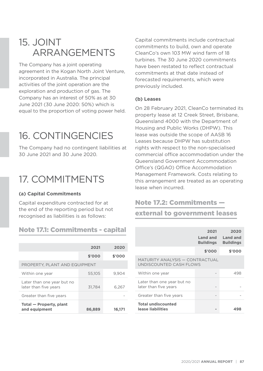# 15. JOINT ARRANGEMENTS

The Company has a joint operating agreement in the Kogan North Joint Venture, incorporated in Australia. The principal activities of the joint operation are the exploration and production of gas. The Company has an interest of 50% as at 30 June 2021 (30 June 2020: 50%) which is equal to the proportion of voting power held.

# 16. CONTINGENCIES

The Company had no contingent liabilities at 30 June 2021 and 30 June 2020.

# 17. COMMITMENTS

## **(a) Capital Commitments**

Capital expenditure contracted for at the end of the reporting period but not recognised as liabilities is as follows:

## Note 17.1: Commitments - capital

|                                                     | 2021   | 2020   |
|-----------------------------------------------------|--------|--------|
|                                                     | \$'000 | \$'000 |
| PROPERTY, PLANT AND EQUIPMENT                       |        |        |
| Within one year                                     | 55,105 | 9,904  |
| Later than one year but no<br>later than five years | 31.784 | 6.267  |
| Greater than five years                             |        |        |
| Total – Property, plant<br>and equipment            | 86,889 | 16,171 |

Capital commitments include contractual commitments to build, own and operate CleanCo's own 103 MW wind farm of 18 turbines. The 30 June 2020 commitments have been restated to reflect contractual commitments at that date instead of forecasted requirements, which were previously included.

## **(b) Leases**

On 28 February 2021, CleanCo terminated its property lease at 12 Creek Street, Brisbane, Queensland 4000 with the Department of Housing and Public Works (DHPW). This lease was outside the scope of AASB 16 Leases because DHPW has substitution rights with respect to the non-specialised commercial office accommodation under the Queensland Government Accommodation Office's (QGAO) Office Accommodation Management Framework. Costs relating to this arrangement are treated as an operating lease when incurred.

## Note 17.2: Commitments —

## external to government leases

|                                                            | 2021<br><b>Land and</b><br><b>Buildings</b> | 2020<br><b>Land and</b><br><b>Buildings</b> |
|------------------------------------------------------------|---------------------------------------------|---------------------------------------------|
|                                                            | \$'000                                      | \$'000                                      |
| MATURITY ANALYSIS — CONTRACTUAL<br>UNDISCOUNTED CASH FLOWS |                                             |                                             |
| Within one year                                            |                                             | 498                                         |
| Later than one year but no<br>later than five years        |                                             |                                             |
| Greater than five years                                    |                                             |                                             |
| <b>Total undiscounted</b><br>lease liabilities             |                                             | 498                                         |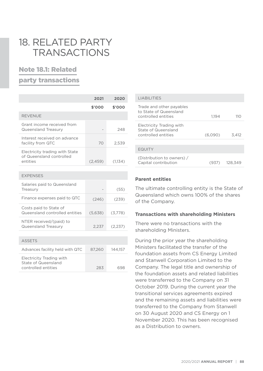# 18. RELATED PARTY TRANSACTIONS

## Note 18.1: Related

## party transactions

|                                                                        | 2021    | 2020     |
|------------------------------------------------------------------------|---------|----------|
|                                                                        | \$'000  | \$'000   |
| <b>REVENUE</b>                                                         |         |          |
| Grant income received from<br>Queensland Treasury                      |         | 248      |
| Interest received on advance<br>facility from QTC                      | 70      | 2,539    |
| Electricity trading with State<br>of Queensland controlled<br>entities | (2,459) | (1, 134) |
| <b>EXPENSES</b>                                                        |         |          |
| Salaries paid to Queensland<br>Treasury                                |         | (55)     |
| Finance expenses paid to QTC                                           | (246)   | (239)    |
| Costs paid to State of<br>Queensland controlled entities               | (5,638) | (3,778)  |
| NTER received/(paid) to<br>Queensland Treasury                         | 2,237   | (2,237)  |
|                                                                        |         |          |
| <b>ASSETS</b>                                                          |         |          |
| Advances facility held with QTC                                        | 87,260  | 144,157  |
| Electricity Trading with<br>State of Queensland<br>controlled entities | 283     | 698      |

| I IABILITIES                                                              |         |         |
|---------------------------------------------------------------------------|---------|---------|
| Trade and other payables<br>to State of Queensland<br>controlled entities | 1.194   | 11 O    |
| Electricity Trading with<br>State of Queensland<br>controlled entities    | (6.090) | 3.412   |
|                                                                           |         |         |
| <b>EQUITY</b>                                                             |         |         |
| (Distribution to owners) /<br>Capital contribution                        |         | 128.349 |

#### **Parent entities**

The ultimate controlling entity is the State of Queensland which owns 100% of the shares of the Company.

#### **Transactions with shareholding Ministers**

There were no transactions with the shareholding Ministers.

During the prior year the shareholding Ministers facilitated the transfer of the foundation assets from CS Energy Limited and Stanwell Corporation Limited to the Company. The legal title and ownership of the foundation assets and related liabilities were transferred to the Company on 31 October 2019. During the current year the transitional services agreements expired and the remaining assets and liabilities were transferred to the Company from Stanwell on 30 August 2020 and CS Energy on 1 November 2020. This has been recognised as a Distribution to owners.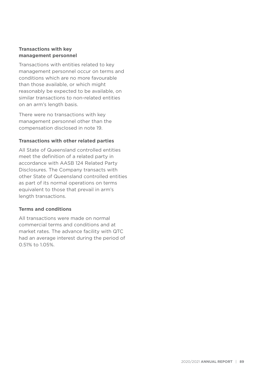## **Transactions with key management personnel**

Transactions with entities related to key management personnel occur on terms and conditions which are no more favourable than those available, or which might reasonably be expected to be available, on similar transactions to non-related entities on an arm's length basis.

There were no transactions with key management personnel other than the compensation disclosed in note 19.

## **Transactions with other related parties**

All State of Queensland controlled entities meet the definition of a related party in accordance with AASB 124 Related Party Disclosures. The Company transacts with other State of Queensland controlled entities as part of its normal operations on terms equivalent to those that prevail in arm's length transactions.

#### **Terms and conditions**

All transactions were made on normal commercial terms and conditions and at market rates. The advance facility with QTC had an average interest during the period of 0.51% to 1.05%.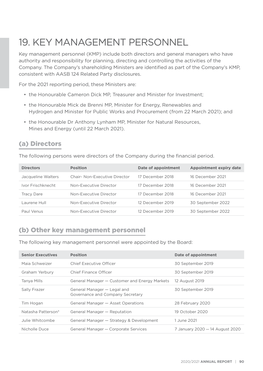# 19. KEY MANAGEMENT PERSONNEL

Key management personnel (KMP) include both directors and general managers who have authority and responsibility for planning, directing and controlling the activities of the Company. The Company's shareholding Ministers are identified as part of the Company's KMP, consistent with AASB 124 Related Party disclosures.

For the 2021 reporting period, these Ministers are:

- the Honourable Cameron Dick MP, Treasurer and Minister for Investment;
- the Honourable Mick de Brenni MP, Minister for Energy, Renewables and Hydrogen and Minister for Public Works and Procurement (from 22 March 2021); and
- the Honourable Dr Anthony Lynham MP, Minister for Natural Resources, Mines and Energy (until 22 March 2021).

## (a) Directors

The following persons were directors of the Company during the financial period.

| <b>Directors</b>   | <b>Position</b>               | Date of appointment | <b>Appointment expiry date</b> |
|--------------------|-------------------------------|---------------------|--------------------------------|
| Jacqueline Walters | Chair- Non-Executive Director | 17 December 2018    | 16 December 2021               |
| Ivor Frischknecht  | Non-Executive Director        | 17 December 2018    | 16 December 2021               |
| <b>Tracy Dare</b>  | Non-Executive Director        | 17 December 2018    | 16 December 2021               |
| Laurene Hull       | Non-Executive Director        | 12 December 2019    | 30 September 2022              |
| Paul Venus         | Non-Executive Director        | 12 December 2019    | 30 September 2022              |

## (b) Other key management personnel

The following key management personnel were appointed by the Board:

| <b>Senior Executives</b> | <b>Position</b>                                                 | Date of appointment             |
|--------------------------|-----------------------------------------------------------------|---------------------------------|
| Maia Schweizer           | Chief Executive Officer                                         | 30 September 2019               |
| Graham Yerbury           | Chief Finance Officer                                           | 30 September 2019               |
| Tanva Mills              | General Manager - Customer and Energy Markets                   | 12 August 2019                  |
| Sally Frazer             | General Manager - Legal and<br>Governance and Company Secretary | 30 September 2019               |
| Tim Hogan                | General Manager – Asset Operations                              | 28 February 2020                |
| Natasha Patterson*       | General Manager – Reputation                                    | 19 October 2020                 |
| Julie Whitcombe          | General Manager - Strategy & Development                        | 1 June 2021                     |
| Nicholle Duce            | General Manager – Corporate Services                            | 7 January 2020 - 14 August 2020 |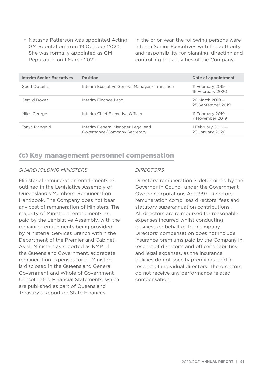• Natasha Patterson was appointed Acting GM Reputation from 19 October 2020. She was formally appointed as GM Reputation on 1 March 2021.

In the prior year, the following persons were Interim Senior Executives with the authority and responsibility for planning, directing and controlling the activities of the Company:

| <b>Interim Senior Executives</b> | <b>Position</b>                                                   | Date of appointment                      |
|----------------------------------|-------------------------------------------------------------------|------------------------------------------|
| <b>Geoff Dutaillis</b>           | Interim Executive General Manager - Transition                    | 11 February 2019 $-$<br>16 February 2020 |
| <b>Gerard Dover</b>              | Interim Finance Lead                                              | 26 March 2019 —<br>25 September 2019     |
| Miles George                     | Interim Chief Executive Officer                                   | 11 February 2019 $-$<br>7 November 2019  |
| Tanya Mangold                    | Interim General Manager Legal and<br>Governance/Company Secretary | 1 February 2019 -<br>23 January 2020     |

## (c) Key management personnel compensation

## *SHAREHOLDING MINISTERS*

Ministerial remuneration entitlements are outlined in the Legislative Assembly of Queensland's Members' Remuneration Handbook. The Company does not bear any cost of remuneration of Ministers. The majority of Ministerial entitlements are paid by the Legislative Assembly, with the remaining entitlements being provided by Ministerial Services Branch within the Department of the Premier and Cabinet. As all Ministers as reported as KMP of the Queensland Government, aggregate remuneration expenses for all Ministers is disclosed in the Queensland General Government and Whole of Government Consolidated Financial Statements, which are published as part of Queensland Treasury's Report on State Finances.

#### *DIRECTORS*

Directors' remuneration is determined by the Governor in Council under the Government Owned Corporations Act 1993. Directors' remuneration comprises directors' fees and statutory superannuation contributions. All directors are reimbursed for reasonable expenses incurred whilst conducting business on behalf of the Company. Directors' compensation does not include insurance premiums paid by the Company in respect of director's and officer's liabilities and legal expenses, as the insurance policies do not specify premiums paid in respect of individual directors. The directors do not receive any performance related compensation.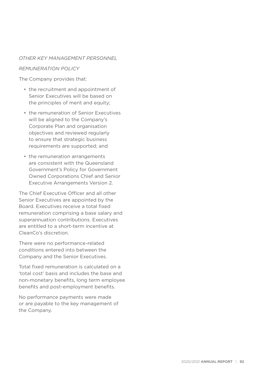## *OTHER KEY MANAGEMENT PERSONNEL*

#### *REMUNERATION POLICY*

The Company provides that:

- the recruitment and appointment of Senior Executives will be based on the principles of merit and equity;
- the remuneration of Senior Executives will be aligned to the Company's Corporate Plan and organisation objectives and reviewed regularly to ensure that strategic business requirements are supported; and
- the remuneration arrangements are consistent with the Queensland Government's Policy for Government Owned Corporations Chief and Senior Executive Arrangements Version 2.

The Chief Executive Officer and all other Senior Executives are appointed by the Board. Executives receive a total fixed remuneration comprising a base salary and superannuation contributions. Executives are entitled to a short-term incentive at CleanCo's discretion.

There were no performance-related conditions entered into between the Company and the Senior Executives.

Total fixed remuneration is calculated on a 'total cost' basis and includes the base and non-monetary benefits, long term employee benefits and post-employment benefits.

No performance payments were made or are payable to the key management of the Company.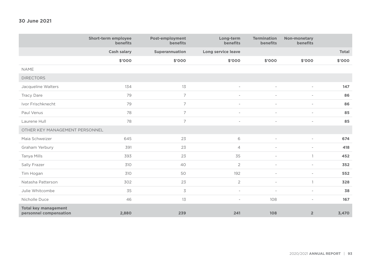## **30 June 2021**

|                                                       | <b>Short-term employee</b><br>benefits | <b>Post-employment</b><br><b>benefits</b> | Long-term<br>benefits    | <b>Termination</b><br>benefits | Non-monetary<br>benefits |              |
|-------------------------------------------------------|----------------------------------------|-------------------------------------------|--------------------------|--------------------------------|--------------------------|--------------|
|                                                       | <b>Cash salary</b>                     | Superannuation                            | Long service leave       |                                |                          | <b>Total</b> |
|                                                       | \$'000                                 | \$'000                                    | \$'000                   | \$'000                         | \$'000                   | \$'000       |
| <b>NAME</b>                                           |                                        |                                           |                          |                                |                          |              |
| <b>DIRECTORS</b>                                      |                                        |                                           |                          |                                |                          |              |
| Jacqueline Walters                                    | 134                                    | 13                                        | $\sim$                   | $\overline{\phantom{a}}$       |                          | 147          |
| <b>Tracy Dare</b>                                     | 79                                     | $\overline{7}$                            |                          |                                |                          | 86           |
| Ivor Frischknecht                                     | 79                                     | $\overline{7}$                            | $\overline{a}$           | $\overline{a}$                 |                          | 86           |
| Paul Venus                                            | 78                                     | $\overline{7}$                            | $\overline{\phantom{0}}$ | $\overline{a}$                 | $\overline{\phantom{a}}$ | 85           |
| Laurene Hull                                          | 78                                     | $\overline{7}$                            | $\overline{\phantom{0}}$ |                                |                          | 85           |
| OTHER KEY MANAGEMENT PERSONNEL                        |                                        |                                           |                          |                                |                          |              |
| Maia Schweizer                                        | 645                                    | 23                                        | 6                        | $\overline{\phantom{a}}$       | $\overline{\phantom{a}}$ | 674          |
| Graham Yerbury                                        | 391                                    | 23                                        | $\overline{4}$           | $\overline{\phantom{a}}$       | $\overline{\phantom{a}}$ | 418          |
| Tanya Mills                                           | 393                                    | 23                                        | 35                       |                                |                          | 452          |
| Sally Frazer                                          | 310                                    | 40                                        | $\overline{2}$           | $\overline{\phantom{a}}$       |                          | 352          |
| Tim Hogan                                             | 310                                    | 50                                        | 192                      |                                |                          | 552          |
| Natasha Patterson                                     | 302                                    | 23                                        | $\overline{2}$           | $\overline{\phantom{a}}$       |                          | 328          |
| Julie Whitcombe                                       | 35                                     | $\mathfrak{Z}$                            | $\overline{\phantom{a}}$ |                                |                          | 38           |
| Nicholle Duce                                         | 46                                     | 13                                        | $\overline{\phantom{a}}$ | 108                            |                          | 167          |
| <b>Total key management</b><br>personnel compensation | 2,880                                  | 239                                       | 241                      | 108                            | $\overline{2}$           | 3,470        |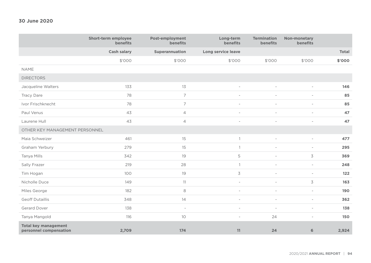## **30 June 2020**

|                                                       | <b>Short-term employee</b><br>benefits | Post-employment<br>benefits | Long-term<br>benefits    | <b>Termination</b><br>benefits | <b>Non-monetary</b><br>benefits |              |
|-------------------------------------------------------|----------------------------------------|-----------------------------|--------------------------|--------------------------------|---------------------------------|--------------|
|                                                       | <b>Cash salary</b>                     | Superannuation              | Long service leave       |                                |                                 | <b>Total</b> |
|                                                       | \$'000                                 | \$'000                      | \$'000                   | \$'000                         | \$'000                          | \$'000       |
| <b>NAME</b>                                           |                                        |                             |                          |                                |                                 |              |
| <b>DIRECTORS</b>                                      |                                        |                             |                          |                                |                                 |              |
| Jacqueline Walters                                    | 133                                    | 13                          | $\overline{a}$           | $\overline{a}$                 |                                 | 146          |
| <b>Tracy Dare</b>                                     | 78                                     | $\overline{7}$              |                          |                                |                                 | 85           |
| Ivor Frischknecht                                     | 78                                     | $\overline{7}$              |                          |                                |                                 | 85           |
| Paul Venus                                            | 43                                     | $\overline{4}$              |                          | $\overline{a}$                 | $\sim$                          | 47           |
| Laurene Hull                                          | 43                                     | $\overline{4}$              | $\overline{\phantom{a}}$ | $\overline{a}$                 | $\overline{\phantom{a}}$        | 47           |
| OTHER KEY MANAGEMENT PERSONNEL                        |                                        |                             |                          |                                |                                 |              |
| Maia Schweizer                                        | 461                                    | 15                          | $\mathbf{1}$             |                                |                                 | 477          |
| Graham Yerbury                                        | 279                                    | 15                          | $\mathbb{1}$             | $\overline{a}$                 | $\overline{\phantom{a}}$        | 295          |
| Tanya Mills                                           | 342                                    | 19                          | 5                        | L,                             | 3                               | 369          |
| Sally Frazer                                          | 219                                    | 28                          | $\mathbf{1}$             | $\overline{\phantom{a}}$       | $\sim$                          | 248          |
| Tim Hogan                                             | 100                                    | 19                          | 3                        |                                |                                 | 122          |
| Nicholle Duce                                         | 149                                    | 11                          | $\overline{\phantom{a}}$ | $\overline{\phantom{a}}$       | 3                               | 163          |
| Miles George                                          | 182                                    | 8                           | $\overline{\phantom{a}}$ | $\overline{a}$                 | $\overline{\phantom{a}}$        | 190          |
| <b>Geoff Dutaillis</b>                                | 348                                    | 14                          | $\overline{\phantom{a}}$ | $\overline{a}$                 | $\sim$                          | 362          |
| Gerard Dover                                          | 138                                    | $\overline{\phantom{a}}$    |                          |                                |                                 | 138          |
| Tanya Mangold                                         | 116                                    | 10                          | $\overline{\phantom{a}}$ | 24                             | $\overline{\phantom{a}}$        | <b>150</b>   |
| <b>Total key management</b><br>personnel compensation | 2,709                                  | 174                         | 11                       | 24                             | 6                               | 2,924        |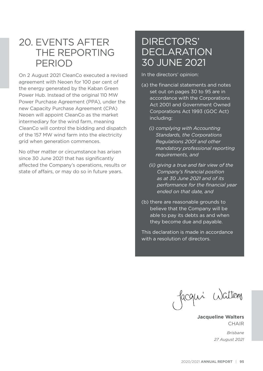# 20. EVENTS AFTER THE REPORTING PERIOD

On 2 August 2021 CleanCo executed a revised agreement with Neoen for 100 per cent of the energy generated by the Kaban Green Power Hub. Instead of the original 110 MW Power Purchase Agreement (PPA), under the new Capacity Purchase Agreement (CPA) Neoen will appoint CleanCo as the market intermediary for the wind farm, meaning CleanCo will control the bidding and dispatch of the 157 MW wind farm into the electricity grid when generation commences.

No other matter or circumstance has arisen since 30 June 2021 that has significantly affected the Company's operations, results or state of affairs, or may do so in future years.

# DIRECTORS' DECLARATION 30 JUNE 2021

In the directors' opinion:

- (a) the financial statements and notes set out on pages 30 to 95 are in accordance with the Corporations Act 2001 and Government Owned Corporations Act 1993 (GOC Act) including:
	- *(i) complying with Accounting Standards, the Corporations Regulations 2001 and other mandatory professional reporting requirements, and*
	- *(ii) giving a true and fair view of the Company's financial position as at 30 June 2021 and of its performance for the financial year ended on that date, and*
- (b) there are reasonable grounds to believe that the Company will be able to pay its debts as and when they become due and payable.

This declaration is made in accordance with a resolution of directors.

facqui Watters

**Jacqueline Walters CHAIR** 

*Brisbane 27 August 2021*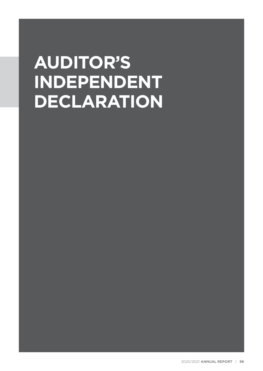# **AUDITOR'S INDEPENDENT DECLARATION**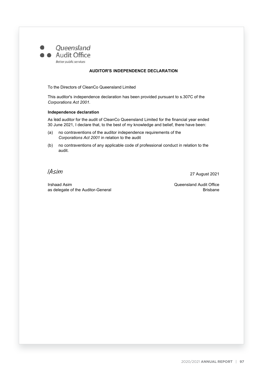

#### AUDIT**OR'S** INDEPENDENCE DECLARATION

To the Directors of CleanCo Queensland Limited

This auditor's independence declaration has been provided pursuant to s.307C of the Corporations Act 2001.

#### Independence declaration

As lead auditor for the audit of CleanCo Queensland Limited for the financial year ended 30 June 2021, I declare that, to the best of my knowledge and belief, there have been:

- (a) no contraventions of the auditor independence requirements of the Corporations Act 2001 in relation to the audit
- (b) no contraventions of any applicable code of professional conduct in relation to the audit.

**IAsim** 

27 August 2021

Irshaad Asim Queensland Audit Office as delegate of the Auditor-General and the settlement of the Brisbane Brisbane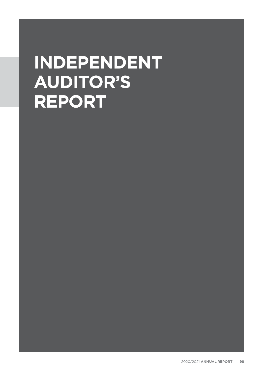# **INDEPENDENT AUDITOR'S REPORT**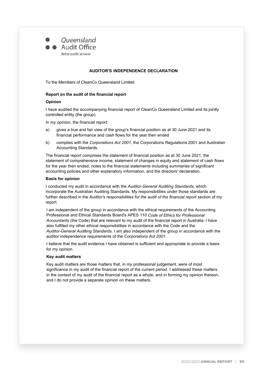

#### AUDIT**OR'S** INDEPENDENCE DECLARATION

To the Members of CleanCo Queensland Limited

#### Report on the audit of the financial report

#### Opinion

I have audited the accompanying financial report of CleanCo Queensland Limited and its jointly controlled entity (the group).

In my opinion, the financial report:

- a) gives a true and fair view of the group's financial position as at 30 June 2021 and its financial performance and cash flows for the year then ended
- b) complies with the Corporations Act 2001, the Corporations Regulations 2001 and Australian Accounting Standards.

The financial report comprises the statement of financial position as at 30 June 2021, the statement of comprehensive income, statement of changes in equity and statement of cash flows for the year then ended, notes to the financial statements including summaries of significant accounting policies and other explanatory information, and the directors' declaration.

#### Basis for opinion

I conducted my audit in accordance with the Auditor-General Auditing Standards, which incorporate the Australian Auditing Standards. My responsibilities under those standards are further described in the *Auditor's responsibilities for the audit of the financial report section of my* report.

I am independent of the group in accordance with the ethical requirements of the Accounting Professional and Ethical Standards Board's APES 110 Code of Ethics for Professional Accountants (the Code) that are relevant to my audit of the financial report in Australia. I have also fulfilled my other ethical responsibilities in accordance with the Code and the Auditor-General Auditing Standards. I am also independent of the group in accordance with the auditor independence requirements of the Corporations Act 2001.

I believe that the audit evidence I have obtained is sufficient and appropriate to provide a basis for my opinion.

#### Key audit matters

Key audit matters are those matters that, in my professional judgement, were of most significance in my audit of the financial report of the current period. I addressed these matters in the context of my audit of the financial report as a whole, and in forming my opinion thereon, and I do not provide a separate opinion on these matters.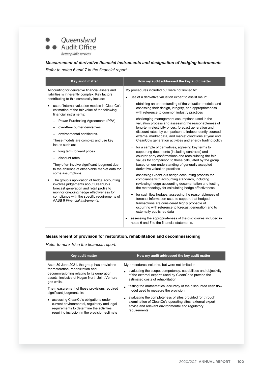Queensland<br>• Audit Office **Better public services** 

#### Measurement of derivative financial instruments and designation of hedging instruments

Refer to notes 6 and 7 in the financial report.

| Key audit matter                                                                                                                                                                                                                                                                                                                                                                                                                                                                                                                                                                                                                                                                                                                                                                                                                                                          | How my audit addressed the key audit matter                                                                                                                                                                                                                                                                                                                                                                                                                                                                                                                                                                                                                                                                                                                                                                                                                                                                                                                                                                                                                                                                                                                                                                                                                                                                                                                                                                                                                                                       |
|---------------------------------------------------------------------------------------------------------------------------------------------------------------------------------------------------------------------------------------------------------------------------------------------------------------------------------------------------------------------------------------------------------------------------------------------------------------------------------------------------------------------------------------------------------------------------------------------------------------------------------------------------------------------------------------------------------------------------------------------------------------------------------------------------------------------------------------------------------------------------|---------------------------------------------------------------------------------------------------------------------------------------------------------------------------------------------------------------------------------------------------------------------------------------------------------------------------------------------------------------------------------------------------------------------------------------------------------------------------------------------------------------------------------------------------------------------------------------------------------------------------------------------------------------------------------------------------------------------------------------------------------------------------------------------------------------------------------------------------------------------------------------------------------------------------------------------------------------------------------------------------------------------------------------------------------------------------------------------------------------------------------------------------------------------------------------------------------------------------------------------------------------------------------------------------------------------------------------------------------------------------------------------------------------------------------------------------------------------------------------------------|
| Accounting for derivative financial assets and<br>liabilities is inherently complex. Key factors<br>contributing to this complexity include:<br>use of internal valuation models in CleanCo's<br>estimation of the fair value of the following<br>financial instruments:<br>Power Purchasing Agreements (PPA)<br>over-the-counter derivatives<br>environmental certificates.<br>These models are complex and use key<br>inputs such as:<br>long term forward prices<br>discount rates<br>They often involve significant judgment due<br>to the absence of observable market data for<br>some assumptions.<br>The group's application of hedge accounting<br>involves judgements about CleanCo's<br>forecast generation and retail profile to<br>monitor on-going hedge effectiveness for<br>compliance with the specific requirements of<br>AASB 9 Financial instruments. | My procedures included but were not limited to:<br>use of a derivative valuation expert to assist me in:<br>obtaining an understanding of the valuation models, and<br>assessing their design, integrity, and appropriateness<br>with reference to common industry practices<br>challenging management assumptions used in the<br>valuation process and assessing the reasonableness of<br>long-term electricity prices, forecast generation and<br>discount rates, by comparison to independently sourced<br>external market data, and market conditions at year end,<br>CleanCo's generation activities and energy trading policy<br>for a sample of derivatives, agreeing key terms to<br>supporting documents (including contracts) and<br>counter-party confirmations and recalculating the fair<br>values for comparison to those calculated by the group<br>based on our understanding of generally accepted<br>derivative valuation practices<br>assessing CleanCo's hedge accounting process for<br>compliance with accounting standards, including<br>reviewing hedge accounting documentation and testing<br>the methodology for calculating hedge effectiveness<br>for cash flow hedges, assessing the reasonableness of<br>forecast information used to support that hedged<br>transactions are considered highly probable of<br>occurring with reference to forecast generation and to<br>externally published data<br>assessing the appropriateness of the disclosures included in |
|                                                                                                                                                                                                                                                                                                                                                                                                                                                                                                                                                                                                                                                                                                                                                                                                                                                                           | notes 6 and 7 to the financial statements.                                                                                                                                                                                                                                                                                                                                                                                                                                                                                                                                                                                                                                                                                                                                                                                                                                                                                                                                                                                                                                                                                                                                                                                                                                                                                                                                                                                                                                                        |

#### Measurement of provision for restoration, rehabilitation and decommissioning

Refer to note 10 in the financial report.

| Key audit matter                                                                                                                                                                                                                                  | How my audit addressed the key audit matter                                                                                                                                                                                                                                        |
|---------------------------------------------------------------------------------------------------------------------------------------------------------------------------------------------------------------------------------------------------|------------------------------------------------------------------------------------------------------------------------------------------------------------------------------------------------------------------------------------------------------------------------------------|
| As at 30 June 2021, the group has provisions<br>for restoration, rehabilitation and<br>decommissioning relating to its generation<br>assets, inclusive of Kogan North Joint Venture<br>gas wells.<br>The measurement of these provisions required | My procedures included, but were not limited to:<br>evaluating the scope, competency, capabilities and objectivity<br>of the external experts used by CleanCo to provide the<br>estimated costs of rehabilitation<br>testing the mathematical accuracy of the discounted cash flow |
| significant judgments in:<br>assessing CleanCo's obligations under                                                                                                                                                                                | model used to measure the provision<br>evaluating the completeness of sites provided for through<br>examination of CleanCo's operating sites, external expert                                                                                                                      |
| current environmental, regulatory and legal<br>requirements to determine the activities<br>requiring inclusion in the provision estimate                                                                                                          | advice and relevant environmental and regulatory<br>requirements                                                                                                                                                                                                                   |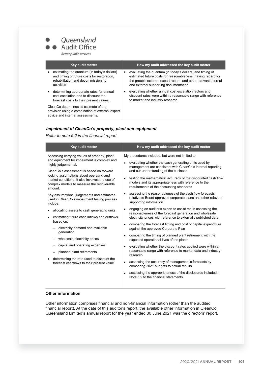## Queensland • Audit Office

**Better public services** 

| Key audit matter                                                                                                                               | How my audit addressed the key audit matter                                                                                                                                                                                                |
|------------------------------------------------------------------------------------------------------------------------------------------------|--------------------------------------------------------------------------------------------------------------------------------------------------------------------------------------------------------------------------------------------|
| estimating the quantum (in today's dollars)<br>and timing of future costs for restoration,<br>rehabilitation and decommissioning<br>activities | evaluating the quantum (in today's dollars) and timing of<br>٠<br>estimated future costs for reasonableness, having regard for<br>the group's external expert reports and other relevant internal<br>and external supporting documentation |
| determining appropriate rates for annual<br>٠<br>cost escalation and to discount the<br>forecast costs to their present values.                | evaluating whether annual cost escalation factors and<br>٠<br>discount rates were within a reasonable range with reference<br>to market and industry research.                                                                             |
| CleanCo determines its estimate of the<br>provision using a combination of external expert<br>advice and internal assessments                  |                                                                                                                                                                                                                                            |

#### *Impairment of CleanCo's property, plant and equipment*

Refer to note 5.2 in the financial report.

| Key audit matter                                                                                       | How my audit addressed the key audit matter                                                                                                                            |
|--------------------------------------------------------------------------------------------------------|------------------------------------------------------------------------------------------------------------------------------------------------------------------------|
| Assessing carrying values of property, plant                                                           | My procedures included, but were not limited to:                                                                                                                       |
| and equipment for impairment is complex and<br>highly judgemental.                                     | evaluating whether the cash generating units used by<br>٠<br>management are consistent with CleanCo's internal reporting                                               |
| CleanCo's assessment is based on forward<br>looking assumptions about operating and                    | and our understanding of the business                                                                                                                                  |
| market conditions. It also involves the use of<br>complex models to measure the recoverable<br>amount. | testing the mathematical accuracy of the discounted cash flow<br>٠<br>models and its appropriateness with reference to the<br>requirements of the accounting standards |
| Key assumptions, judgements and estimates<br>used in CleanCo's impairment testing process<br>include:  | assessing the reasonableness of the cash flow forecasts<br>relative to Board approved corporate plans and other relevant<br>supporting information                     |
| allocating assets to cash generating units                                                             | engaging an auditor's expert to assist me in assessing the<br>reasonableness of the forecast generation and wholesale                                                  |
| estimating future cash inflows and outflows<br>based on:                                               | electricity prices with reference to externally published data                                                                                                         |
| electricity demand and available<br>generation                                                         | comparing the forecast timing and cost of capital expenditure<br>$\bullet$<br>against the approved Corporate Plan                                                      |
| wholesale electricity prices                                                                           | comparing the timing of planned plant retirement with the<br>expected operational lives of the plants                                                                  |
| capital and operating expenses                                                                         | evaluating whether the discount rates applied were within a                                                                                                            |
| planned plant retirements                                                                              | reasonable range with reference to market data and industry<br>research                                                                                                |
| determining the rate used to discount the<br>forecast cashflows to their present value.                | assessing the accuracy of management's forecasts by<br>comparing 2021 budgets to actual results                                                                        |
|                                                                                                        | assessing the appropriateness of the disclosures included in<br>Note 5.2 to the financial statements.                                                                  |
|                                                                                                        |                                                                                                                                                                        |

#### Other information

Other information comprises financial and non-financial information (other than the audited financial report). At the date of this auditor's report, the available other information in CleanCo Queensland Limited's annual report for the year ended 30 June 2021 was the directors' report.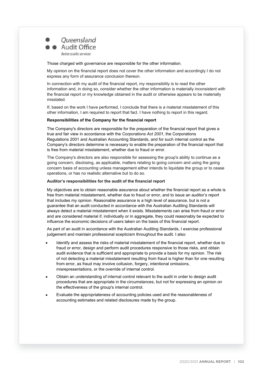

Those charged with governance are responsible for the other information.

My opinion on the financial report does not cover the other information and accordingly I do not express any form of assurance conclusion thereon.

In connection with my audit of the financial report, my responsibility is to read the other information and, in doing so, consider whether the other information is materially inconsistent with the financial report or my knowledge obtained in the audit or otherwise appears to be materially misstated.

If, based on the work I have performed, I conclude that there is a material misstatement of this other information, I am required to report that fact. I have nothing to report in this regard.

#### Responsibilities of the Company for the financial report

The Company's directors are responsible for the preparation of the financial report that gives a true and fair view in accordance with the Corporations Act 2001, the Corporations Regulations 2001 and Australian Accounting Standards, and for such internal control as the Company's directors determine is necessary to enable the preparation of the financial report that is free from material misstatement, whether due to fraud or error.

The Company's directors are also responsible for assessing the group's ability to continue as a going concern, disclosing, as applicable, matters relating to going concern and using the going concern basis of accounting unless management either intends to liquidate the group or to cease operations, or has no realistic alternative but to do so.

#### **Auditor's responsibilities for the audit of the financial report**

My objectives are to obtain reasonable assurance about whether the financial report as a whole is free from material misstatement, whether due to fraud or error, and to issue an auditor's report that includes my opinion. Reasonable assurance is a high level of assurance, but is not a guarantee that an audit conducted in accordance with the Australian Auditing Standards will always detect a material misstatement when it exists. Misstatements can arise from fraud or error and are considered material if, individually or in aggregate, they could reasonably be expected to influence the economic decisions of users taken on the basis of this financial report.

As part of an audit in accordance with the Australian Auditing Standards, I exercise professional judgement and maintain professional scepticism throughout the audit. I also:

- Identify and assess the risks of material misstatement of the financial report, whether due to fraud or error, design and perform audit procedures responsive to those risks, and obtain audit evidence that is sufficient and appropriate to provide a basis for my opinion. The risk of not detecting a material misstatement resulting from fraud is higher than for one resulting from error, as fraud may involve collusion, forgery, intentional omissions, misrepresentations, or the override of internal control.
- Obtain an understanding of internal control relevant to the audit in order to design audit procedures that are appropriate in the circumstances, but not for expressing an opinion on the effectiveness of the group's internal control.
- Evaluate the appropriateness of accounting policies used and the reasonableness of accounting estimates and related disclosures made by the group.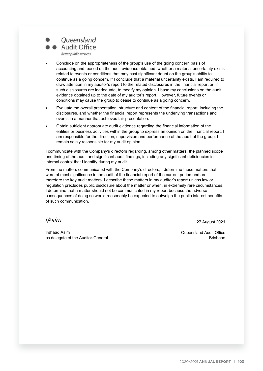

Conclude on the appropriateness of the group's use of the going concern basis of accounting and, based on the audit evidence obtained, whether a material uncertainty exists related to events or conditions that may cast significant doubt on the group's ability to continue as a going concern. If I conclude that a material uncertainty exists, I am required to draw attention in my auditor's report to the related disclosures in the financial report or, if such disclosures are inadequate, to modify my opinion. I base my conclusions on the audit evidence obtained up to the date of my auditor's report. However, future events or conditions may cause the group to cease to continue as a going concern.

- Evaluate the overall presentation, structure and content of the financial report, including the disclosures, and whether the financial report represents the underlying transactions and events in a manner that achieves fair presentation.
- Obtain sufficient appropriate audit evidence regarding the financial information of the entities or business activities within the group to express an opinion on the financial report. I am responsible for the direction, supervision and performance of the audit of the group. I remain solely responsible for my audit opinion.

I communicate with the Company's directors regarding, among other matters, the planned scope and timing of the audit and significant audit findings, including any significant deficiencies in internal control that I identify during my audit.

From the matters communicated with the Company's directors, I determine those matters that were of most significance in the audit of the financial report of the current period and are therefore the key audit matters. I describe these matters in my auditor's report unless law or regulation precludes public disclosure about the matter or when, in extremely rare circumstances, I determine that a matter should not be communicated in my report because the adverse consequences of doing so would reasonably be expected to outweigh the public interest benefits of such communication.

*IAsim* 

Irshaad Asim as delegate of the Auditor-General and the control britannic control brisbane Brisbane

27 August 2021

Queensland Audit Office